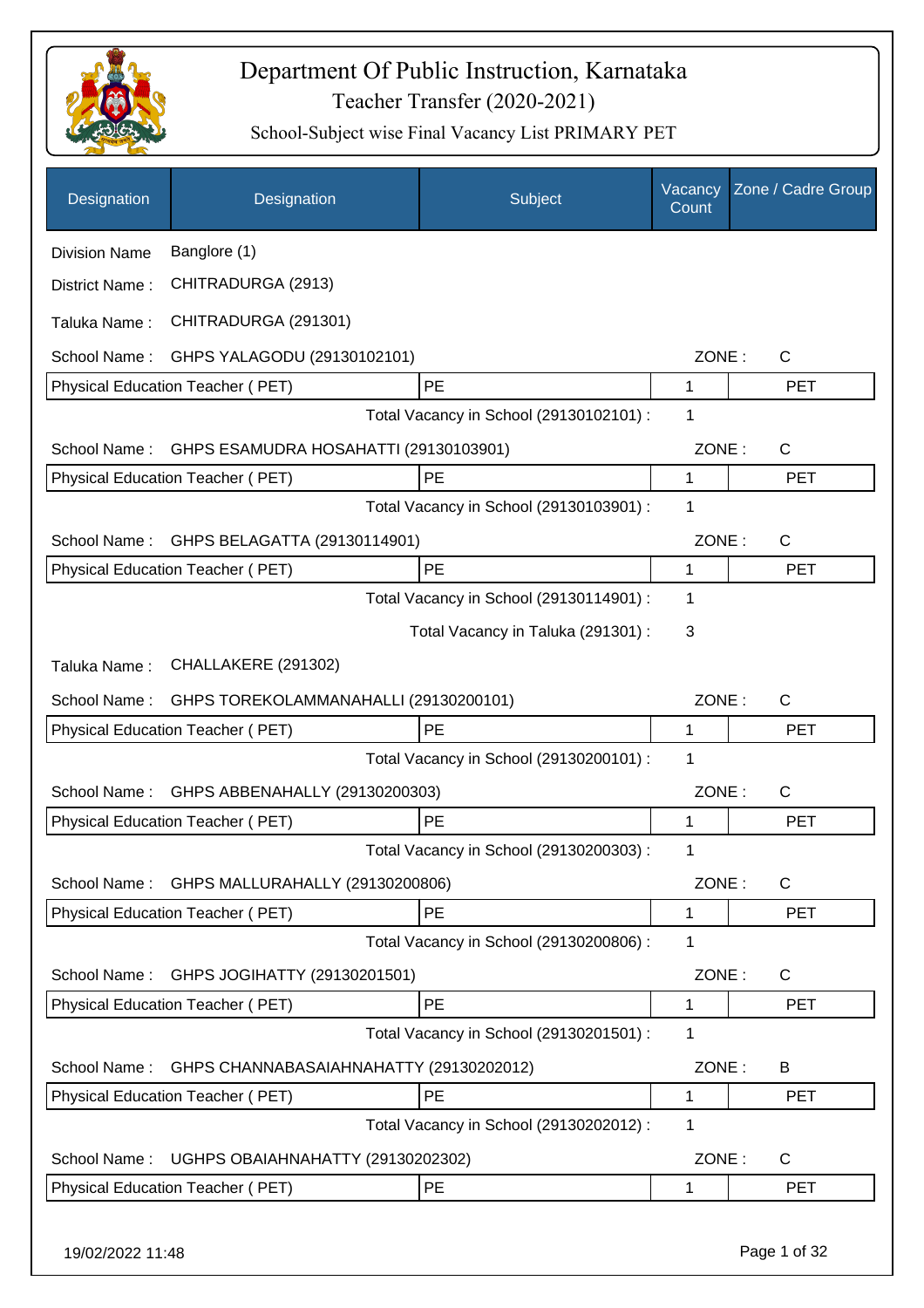

| Designation          | Designation                             | Subject                                 | Vacancy<br>Count | Zone / Cadre Group |
|----------------------|-----------------------------------------|-----------------------------------------|------------------|--------------------|
| <b>Division Name</b> | Banglore (1)                            |                                         |                  |                    |
| District Name:       | CHITRADURGA (2913)                      |                                         |                  |                    |
| Taluka Name:         | CHITRADURGA (291301)                    |                                         |                  |                    |
| School Name:         | GHPS YALAGODU (29130102101)             |                                         | ZONE:            | C                  |
|                      | Physical Education Teacher (PET)        | PE                                      | 1                | <b>PET</b>         |
|                      |                                         | Total Vacancy in School (29130102101) : | 1                |                    |
| School Name:         | GHPS ESAMUDRA HOSAHATTI (29130103901)   |                                         | ZONE:            | $\mathsf{C}$       |
|                      | Physical Education Teacher (PET)        | PE                                      | 1                | <b>PET</b>         |
|                      |                                         | Total Vacancy in School (29130103901) : | 1                |                    |
| School Name:         | GHPS BELAGATTA (29130114901)            |                                         | ZONE:            | $\mathsf{C}$       |
|                      | Physical Education Teacher (PET)        | PE                                      | $\mathbf{1}$     | <b>PET</b>         |
|                      |                                         | Total Vacancy in School (29130114901) : | 1                |                    |
|                      |                                         | Total Vacancy in Taluka (291301) :      | 3                |                    |
| Taluka Name:         | CHALLAKERE (291302)                     |                                         |                  |                    |
| School Name:         | GHPS TOREKOLAMMANAHALLI (29130200101)   |                                         | ZONE:            | $\mathsf{C}$       |
|                      | Physical Education Teacher (PET)        | PE                                      | 1                | <b>PET</b>         |
|                      |                                         | Total Vacancy in School (29130200101) : | 1                |                    |
| School Name:         | GHPS ABBENAHALLY (29130200303)          |                                         | ZONE:            | C                  |
|                      | <b>Physical Education Teacher (PET)</b> | PE                                      | 1                | <b>PET</b>         |
|                      |                                         | Total Vacancy in School (29130200303) : | 1                |                    |
| School Name:         | GHPS MALLURAHALLY (29130200806)         |                                         | ZONE:            | C                  |
|                      | Physical Education Teacher (PET)        | <b>PE</b>                               | 1                | <b>PET</b>         |
|                      |                                         | Total Vacancy in School (29130200806) : | 1                |                    |
| School Name:         | GHPS JOGIHATTY (29130201501)            |                                         | ZONE:            | C                  |
|                      | Physical Education Teacher (PET)        | PE                                      | 1                | <b>PET</b>         |
|                      |                                         | Total Vacancy in School (29130201501) : | 1                |                    |
| School Name:         | GHPS CHANNABASAIAHNAHATTY (29130202012) |                                         | ZONE:            | B                  |
|                      | Physical Education Teacher (PET)        | PE                                      | 1                | <b>PET</b>         |
|                      |                                         | Total Vacancy in School (29130202012) : | 1                |                    |
| School Name:         | UGHPS OBAIAHNAHATTY (29130202302)       |                                         | ZONE:            | C                  |
|                      | Physical Education Teacher (PET)        | PE                                      | 1                | <b>PET</b>         |
| 19/02/2022 11:48     |                                         |                                         |                  | Page 1 of 32       |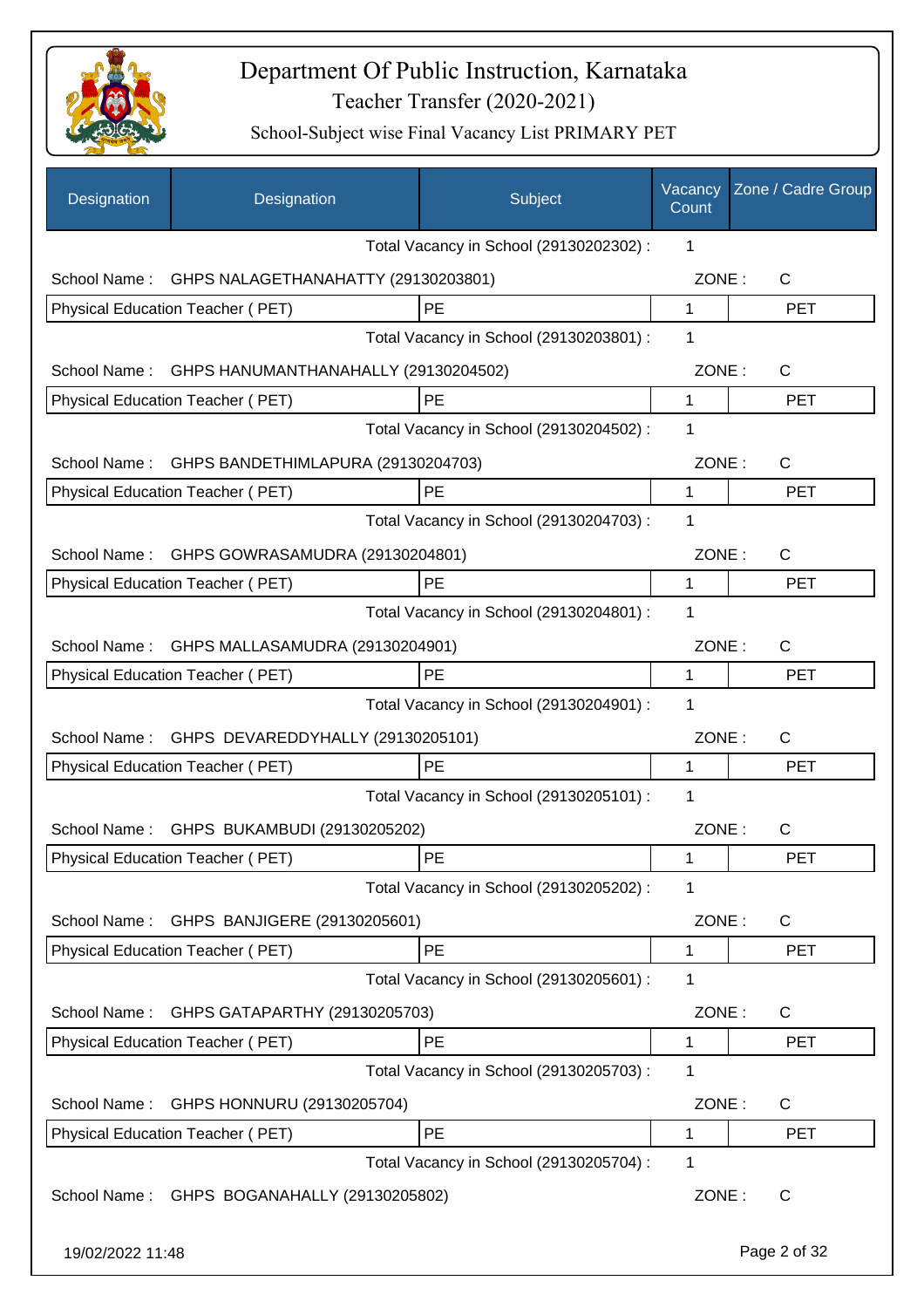

| Designation      | Designation                                    | Subject                                 | Vacancy<br>Count | Zone / Cadre Group |
|------------------|------------------------------------------------|-----------------------------------------|------------------|--------------------|
|                  |                                                | Total Vacancy in School (29130202302) : | 1                |                    |
| School Name:     | GHPS NALAGETHANAHATTY (29130203801)            |                                         | ZONE:            | C                  |
|                  | Physical Education Teacher (PET)               | <b>PE</b>                               | 1                | <b>PET</b>         |
|                  |                                                | Total Vacancy in School (29130203801) : | 1                |                    |
| School Name:     | GHPS HANUMANTHANAHALLY (29130204502)           |                                         | ZONE:            | $\mathsf{C}$       |
|                  | Physical Education Teacher (PET)               | PE                                      | 1                | <b>PET</b>         |
|                  |                                                | Total Vacancy in School (29130204502) : | 1                |                    |
| School Name:     | GHPS BANDETHIMLAPURA (29130204703)             |                                         | ZONE:            | $\mathsf{C}$       |
|                  | Physical Education Teacher (PET)               | PE                                      | 1                | <b>PET</b>         |
|                  |                                                | Total Vacancy in School (29130204703) : | 1                |                    |
| School Name:     | GHPS GOWRASAMUDRA (29130204801)                |                                         | ZONE:            | C                  |
|                  | Physical Education Teacher (PET)               | PE                                      | 1                | <b>PET</b>         |
|                  |                                                | Total Vacancy in School (29130204801) : | 1                |                    |
| School Name:     | GHPS MALLASAMUDRA (29130204901)                |                                         | ZONE:            | $\mathsf{C}$       |
|                  | Physical Education Teacher (PET)               | <b>PE</b>                               | 1                | <b>PET</b>         |
|                  |                                                | Total Vacancy in School (29130204901) : | 1                |                    |
|                  | School Name: GHPS DEVAREDDYHALLY (29130205101) |                                         | ZONE:            | C                  |
|                  | Physical Education Teacher (PET)               | PE                                      | 1                | <b>PET</b>         |
|                  |                                                | Total Vacancy in School (29130205101) : | 1                |                    |
| School Name:     | GHPS BUKAMBUDI (29130205202)                   |                                         | ZONE:            | C                  |
|                  | Physical Education Teacher (PET)               | PE                                      | 1                | PET                |
|                  |                                                | Total Vacancy in School (29130205202) : | 1                |                    |
| School Name:     | GHPS BANJIGERE (29130205601)                   |                                         | ZONE:            | C                  |
|                  | Physical Education Teacher (PET)               | PE                                      | 1                | <b>PET</b>         |
|                  |                                                | Total Vacancy in School (29130205601) : | 1                |                    |
| School Name:     | GHPS GATAPARTHY (29130205703)                  |                                         | ZONE:            | C                  |
|                  | Physical Education Teacher (PET)               | PE                                      | 1                | PET                |
|                  |                                                | Total Vacancy in School (29130205703) : | 1                |                    |
| School Name:     | GHPS HONNURU (29130205704)                     |                                         | ZONE:            | C                  |
|                  | Physical Education Teacher (PET)               | PE                                      | 1                | <b>PET</b>         |
|                  |                                                | Total Vacancy in School (29130205704) : | 1                |                    |
|                  | School Name: GHPS BOGANAHALLY (29130205802)    |                                         | ZONE:            | C                  |
| 19/02/2022 11:48 |                                                |                                         |                  | Page 2 of 32       |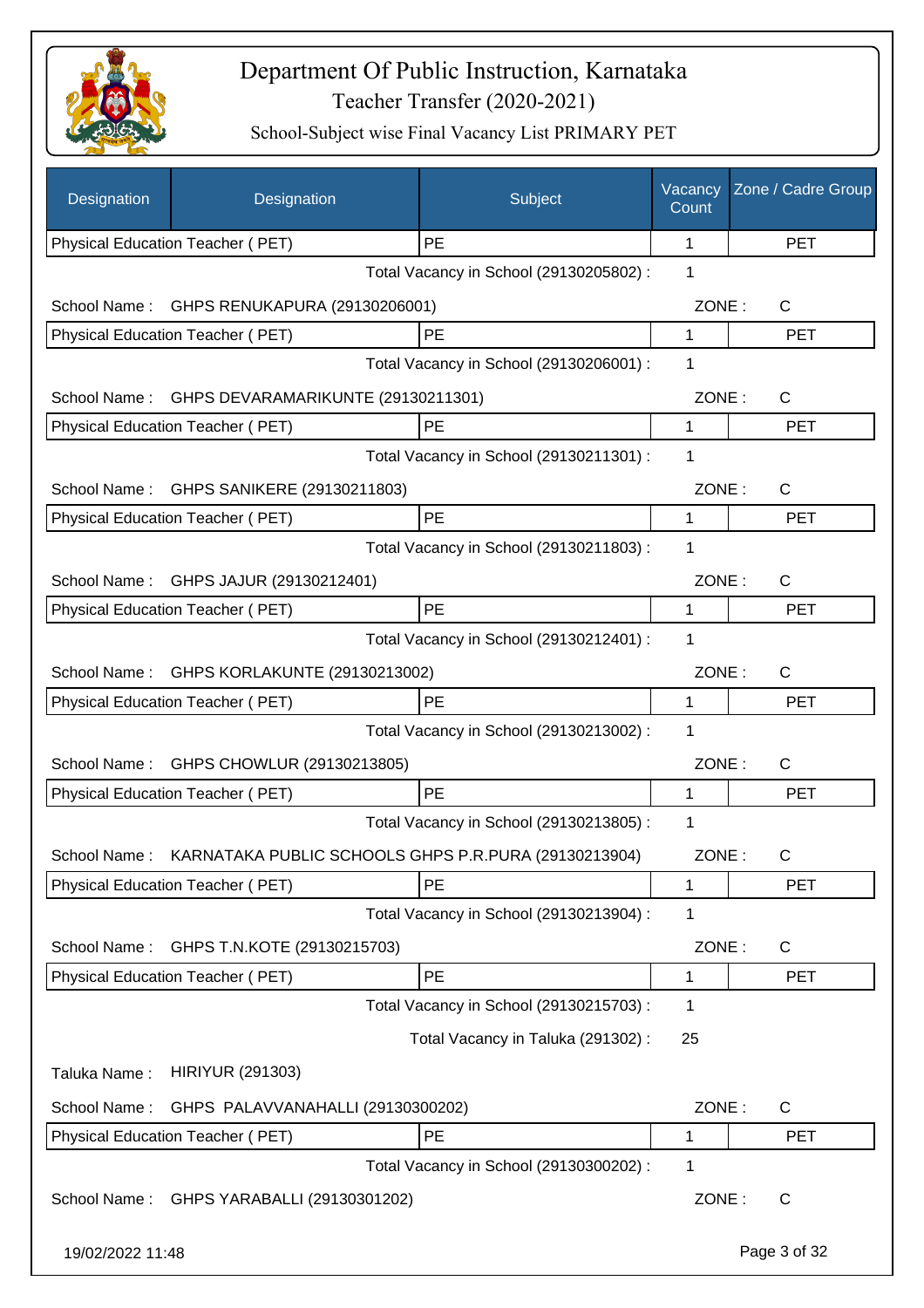

| Designation      | Designation                                          | Subject                                 | Vacancy<br>Count | Zone / Cadre Group |
|------------------|------------------------------------------------------|-----------------------------------------|------------------|--------------------|
|                  | Physical Education Teacher (PET)                     | PE                                      | 1                | <b>PET</b>         |
|                  |                                                      | Total Vacancy in School (29130205802) : | 1                |                    |
| School Name:     | GHPS RENUKAPURA (29130206001)                        |                                         | ZONE:            | $\mathsf{C}$       |
|                  | Physical Education Teacher (PET)                     | PE                                      | 1                | <b>PET</b>         |
|                  |                                                      | Total Vacancy in School (29130206001) : | 1                |                    |
| School Name:     | GHPS DEVARAMARIKUNTE (29130211301)                   |                                         | ZONE:            | C                  |
|                  | Physical Education Teacher (PET)                     | PE                                      | 1                | <b>PET</b>         |
|                  |                                                      | Total Vacancy in School (29130211301) : | 1                |                    |
| School Name:     | GHPS SANIKERE (29130211803)                          |                                         | ZONE:            | $\mathsf{C}$       |
|                  | Physical Education Teacher (PET)                     | PE                                      | 1                | <b>PET</b>         |
|                  |                                                      | Total Vacancy in School (29130211803) : | 1                |                    |
| School Name:     | GHPS JAJUR (29130212401)                             |                                         | ZONE:            | C                  |
|                  | Physical Education Teacher (PET)                     | PE                                      | 1                | <b>PET</b>         |
|                  |                                                      | Total Vacancy in School (29130212401) : | 1                |                    |
|                  | School Name: GHPS KORLAKUNTE (29130213002)           |                                         | ZONE:            | C                  |
|                  | Physical Education Teacher (PET)                     | PE                                      | 1                | <b>PET</b>         |
|                  |                                                      | Total Vacancy in School (29130213002) : | 1                |                    |
| School Name:     | GHPS CHOWLUR (29130213805)                           |                                         | ZONE:            | C                  |
|                  | Physical Education Teacher (PET)                     | PE                                      | 1                | PET                |
|                  |                                                      | Total Vacancy in School (29130213805) : | 1                |                    |
| School Name :    | KARNATAKA PUBLIC SCHOOLS GHPS P.R.PURA (29130213904) |                                         | ZONE:            | C                  |
|                  | Physical Education Teacher (PET)                     | PE                                      | 1                | <b>PET</b>         |
|                  |                                                      | Total Vacancy in School (29130213904) : | 1                |                    |
| School Name:     | GHPS T.N.KOTE (29130215703)                          |                                         | ZONE:            | C                  |
|                  | Physical Education Teacher (PET)                     | PE                                      | 1                | <b>PET</b>         |
|                  |                                                      | Total Vacancy in School (29130215703) : | 1                |                    |
|                  |                                                      | Total Vacancy in Taluka (291302):       | 25               |                    |
| Taluka Name:     | <b>HIRIYUR (291303)</b>                              |                                         |                  |                    |
| School Name:     | GHPS PALAVVANAHALLI (29130300202)                    |                                         | ZONE:            | C                  |
|                  | Physical Education Teacher (PET)                     | PE                                      | 1                | <b>PET</b>         |
|                  |                                                      | Total Vacancy in School (29130300202) : | 1                |                    |
| School Name:     | GHPS YARABALLI (29130301202)                         |                                         | ZONE:            | C                  |
| 19/02/2022 11:48 |                                                      |                                         |                  | Page 3 of 32       |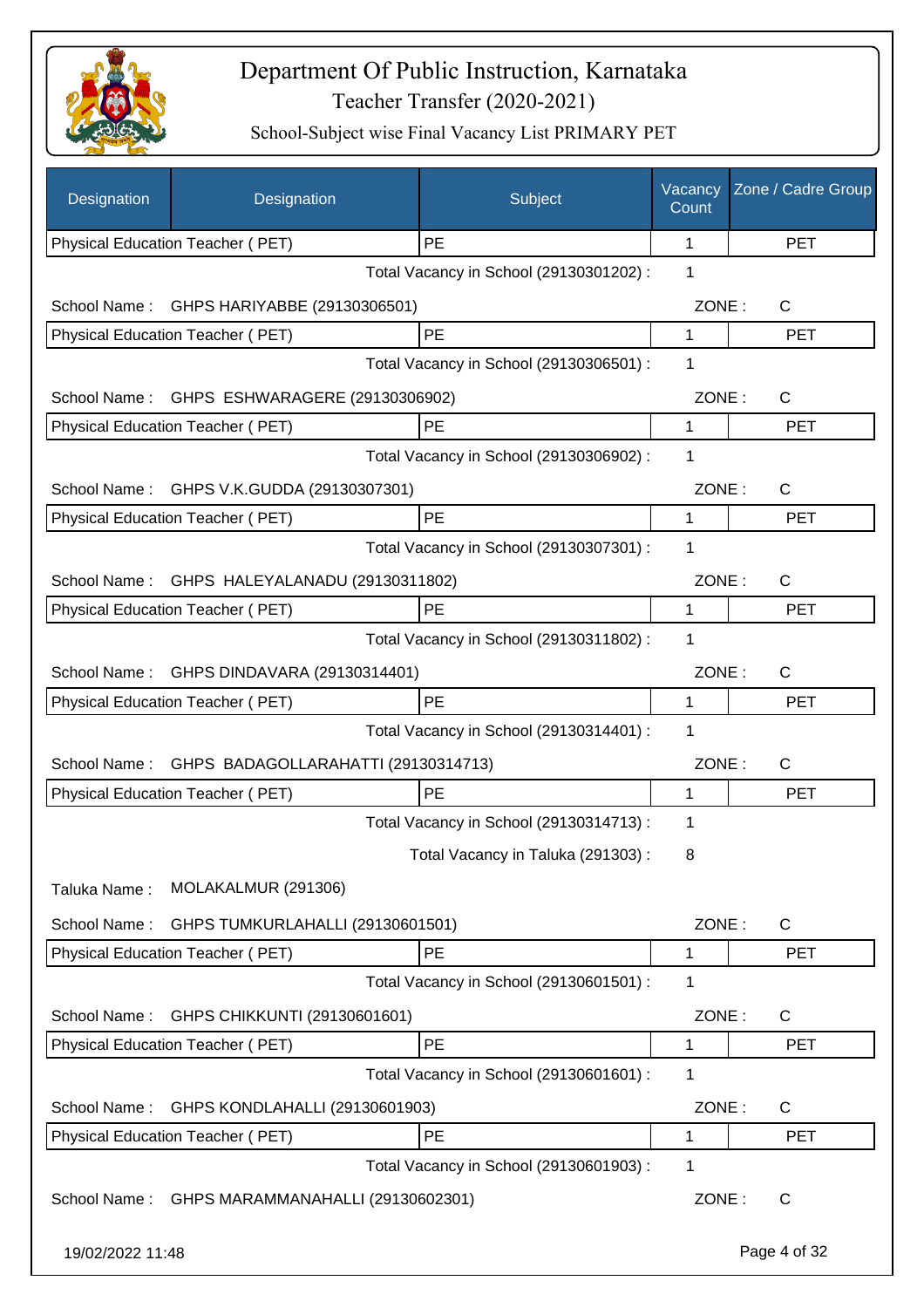

| Designation      | Designation                                  | Subject                                 | Vacancy<br>Count | Zone / Cadre Group |
|------------------|----------------------------------------------|-----------------------------------------|------------------|--------------------|
|                  | Physical Education Teacher (PET)             | PE                                      | 1                | <b>PET</b>         |
|                  |                                              | Total Vacancy in School (29130301202) : | 1                |                    |
| School Name:     | GHPS HARIYABBE (29130306501)                 |                                         | ZONE:            | C                  |
|                  | Physical Education Teacher (PET)             | PE                                      | 1                | <b>PET</b>         |
|                  |                                              | Total Vacancy in School (29130306501) : | 1                |                    |
| School Name:     | GHPS ESHWARAGERE (29130306902)               |                                         | ZONE:            | C                  |
|                  | Physical Education Teacher (PET)             | <b>PE</b>                               | 1                | <b>PET</b>         |
|                  |                                              | Total Vacancy in School (29130306902) : | 1                |                    |
| School Name:     | GHPS V.K.GUDDA (29130307301)                 |                                         | ZONE:            | $\mathsf{C}$       |
|                  | Physical Education Teacher (PET)             | PE                                      | 1                | <b>PET</b>         |
|                  |                                              | Total Vacancy in School (29130307301) : | 1                |                    |
|                  | School Name: GHPS HALEYALANADU (29130311802) |                                         | ZONE:            | C                  |
|                  | Physical Education Teacher (PET)             | PE                                      | 1                | <b>PET</b>         |
|                  |                                              | Total Vacancy in School (29130311802) : | 1                |                    |
| School Name:     | GHPS DINDAVARA (29130314401)                 |                                         | ZONE:            | C                  |
|                  | Physical Education Teacher (PET)             | <b>PE</b>                               | 1                | <b>PET</b>         |
|                  |                                              | Total Vacancy in School (29130314401) : | 1                |                    |
| School Name:     | GHPS BADAGOLLARAHATTI (29130314713)          |                                         | ZONE:            | C                  |
|                  | Physical Education Teacher (PET)             | PE                                      | 1                | <b>PET</b>         |
|                  |                                              | Total Vacancy in School (29130314713) : | 1                |                    |
|                  |                                              | Total Vacancy in Taluka (291303):       | 8                |                    |
| Taluka Name:     | MOLAKALMUR (291306)                          |                                         |                  |                    |
| School Name:     | GHPS TUMKURLAHALLI (29130601501)             |                                         | ZONE:            | $\mathsf{C}$       |
|                  | Physical Education Teacher (PET)             | <b>PE</b>                               | 1                | <b>PET</b>         |
|                  |                                              | Total Vacancy in School (29130601501) : | 1                |                    |
|                  |                                              |                                         |                  |                    |
| School Name:     | GHPS CHIKKUNTI (29130601601)                 |                                         | ZONE:            | C                  |
|                  | Physical Education Teacher (PET)             | PE                                      | 1                | <b>PET</b>         |
|                  |                                              | Total Vacancy in School (29130601601) : | 1                |                    |
| School Name:     | GHPS KONDLAHALLI (29130601903)               |                                         | ZONE:            | C                  |
|                  | Physical Education Teacher (PET)             | PE                                      | 1                | <b>PET</b>         |
|                  |                                              | Total Vacancy in School (29130601903) : | 1                |                    |
| School Name:     | GHPS MARAMMANAHALLI (29130602301)            |                                         | ZONE:            | C                  |
| 19/02/2022 11:48 |                                              |                                         |                  | Page 4 of 32       |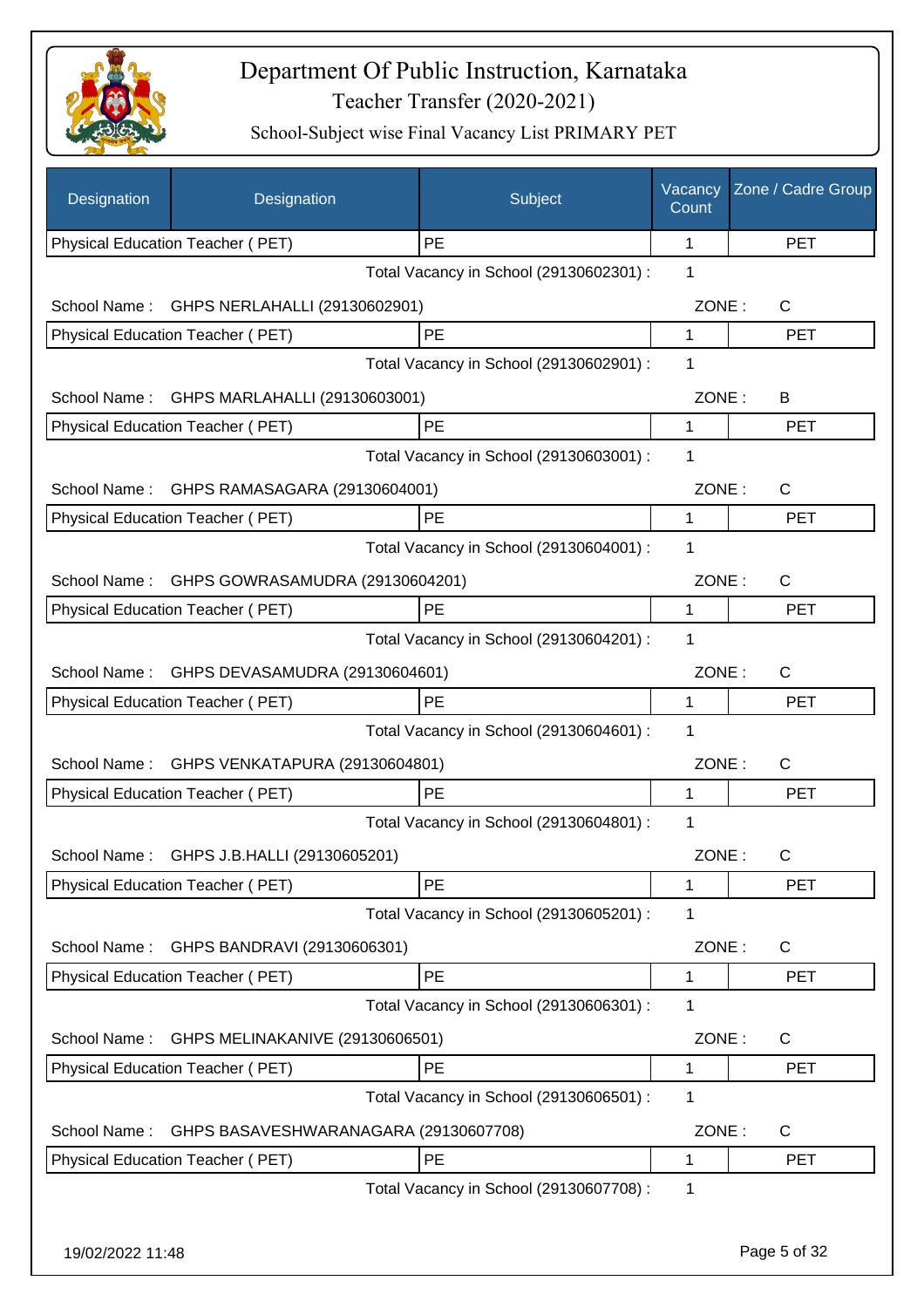

| Designation      | Designation                           | Subject                                 | Vacancy<br>Count | Zone / Cadre Group |
|------------------|---------------------------------------|-----------------------------------------|------------------|--------------------|
|                  | Physical Education Teacher (PET)      | PE                                      | 1                | <b>PET</b>         |
|                  |                                       | Total Vacancy in School (29130602301) : | 1                |                    |
| School Name:     | GHPS NERLAHALLI (29130602901)         |                                         | ZONE:            | C                  |
|                  | Physical Education Teacher (PET)      | PE                                      | 1                | <b>PET</b>         |
|                  |                                       | Total Vacancy in School (29130602901) : | 1                |                    |
| School Name:     | GHPS MARLAHALLI (29130603001)         |                                         | ZONE:            | B                  |
|                  | Physical Education Teacher (PET)      | PE                                      | 1                | <b>PET</b>         |
|                  |                                       | Total Vacancy in School (29130603001) : | 1                |                    |
| School Name:     | GHPS RAMASAGARA (29130604001)         |                                         | ZONE:            | $\mathsf{C}$       |
|                  | Physical Education Teacher (PET)      | PE                                      | 1                | <b>PET</b>         |
|                  |                                       | Total Vacancy in School (29130604001) : | 1                |                    |
| School Name:     | GHPS GOWRASAMUDRA (29130604201)       |                                         | ZONE:            | $\mathsf{C}$       |
|                  | Physical Education Teacher (PET)      | PE                                      | 1                | <b>PET</b>         |
|                  |                                       | Total Vacancy in School (29130604201) : | 1                |                    |
| School Name:     | GHPS DEVASAMUDRA (29130604601)        |                                         | ZONE:            | C                  |
|                  | Physical Education Teacher (PET)      | PE                                      | 1                | <b>PET</b>         |
|                  |                                       | Total Vacancy in School (29130604601) : | 1                |                    |
| School Name:     | GHPS VENKATAPURA (29130604801)        |                                         | ZONE:            | $\mathsf{C}$       |
|                  | Physical Education Teacher (PET)      | PE                                      | 1                | <b>PET</b>         |
|                  |                                       | Total Vacancy in School (29130604801) : | 1                |                    |
| School Name:     | GHPS J.B.HALLI (29130605201)          |                                         | ZONE:            | С                  |
|                  | Physical Education Teacher (PET)      | PE                                      | 1                | <b>PET</b>         |
|                  |                                       | Total Vacancy in School (29130605201) : | 1                |                    |
| School Name:     | GHPS BANDRAVI (29130606301)           |                                         | ZONE:            | C                  |
|                  | Physical Education Teacher (PET)      | PE                                      | 1                | <b>PET</b>         |
|                  |                                       | Total Vacancy in School (29130606301) : | 1                |                    |
| School Name:     | GHPS MELINAKANIVE (29130606501)       |                                         | ZONE:            | C                  |
|                  | Physical Education Teacher (PET)      | PE                                      | 1                | <b>PET</b>         |
|                  |                                       | Total Vacancy in School (29130606501) : | 1                |                    |
| School Name:     | GHPS BASAVESHWARANAGARA (29130607708) |                                         | ZONE:            | C                  |
|                  | Physical Education Teacher (PET)      | PE                                      | 1                | <b>PET</b>         |
|                  |                                       | Total Vacancy in School (29130607708) : | 1                |                    |
|                  |                                       |                                         |                  |                    |
| 19/02/2022 11:48 |                                       |                                         |                  | Page 5 of 32       |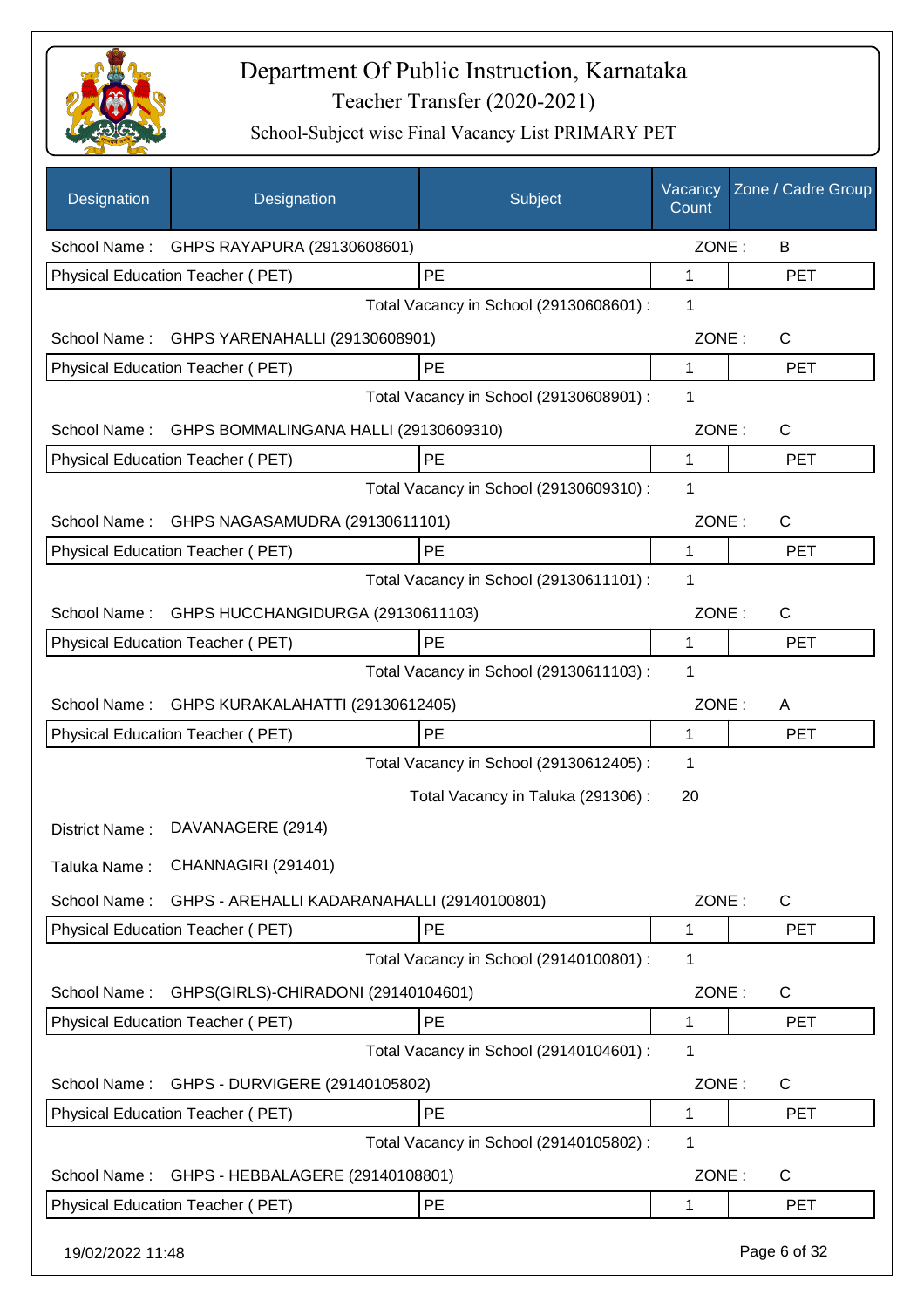

| Designation      | Designation                                 | Subject                                 | Vacancy<br>Count | Zone / Cadre Group |
|------------------|---------------------------------------------|-----------------------------------------|------------------|--------------------|
| School Name:     | GHPS RAYAPURA (29130608601)                 |                                         | ZONE:            | B                  |
|                  | Physical Education Teacher (PET)            | PE                                      | 1                | <b>PET</b>         |
|                  |                                             | Total Vacancy in School (29130608601) : | 1                |                    |
|                  | School Name: GHPS YARENAHALLI (29130608901) |                                         | ZONE:            | $\mathsf{C}$       |
|                  | Physical Education Teacher (PET)            | PE                                      | 1                | <b>PET</b>         |
|                  |                                             | Total Vacancy in School (29130608901) : | 1                |                    |
| School Name:     | GHPS BOMMALINGANA HALLI (29130609310)       |                                         | ZONE:            | $\mathsf{C}$       |
|                  | Physical Education Teacher (PET)            | PE                                      | 1                | <b>PET</b>         |
|                  |                                             | Total Vacancy in School (29130609310) : | 1                |                    |
| School Name:     | GHPS NAGASAMUDRA (29130611101)              |                                         | ZONE:            | $\mathsf{C}$       |
|                  | Physical Education Teacher (PET)            | <b>PE</b>                               | 1                | <b>PET</b>         |
|                  |                                             | Total Vacancy in School (29130611101) : | 1                |                    |
| School Name:     | GHPS HUCCHANGIDURGA (29130611103)           |                                         | ZONE:            | $\mathsf{C}$       |
|                  | Physical Education Teacher (PET)            | PE                                      | 1                | <b>PET</b>         |
|                  |                                             | Total Vacancy in School (29130611103) : | 1                |                    |
| School Name:     | GHPS KURAKALAHATTI (29130612405)            |                                         | ZONE:            | A                  |
|                  | Physical Education Teacher (PET)            | PE                                      | 1                | <b>PET</b>         |
|                  |                                             | Total Vacancy in School (29130612405) : | 1                |                    |
|                  |                                             | Total Vacancy in Taluka (291306):       | 20               |                    |
| District Name:   | DAVANAGERE (2914)                           |                                         |                  |                    |
| Taluka Name:     | CHANNAGIRI (291401)                         |                                         |                  |                    |
| School Name:     | GHPS - AREHALLI KADARANAHALLI (29140100801) |                                         | ZONE:            | $\mathsf{C}$       |
|                  | Physical Education Teacher (PET)            | <b>PE</b>                               | 1                | <b>PET</b>         |
|                  |                                             | Total Vacancy in School (29140100801) : | 1                |                    |
| School Name:     | GHPS(GIRLS)-CHIRADONI (29140104601)         |                                         | ZONE:            | $\mathsf{C}$       |
|                  | Physical Education Teacher (PET)            | PE                                      | 1                | <b>PET</b>         |
|                  |                                             | Total Vacancy in School (29140104601) : | 1                |                    |
| School Name:     | GHPS - DURVIGERE (29140105802)              |                                         | ZONE:            | C                  |
|                  | Physical Education Teacher (PET)            | PE                                      | 1                | <b>PET</b>         |
|                  |                                             | Total Vacancy in School (29140105802) : | 1                |                    |
| School Name:     | GHPS - HEBBALAGERE (29140108801)            |                                         | ZONE:            | C                  |
|                  | Physical Education Teacher (PET)            | PE                                      | 1                | <b>PET</b>         |
| 19/02/2022 11:48 |                                             |                                         |                  | Page 6 of 32       |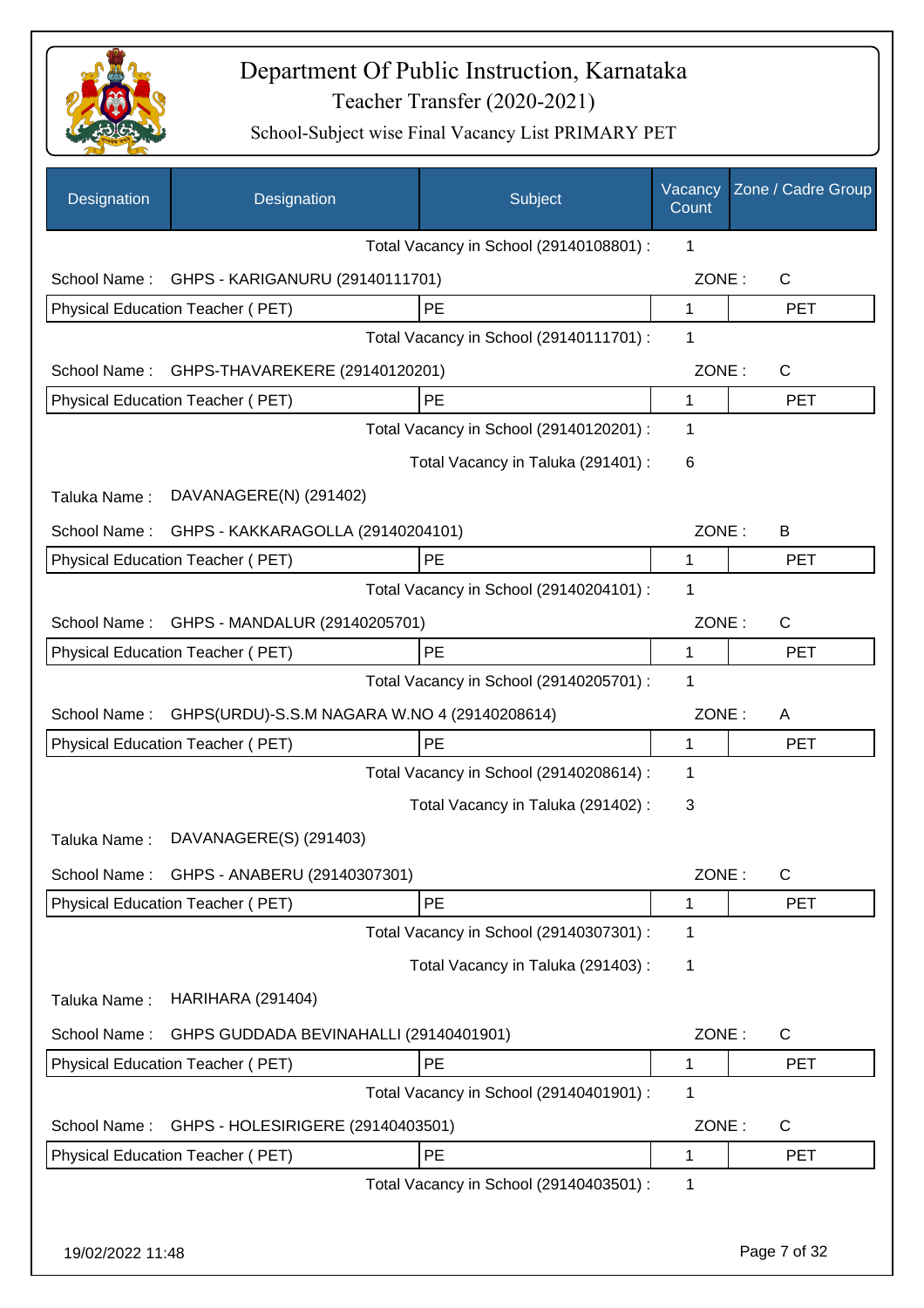

| Designation      | Designation                                  | Subject                                 | Vacancy<br>Count | Zone / Cadre Group |
|------------------|----------------------------------------------|-----------------------------------------|------------------|--------------------|
|                  |                                              | Total Vacancy in School (29140108801) : | 1                |                    |
| School Name:     | GHPS - KARIGANURU (29140111701)              |                                         | ZONE:            | $\mathsf{C}$       |
|                  | Physical Education Teacher (PET)             | PE                                      | 1                | <b>PET</b>         |
|                  |                                              | Total Vacancy in School (29140111701) : | 1                |                    |
| School Name:     | GHPS-THAVAREKERE (29140120201)               |                                         | ZONE:            | $\mathsf{C}$       |
|                  | Physical Education Teacher (PET)             | PE                                      | $\mathbf{1}$     | <b>PET</b>         |
|                  |                                              | Total Vacancy in School (29140120201) : | 1                |                    |
|                  |                                              | Total Vacancy in Taluka (291401) :      | 6                |                    |
| Taluka Name:     | DAVANAGERE(N) (291402)                       |                                         |                  |                    |
| School Name:     | GHPS - KAKKARAGOLLA (29140204101)            |                                         | ZONE:            | B                  |
|                  | <b>Physical Education Teacher (PET)</b>      | PE                                      | 1                | <b>PET</b>         |
|                  |                                              | Total Vacancy in School (29140204101) : | 1                |                    |
| School Name:     | GHPS - MANDALUR (29140205701)                |                                         | ZONE:            | $\mathsf{C}$       |
|                  | Physical Education Teacher (PET)             | <b>PE</b>                               | 1                | <b>PET</b>         |
|                  |                                              | Total Vacancy in School (29140205701) : | 1                |                    |
| School Name:     | GHPS(URDU)-S.S.M NAGARA W.NO 4 (29140208614) |                                         | ZONE:            | A                  |
|                  | Physical Education Teacher (PET)             | <b>PE</b>                               | 1                | <b>PET</b>         |
|                  |                                              | Total Vacancy in School (29140208614) : | 1                |                    |
|                  |                                              | Total Vacancy in Taluka (291402):       | 3                |                    |
| Taluka Name:     | DAVANAGERE(S) (291403)                       |                                         |                  |                    |
| School Name:     | GHPS - ANABERU (29140307301)                 |                                         | ZONE:            | $\mathsf{C}$       |
|                  | Physical Education Teacher (PET)             | PE                                      | 1                | <b>PET</b>         |
|                  |                                              | Total Vacancy in School (29140307301) : | 1                |                    |
|                  |                                              | Total Vacancy in Taluka (291403):       | 1                |                    |
| Taluka Name:     | <b>HARIHARA (291404)</b>                     |                                         |                  |                    |
| School Name:     | GHPS GUDDADA BEVINAHALLI (29140401901)       |                                         | ZONE:            | $\mathsf{C}$       |
|                  | Physical Education Teacher (PET)             | PE                                      | 1                | <b>PET</b>         |
|                  |                                              | Total Vacancy in School (29140401901) : | 1                |                    |
| School Name:     | GHPS - HOLESIRIGERE (29140403501)            |                                         | ZONE:            | $\mathsf{C}$       |
|                  | Physical Education Teacher (PET)             | PE                                      | 1                | <b>PET</b>         |
|                  |                                              | Total Vacancy in School (29140403501) : | 1                |                    |
|                  |                                              |                                         |                  |                    |
| 19/02/2022 11:48 |                                              |                                         |                  | Page 7 of 32       |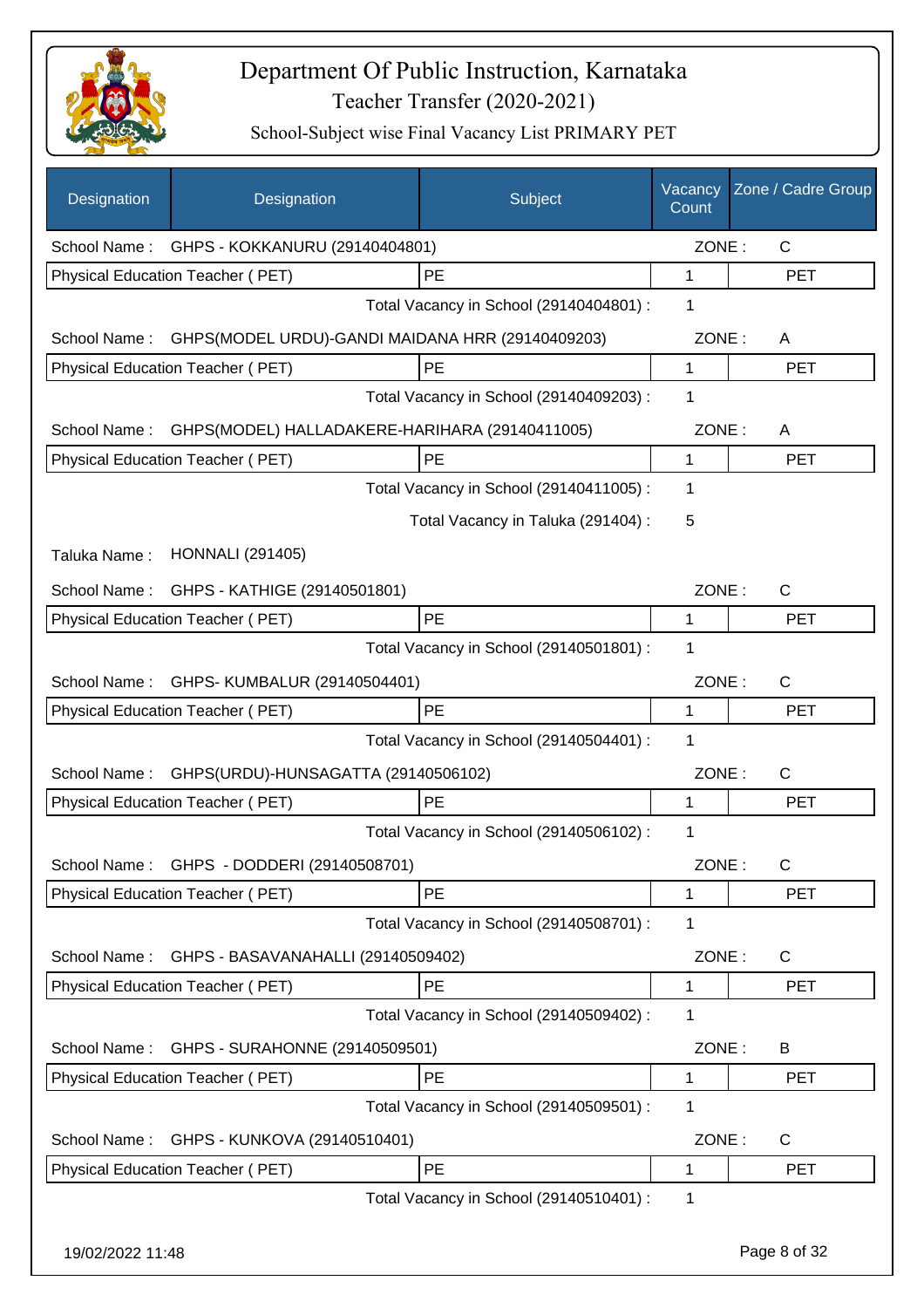

| Designation      | Designation                                                   | Subject                                 | Vacancy<br>Count | Zone / Cadre Group |
|------------------|---------------------------------------------------------------|-----------------------------------------|------------------|--------------------|
|                  | School Name: GHPS - KOKKANURU (29140404801)                   |                                         | ZONE:            | $\mathsf{C}$       |
|                  | Physical Education Teacher (PET)                              | PE                                      | 1                | <b>PET</b>         |
|                  |                                                               | Total Vacancy in School (29140404801) : | 1                |                    |
|                  | School Name: GHPS(MODEL URDU)-GANDI MAIDANA HRR (29140409203) |                                         | ZONE:            | A                  |
|                  | Physical Education Teacher (PET)                              | PE                                      | 1                | <b>PET</b>         |
|                  |                                                               | Total Vacancy in School (29140409203) : | 1                |                    |
| School Name:     | GHPS(MODEL) HALLADAKERE-HARIHARA (29140411005)                |                                         | ZONE:            | A                  |
|                  | Physical Education Teacher (PET)                              | PE                                      | 1                | <b>PET</b>         |
|                  |                                                               | Total Vacancy in School (29140411005) : | 1                |                    |
|                  |                                                               | Total Vacancy in Taluka (291404) :      | 5                |                    |
| Taluka Name:     | <b>HONNALI</b> (291405)                                       |                                         |                  |                    |
|                  | School Name: GHPS - KATHIGE (29140501801)                     |                                         | ZONE:            | $\mathsf{C}$       |
|                  | Physical Education Teacher (PET)                              | PE                                      | 1                | <b>PET</b>         |
|                  |                                                               | Total Vacancy in School (29140501801) : | 1                |                    |
| School Name:     | GHPS- KUMBALUR (29140504401)                                  |                                         | ZONE:            | C                  |
|                  | Physical Education Teacher (PET)                              | PE                                      | $\mathbf{1}$     | <b>PET</b>         |
|                  |                                                               | Total Vacancy in School (29140504401) : | 1                |                    |
| School Name:     | GHPS(URDU)-HUNSAGATTA (29140506102)                           |                                         | ZONE:            | C                  |
|                  | <b>Physical Education Teacher (PET)</b>                       | <b>PE</b>                               | 1                | <b>PET</b>         |
|                  |                                                               | Total Vacancy in School (29140506102) : | 1                |                    |
|                  | School Name: GHPS - DODDERI (29140508701)                     |                                         | ZONE:            | C                  |
|                  | <b>Physical Education Teacher (PET)</b>                       | PE                                      | 1                | PET                |
|                  |                                                               | Total Vacancy in School (29140508701) : | 1                |                    |
| School Name:     | GHPS - BASAVANAHALLI (29140509402)                            |                                         | ZONE:            | C                  |
|                  | Physical Education Teacher (PET)                              | PE                                      | 1                | <b>PET</b>         |
|                  |                                                               | Total Vacancy in School (29140509402) : | 1                |                    |
| School Name:     | GHPS - SURAHONNE (29140509501)                                |                                         | ZONE:            | B                  |
|                  | Physical Education Teacher (PET)                              | PE                                      | 1                | <b>PET</b>         |
|                  |                                                               | Total Vacancy in School (29140509501) : | 1                |                    |
| School Name:     | GHPS - KUNKOVA (29140510401)                                  |                                         | ZONE:            | C                  |
|                  | Physical Education Teacher (PET)                              | PE                                      | 1                | <b>PET</b>         |
|                  |                                                               | Total Vacancy in School (29140510401) : | 1                |                    |
| 19/02/2022 11:48 |                                                               |                                         |                  | Page 8 of 32       |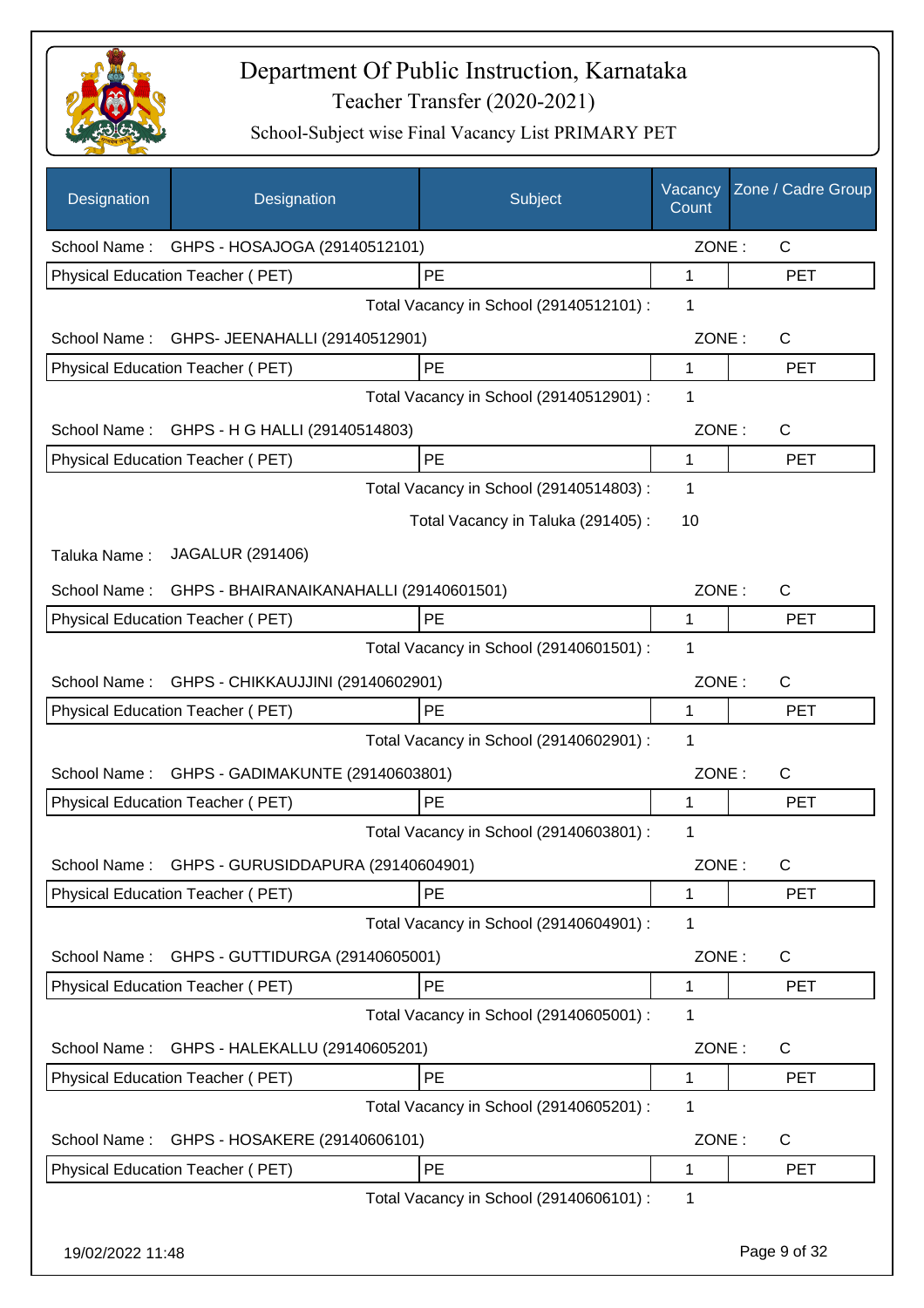

| Designation      | Designation                                 | Subject                                 | Vacancy<br>Count | Zone / Cadre Group |
|------------------|---------------------------------------------|-----------------------------------------|------------------|--------------------|
|                  | School Name: GHPS - HOSAJOGA (29140512101)  |                                         | ZONE:            | $\mathsf{C}$       |
|                  | Physical Education Teacher (PET)            | PE                                      | 1                | <b>PET</b>         |
|                  |                                             | Total Vacancy in School (29140512101) : | 1                |                    |
| School Name:     | GHPS- JEENAHALLI (29140512901)              |                                         | ZONE:            | $\mathsf{C}$       |
|                  | Physical Education Teacher (PET)            | PE                                      | $\mathbf{1}$     | <b>PET</b>         |
|                  |                                             | Total Vacancy in School (29140512901) : | 1                |                    |
|                  | School Name: GHPS - H G HALLI (29140514803) |                                         | ZONE:            | C                  |
|                  | Physical Education Teacher (PET)            | PE                                      | 1                | <b>PET</b>         |
|                  |                                             | Total Vacancy in School (29140514803) : | 1                |                    |
|                  |                                             | Total Vacancy in Taluka (291405):       | 10               |                    |
| Taluka Name:     | JAGALUR (291406)                            |                                         |                  |                    |
| School Name:     | GHPS - BHAIRANAIKANAHALLI (29140601501)     |                                         | ZONE:            | C                  |
|                  | Physical Education Teacher (PET)            | <b>PE</b>                               | 1                | <b>PET</b>         |
|                  |                                             | Total Vacancy in School (29140601501) : | 1                |                    |
| School Name:     | GHPS - CHIKKAUJJINI (29140602901)           |                                         | ZONE:            | C                  |
|                  | Physical Education Teacher (PET)            | PE                                      | 1                | <b>PET</b>         |
|                  |                                             | Total Vacancy in School (29140602901) : | 1                |                    |
| School Name:     | GHPS - GADIMAKUNTE (29140603801)            |                                         | ZONE:            | C                  |
|                  | Physical Education Teacher (PET)            | PE                                      | 1                | <b>PET</b>         |
|                  |                                             | Total Vacancy in School (29140603801) : | 1                |                    |
| School Name:     | GHPS - GURUSIDDAPURA (29140604901)          |                                         | ZONE:            | C                  |
|                  | Physical Education Teacher (PET)            | <b>PE</b>                               | 1                | <b>PET</b>         |
|                  |                                             | Total Vacancy in School (29140604901) : | 1                |                    |
| School Name:     | GHPS - GUTTIDURGA (29140605001)             |                                         | ZONE:            | C                  |
|                  | Physical Education Teacher (PET)            | PE                                      | 1                | <b>PET</b>         |
|                  |                                             | Total Vacancy in School (29140605001) : | 1                |                    |
| School Name:     | GHPS - HALEKALLU (29140605201)              |                                         | ZONE:            | C                  |
|                  | Physical Education Teacher (PET)            | PE                                      | 1                | <b>PET</b>         |
|                  |                                             | Total Vacancy in School (29140605201) : | 1                |                    |
| School Name:     | GHPS - HOSAKERE (29140606101)               |                                         | ZONE:            | C                  |
|                  | Physical Education Teacher (PET)            | PE                                      | 1                | <b>PET</b>         |
|                  |                                             | Total Vacancy in School (29140606101) : | 1                |                    |
| 19/02/2022 11:48 |                                             |                                         |                  | Page 9 of 32       |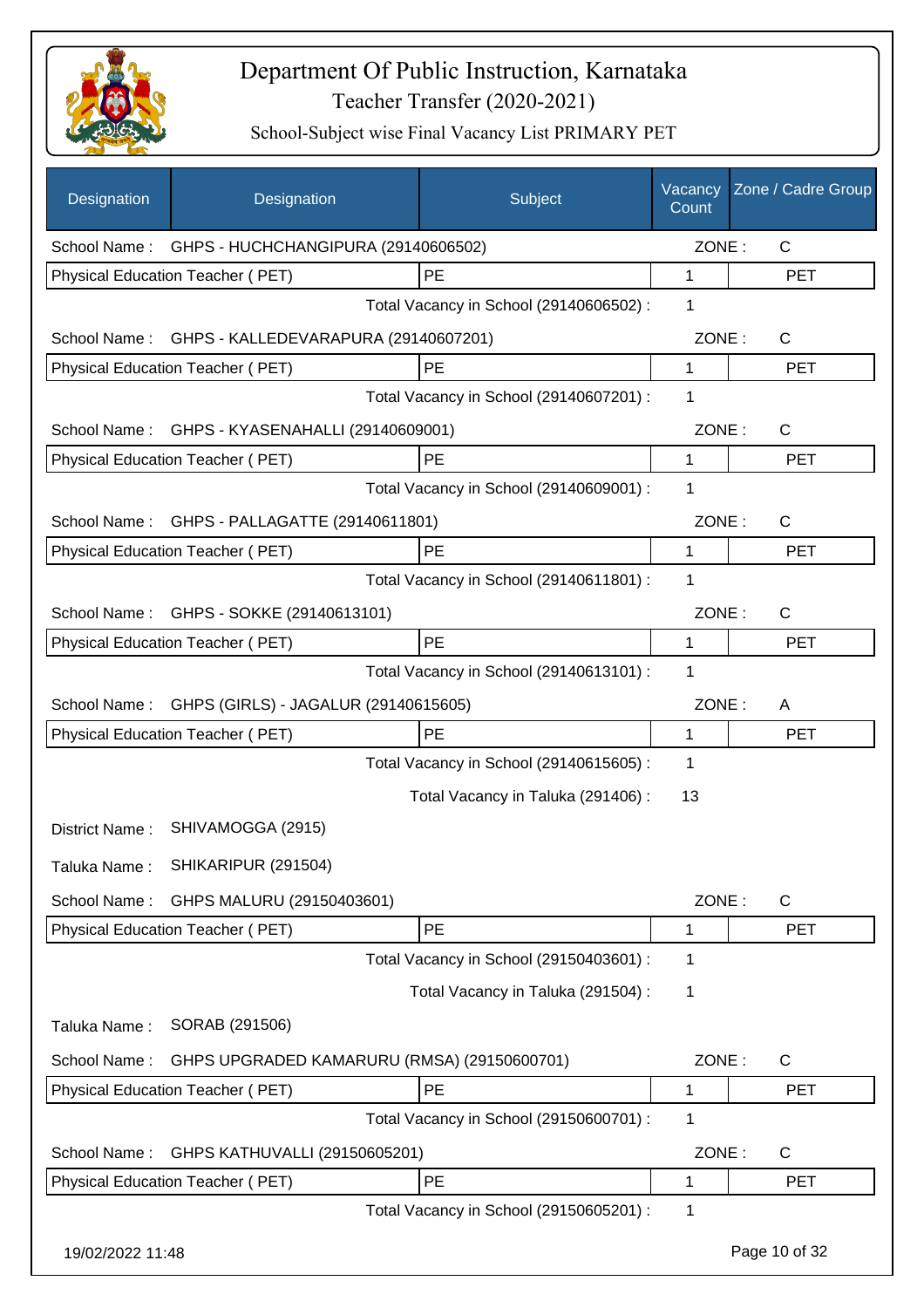

| <b>Designation</b> | Designation                                       | Subject                                 | Vacancy<br>Count | Zone / Cadre Group |
|--------------------|---------------------------------------------------|-----------------------------------------|------------------|--------------------|
|                    | School Name: GHPS - HUCHCHANGIPURA (29140606502)  |                                         | ZONE:            | $\mathsf{C}$       |
|                    | <b>Physical Education Teacher (PET)</b>           | PE                                      | 1                | <b>PET</b>         |
|                    |                                                   | Total Vacancy in School (29140606502) : | 1                |                    |
|                    | School Name: GHPS - KALLEDEVARAPURA (29140607201) |                                         | ZONE:            | $\mathsf{C}$       |
|                    | Physical Education Teacher (PET)                  | PE                                      | 1                | <b>PET</b>         |
|                    |                                                   | Total Vacancy in School (29140607201) : | 1                |                    |
|                    | School Name: GHPS - KYASENAHALLI (29140609001)    |                                         | ZONE:            | C                  |
|                    | Physical Education Teacher (PET)                  | <b>PE</b>                               | $\mathbf{1}$     | <b>PET</b>         |
|                    |                                                   | Total Vacancy in School (29140609001) : | 1                |                    |
| School Name:       | GHPS - PALLAGATTE (29140611801)                   |                                         | ZONE:            | $\mathsf{C}$       |
|                    | Physical Education Teacher (PET)                  | PE                                      | 1                | <b>PET</b>         |
|                    |                                                   | Total Vacancy in School (29140611801) : | 1                |                    |
|                    | School Name: GHPS - SOKKE (29140613101)           |                                         | ZONE:            | $\mathsf{C}$       |
|                    | Physical Education Teacher (PET)                  | PE                                      | 1                | <b>PET</b>         |
|                    |                                                   | Total Vacancy in School (29140613101) : | 1                |                    |
| School Name:       | GHPS (GIRLS) - JAGALUR (29140615605)              |                                         | ZONE:            | A                  |
|                    | Physical Education Teacher (PET)                  | <b>PE</b>                               | 1                | <b>PET</b>         |
|                    |                                                   | Total Vacancy in School (29140615605) : | 1                |                    |
|                    |                                                   | Total Vacancy in Taluka (291406):       | 13               |                    |
| District Name:     | SHIVAMOGGA (2915)                                 |                                         |                  |                    |
| Taluka Name:       | SHIKARIPUR (291504)                               |                                         |                  |                    |
| School Name:       | GHPS MALURU (29150403601)                         |                                         | ZONE:            | C                  |
|                    | Physical Education Teacher (PET)                  | PE                                      | 1                | <b>PET</b>         |
|                    |                                                   | Total Vacancy in School (29150403601) : | 1                |                    |
|                    |                                                   | Total Vacancy in Taluka (291504) :      | 1                |                    |
| Taluka Name:       | SORAB (291506)                                    |                                         |                  |                    |
| School Name:       | GHPS UPGRADED KAMARURU (RMSA) (29150600701)       |                                         | ZONE:            | C                  |
|                    | Physical Education Teacher (PET)                  | PE                                      | 1                | <b>PET</b>         |
|                    |                                                   | Total Vacancy in School (29150600701) : | 1                |                    |
| School Name:       | GHPS KATHUVALLI (29150605201)                     |                                         | ZONE:            | C                  |
|                    | Physical Education Teacher (PET)                  | PE                                      | 1                | <b>PET</b>         |
|                    |                                                   | Total Vacancy in School (29150605201) : | 1                |                    |
| 19/02/2022 11:48   |                                                   |                                         |                  | Page 10 of 32      |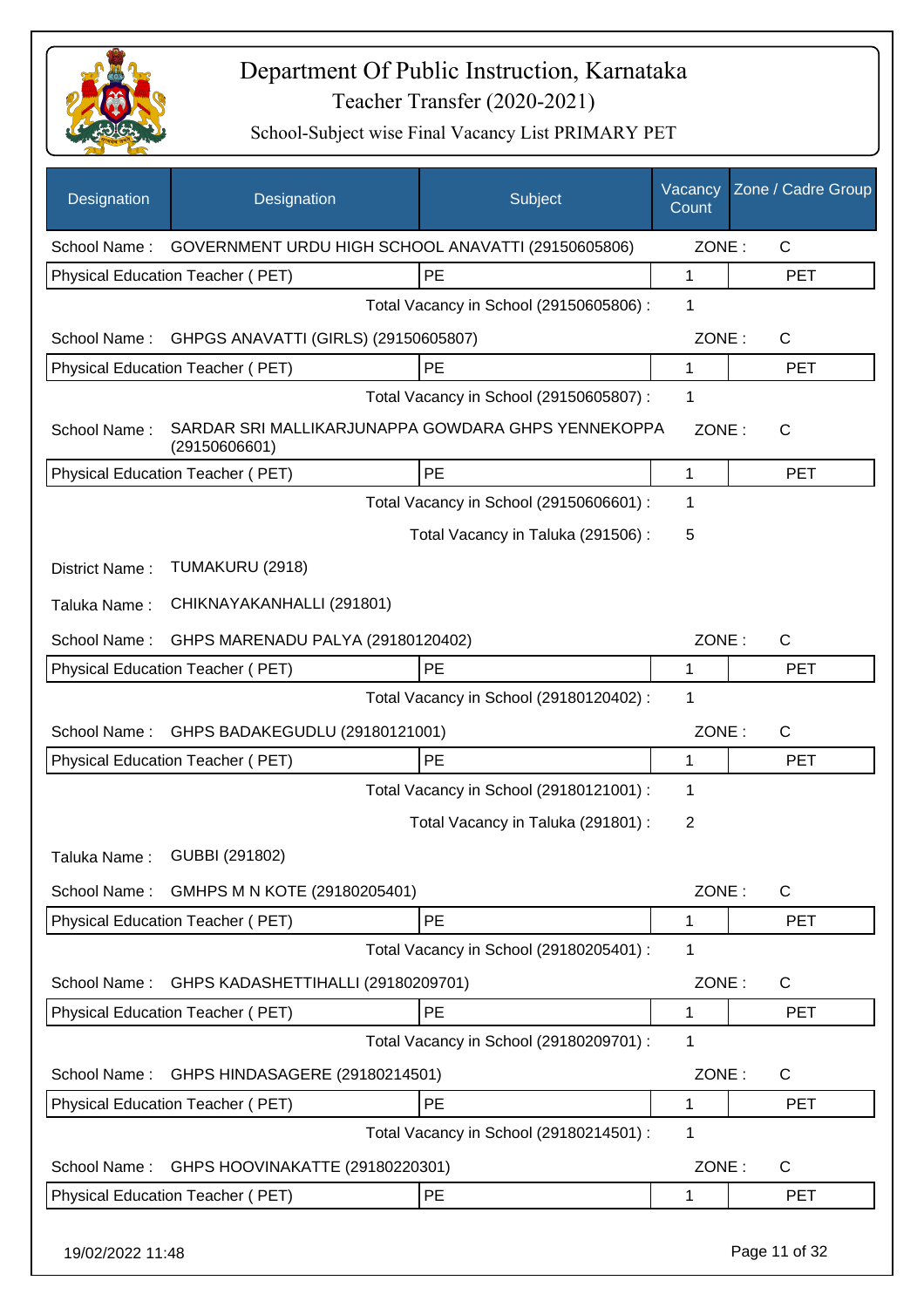

| Designation      | Designation                                                         | Subject                                 | Vacancy<br>Count | Zone / Cadre Group |
|------------------|---------------------------------------------------------------------|-----------------------------------------|------------------|--------------------|
| School Name:     | GOVERNMENT URDU HIGH SCHOOL ANAVATTI (29150605806)                  |                                         | ZONE:            | $\mathsf{C}$       |
|                  | Physical Education Teacher (PET)                                    | PE                                      | $\mathbf{1}$     | <b>PET</b>         |
|                  |                                                                     | Total Vacancy in School (29150605806) : | 1                |                    |
| School Name:     | GHPGS ANAVATTI (GIRLS) (29150605807)                                |                                         | ZONE:            | $\mathsf{C}$       |
|                  | Physical Education Teacher (PET)                                    | PE                                      | 1                | <b>PET</b>         |
|                  |                                                                     | Total Vacancy in School (29150605807) : | 1                |                    |
| School Name:     | SARDAR SRI MALLIKARJUNAPPA GOWDARA GHPS YENNEKOPPA<br>(29150606601) |                                         | ZONE:            | $\mathsf{C}$       |
|                  | Physical Education Teacher (PET)                                    | PE                                      | 1                | <b>PET</b>         |
|                  |                                                                     | Total Vacancy in School (29150606601) : | 1                |                    |
|                  |                                                                     | Total Vacancy in Taluka (291506) :      | 5                |                    |
| District Name:   | TUMAKURU (2918)                                                     |                                         |                  |                    |
| Taluka Name:     | CHIKNAYAKANHALLI (291801)                                           |                                         |                  |                    |
| School Name:     | GHPS MARENADU PALYA (29180120402)                                   |                                         | ZONE:            | $\mathsf{C}$       |
|                  | Physical Education Teacher (PET)                                    | PE                                      | 1                | <b>PET</b>         |
|                  |                                                                     | Total Vacancy in School (29180120402) : | 1                |                    |
| School Name:     | GHPS BADAKEGUDLU (29180121001)                                      |                                         | ZONE:            | C                  |
|                  | Physical Education Teacher (PET)                                    | PE                                      | $\mathbf{1}$     | <b>PET</b>         |
|                  |                                                                     | Total Vacancy in School (29180121001) : | 1                |                    |
|                  |                                                                     | Total Vacancy in Taluka (291801) :      | 2                |                    |
|                  | Taluka Name: GUBBI (291802)                                         |                                         |                  |                    |
| School Name:     | GMHPS M N KOTE (29180205401)                                        |                                         | ZONE:            | $\mathsf{C}$       |
|                  | <b>Physical Education Teacher (PET)</b>                             | PE                                      | 1                | <b>PET</b>         |
|                  |                                                                     | Total Vacancy in School (29180205401) : | 1                |                    |
| School Name:     | GHPS KADASHETTIHALLI (29180209701)                                  |                                         | ZONE:            | $\mathsf{C}$       |
|                  | Physical Education Teacher (PET)                                    | PE                                      | 1                | <b>PET</b>         |
|                  |                                                                     | Total Vacancy in School (29180209701) : | 1                |                    |
| School Name:     | GHPS HINDASAGERE (29180214501)                                      |                                         | ZONE:            | $\mathsf{C}$       |
|                  | Physical Education Teacher (PET)                                    | PE                                      | 1                | <b>PET</b>         |
|                  |                                                                     | Total Vacancy in School (29180214501) : | 1                |                    |
| School Name:     | GHPS HOOVINAKATTE (29180220301)                                     |                                         | ZONE:            | $\mathsf{C}$       |
|                  | Physical Education Teacher (PET)                                    | PE                                      | 1                | <b>PET</b>         |
| 19/02/2022 11:48 |                                                                     |                                         |                  | Page 11 of 32      |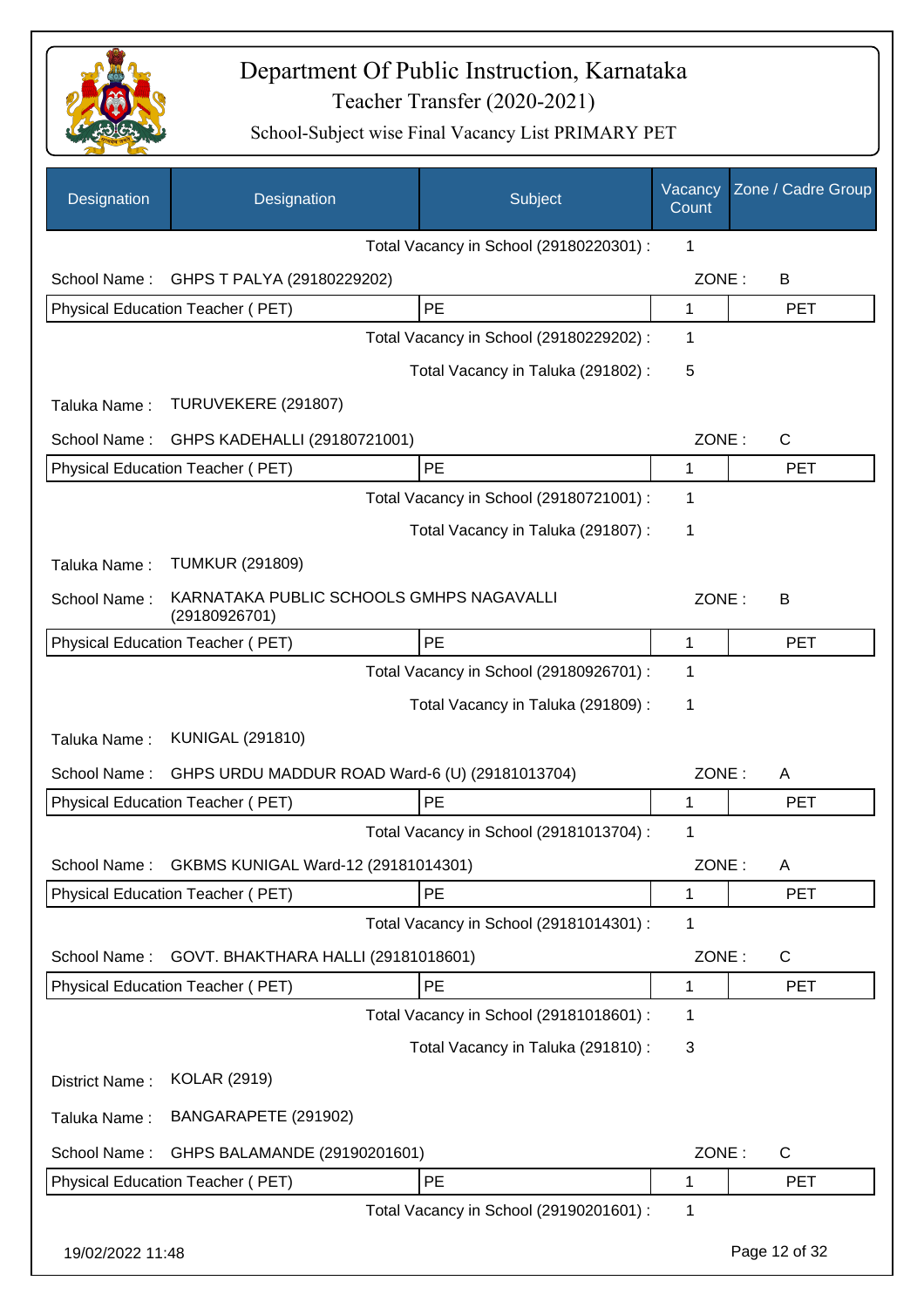

| Designation      | Designation                                               | Subject                                 | Vacancy<br>Count | Zone / Cadre Group |
|------------------|-----------------------------------------------------------|-----------------------------------------|------------------|--------------------|
|                  |                                                           | Total Vacancy in School (29180220301) : | 1                |                    |
| School Name:     | GHPS T PALYA (29180229202)                                |                                         | ZONE:            | B                  |
|                  | Physical Education Teacher (PET)                          | PE                                      | 1                | <b>PET</b>         |
|                  |                                                           | Total Vacancy in School (29180229202) : | 1                |                    |
|                  |                                                           | Total Vacancy in Taluka (291802):       | 5                |                    |
| Taluka Name:     | TURUVEKERE (291807)                                       |                                         |                  |                    |
| School Name:     | GHPS KADEHALLI (29180721001)                              |                                         | ZONE:            | $\mathsf{C}$       |
|                  | Physical Education Teacher (PET)                          | PE                                      | 1                | <b>PET</b>         |
|                  |                                                           | Total Vacancy in School (29180721001) : | 1                |                    |
|                  |                                                           | Total Vacancy in Taluka (291807):       | 1                |                    |
| Taluka Name:     | <b>TUMKUR (291809)</b>                                    |                                         |                  |                    |
| School Name:     | KARNATAKA PUBLIC SCHOOLS GMHPS NAGAVALLI<br>(29180926701) |                                         | ZONE:            | B                  |
|                  | Physical Education Teacher (PET)                          | PE                                      | 1                | <b>PET</b>         |
|                  |                                                           | Total Vacancy in School (29180926701) : | 1                |                    |
|                  |                                                           | Total Vacancy in Taluka (291809) :      | 1                |                    |
| Taluka Name:     | <b>KUNIGAL (291810)</b>                                   |                                         |                  |                    |
| School Name:     | GHPS URDU MADDUR ROAD Ward-6 (U) (29181013704)            |                                         | ZONE:            | A                  |
|                  | Physical Education Teacher (PET)                          | PE                                      | $\mathbf 1$      | <b>PET</b>         |
|                  |                                                           | Total Vacancy in School (29181013704) : | 1                |                    |
| School Name:     | GKBMS KUNIGAL Ward-12 (29181014301)                       |                                         | ZONE:            | Α                  |
|                  | Physical Education Teacher (PET)                          | PE                                      | 1                | PET                |
|                  |                                                           | Total Vacancy in School (29181014301) : | 1                |                    |
| School Name:     | GOVT. BHAKTHARA HALLI (29181018601)                       |                                         | ZONE:            | $\mathsf{C}$       |
|                  | Physical Education Teacher (PET)                          | PE                                      | 1                | <b>PET</b>         |
|                  |                                                           | Total Vacancy in School (29181018601) : | 1                |                    |
|                  |                                                           | Total Vacancy in Taluka (291810) :      | 3                |                    |
| District Name:   | <b>KOLAR (2919)</b>                                       |                                         |                  |                    |
| Taluka Name:     | BANGARAPETE (291902)                                      |                                         |                  |                    |
| School Name:     | GHPS BALAMANDE (29190201601)                              |                                         | ZONE:            | $\mathsf{C}$       |
|                  | Physical Education Teacher (PET)                          | PE                                      | 1                | <b>PET</b>         |
|                  |                                                           | Total Vacancy in School (29190201601) : | 1                |                    |
| 19/02/2022 11:48 |                                                           |                                         |                  | Page 12 of 32      |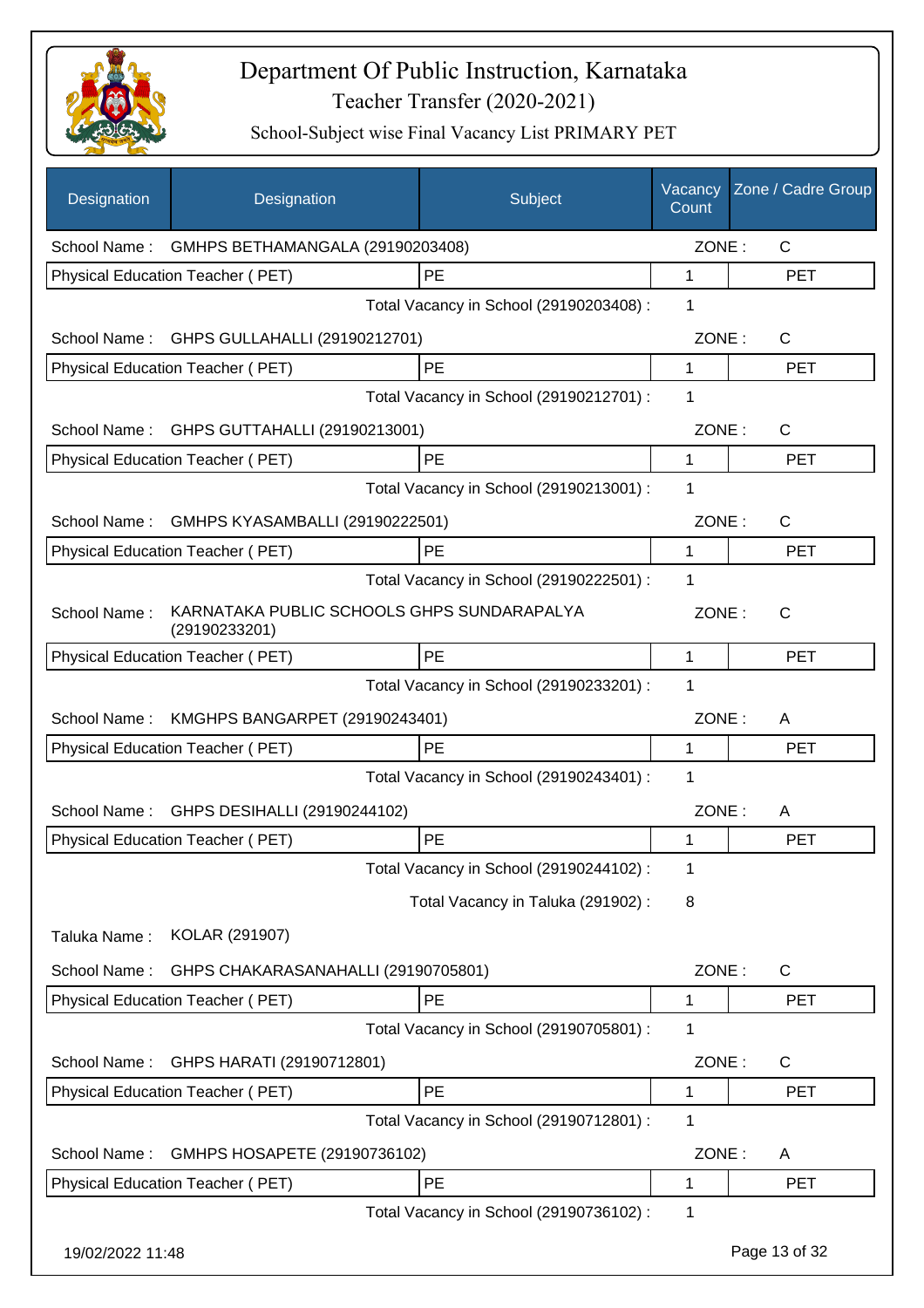

| Designation      | Designation                                                 | Subject                                 | Vacancy<br>Count | Zone / Cadre Group |
|------------------|-------------------------------------------------------------|-----------------------------------------|------------------|--------------------|
|                  | School Name: GMHPS BETHAMANGALA (29190203408)               |                                         | ZONE:            | $\mathsf{C}$       |
|                  | Physical Education Teacher (PET)                            | <b>PE</b>                               | 1                | <b>PET</b>         |
|                  |                                                             | Total Vacancy in School (29190203408) : | 1                |                    |
|                  | School Name: GHPS GULLAHALLI (29190212701)                  |                                         | ZONE:            | $\mathsf{C}$       |
|                  | Physical Education Teacher (PET)                            | PE                                      | 1                | <b>PET</b>         |
|                  |                                                             | Total Vacancy in School (29190212701) : | 1                |                    |
| School Name:     | GHPS GUTTAHALLI (29190213001)                               |                                         | ZONE:            | C                  |
|                  | Physical Education Teacher (PET)                            | PE                                      | 1                | <b>PET</b>         |
|                  |                                                             | Total Vacancy in School (29190213001) : | 1                |                    |
| School Name:     | GMHPS KYASAMBALLI (29190222501)                             |                                         | ZONE:            | $\mathsf{C}$       |
|                  | <b>Physical Education Teacher (PET)</b>                     | PE                                      | 1                | <b>PET</b>         |
|                  |                                                             | Total Vacancy in School (29190222501) : | 1                |                    |
| School Name:     | KARNATAKA PUBLIC SCHOOLS GHPS SUNDARAPALYA<br>(29190233201) |                                         | ZONE:            | $\mathsf{C}$       |
|                  | Physical Education Teacher (PET)                            | PE                                      | 1                | <b>PET</b>         |
|                  |                                                             | Total Vacancy in School (29190233201) : | 1                |                    |
| School Name:     | KMGHPS BANGARPET (29190243401)                              |                                         | ZONE:            | A                  |
|                  | Physical Education Teacher (PET)                            | PE                                      | 1                | <b>PET</b>         |
|                  |                                                             | Total Vacancy in School (29190243401) : | 1                |                    |
| School Name:     | GHPS DESIHALLI (29190244102)                                |                                         | ZONE:            | A                  |
|                  | Physical Education Teacher (PET)                            | PE                                      | 1                | <b>PET</b>         |
|                  |                                                             | Total Vacancy in School (29190244102) : | 1                |                    |
|                  |                                                             | Total Vacancy in Taluka (291902):       | 8                |                    |
| Taluka Name:     | KOLAR (291907)                                              |                                         |                  |                    |
| School Name:     | GHPS CHAKARASANAHALLI (29190705801)                         |                                         | ZONE:            | C                  |
|                  | Physical Education Teacher (PET)                            | PE                                      | 1                | <b>PET</b>         |
|                  |                                                             | Total Vacancy in School (29190705801) : | 1                |                    |
| School Name:     | GHPS HARATI (29190712801)                                   |                                         | ZONE:            | C                  |
|                  | Physical Education Teacher (PET)                            | PE                                      | 1                | <b>PET</b>         |
|                  |                                                             | Total Vacancy in School (29190712801) : | 1                |                    |
| School Name:     | GMHPS HOSAPETE (29190736102)                                |                                         | ZONE:            | A                  |
|                  | Physical Education Teacher (PET)                            | PE                                      | 1                | <b>PET</b>         |
|                  |                                                             | Total Vacancy in School (29190736102) : | 1                |                    |
| 19/02/2022 11:48 |                                                             |                                         |                  | Page 13 of 32      |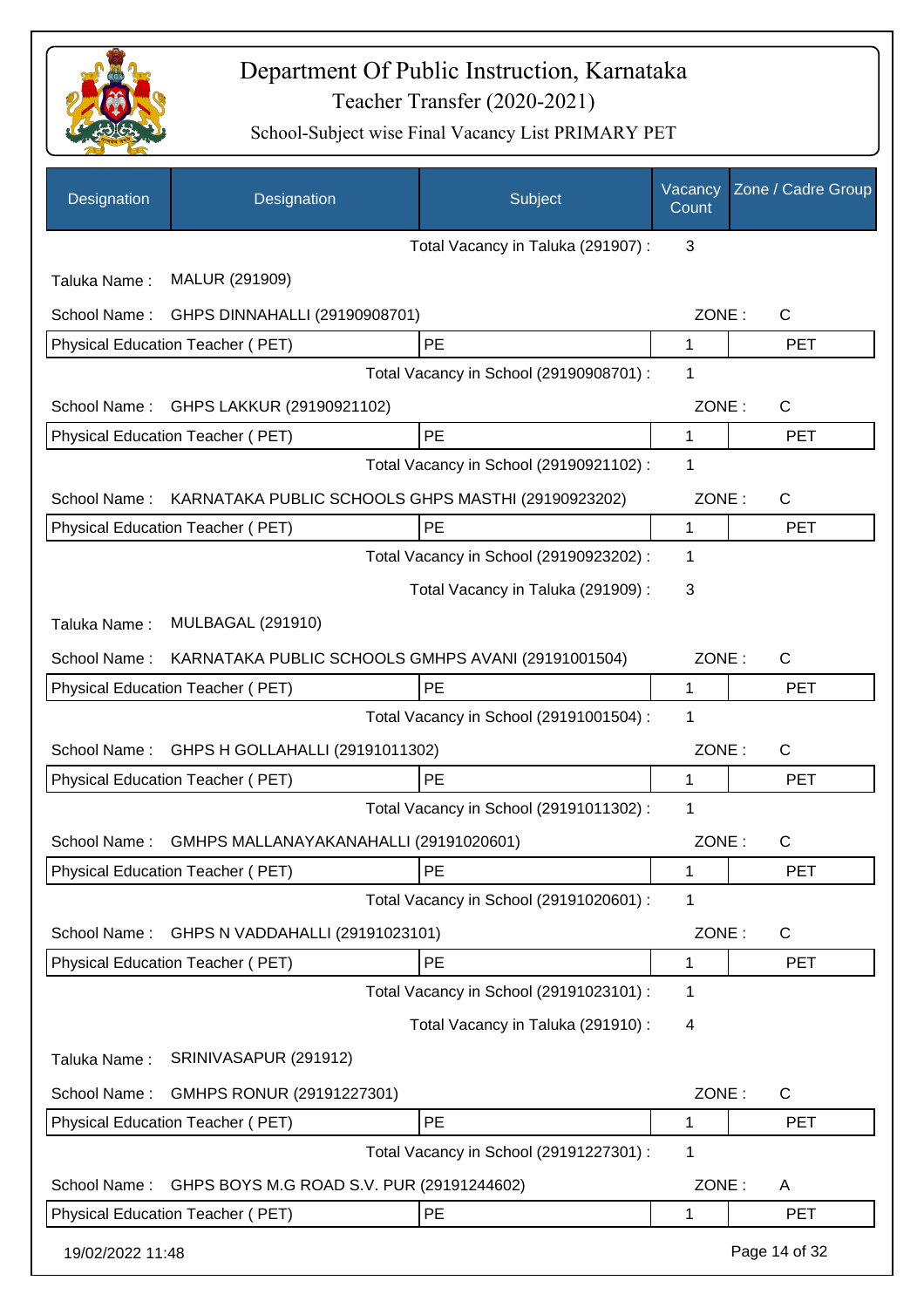

| Designation      | Designation                                        | Subject                                 | Vacancy<br>Count | Zone / Cadre Group |
|------------------|----------------------------------------------------|-----------------------------------------|------------------|--------------------|
|                  |                                                    | Total Vacancy in Taluka (291907) :      | 3                |                    |
| Taluka Name:     | MALUR (291909)                                     |                                         |                  |                    |
| School Name:     | GHPS DINNAHALLI (29190908701)                      |                                         | ZONE:            | $\mathsf{C}$       |
|                  | Physical Education Teacher (PET)                   | PE                                      | 1                | <b>PET</b>         |
|                  |                                                    | Total Vacancy in School (29190908701) : | 1                |                    |
| School Name:     | GHPS LAKKUR (29190921102)                          |                                         | ZONE:            | C                  |
|                  | Physical Education Teacher (PET)                   | PE                                      | 1                | <b>PET</b>         |
|                  |                                                    | Total Vacancy in School (29190921102) : | 1                |                    |
| School Name:     | KARNATAKA PUBLIC SCHOOLS GHPS MASTHI (29190923202) |                                         | ZONE:            | C                  |
|                  | Physical Education Teacher (PET)                   | PE                                      | $\mathbf{1}$     | <b>PET</b>         |
|                  |                                                    | Total Vacancy in School (29190923202) : | 1                |                    |
|                  |                                                    | Total Vacancy in Taluka (291909):       | 3                |                    |
| Taluka Name:     | <b>MULBAGAL (291910)</b>                           |                                         |                  |                    |
| School Name:     | KARNATAKA PUBLIC SCHOOLS GMHPS AVANI (29191001504) |                                         | ZONE:            | C                  |
|                  | <b>Physical Education Teacher (PET)</b>            | <b>PE</b>                               | 1                | <b>PET</b>         |
|                  |                                                    | Total Vacancy in School (29191001504) : | 1                |                    |
| School Name:     | GHPS H GOLLAHALLI (29191011302)                    |                                         | ZONE:            | $\mathsf{C}$       |
|                  | Physical Education Teacher (PET)                   | PE                                      | 1                | <b>PET</b>         |
|                  |                                                    | Total Vacancy in School (29191011302) : | 1                |                    |
| School Name:     | GMHPS MALLANAYAKANAHALLI (29191020601)             |                                         | ZONE:            | C                  |
|                  | Physical Education Teacher (PET)                   | PE                                      | 1                | <b>PET</b>         |
|                  |                                                    | Total Vacancy in School (29191020601) : | 1                |                    |
| School Name:     | GHPS N VADDAHALLI (29191023101)                    |                                         | ZONE:            | C                  |
|                  | Physical Education Teacher (PET)                   | PE                                      | 1                | <b>PET</b>         |
|                  |                                                    | Total Vacancy in School (29191023101) : | 1                |                    |
|                  |                                                    | Total Vacancy in Taluka (291910) :      | 4                |                    |
| Taluka Name:     | SRINIVASAPUR (291912)                              |                                         |                  |                    |
| School Name:     | GMHPS RONUR (29191227301)                          |                                         | ZONE:            | $\mathsf{C}$       |
|                  | Physical Education Teacher (PET)                   | PE                                      | 1                | <b>PET</b>         |
|                  |                                                    | Total Vacancy in School (29191227301) : | 1                |                    |
| School Name:     | GHPS BOYS M.G ROAD S.V. PUR (29191244602)          |                                         | ZONE:            | A                  |
|                  | Physical Education Teacher (PET)                   | PE                                      | 1                | <b>PET</b>         |
| 19/02/2022 11:48 |                                                    |                                         |                  | Page 14 of 32      |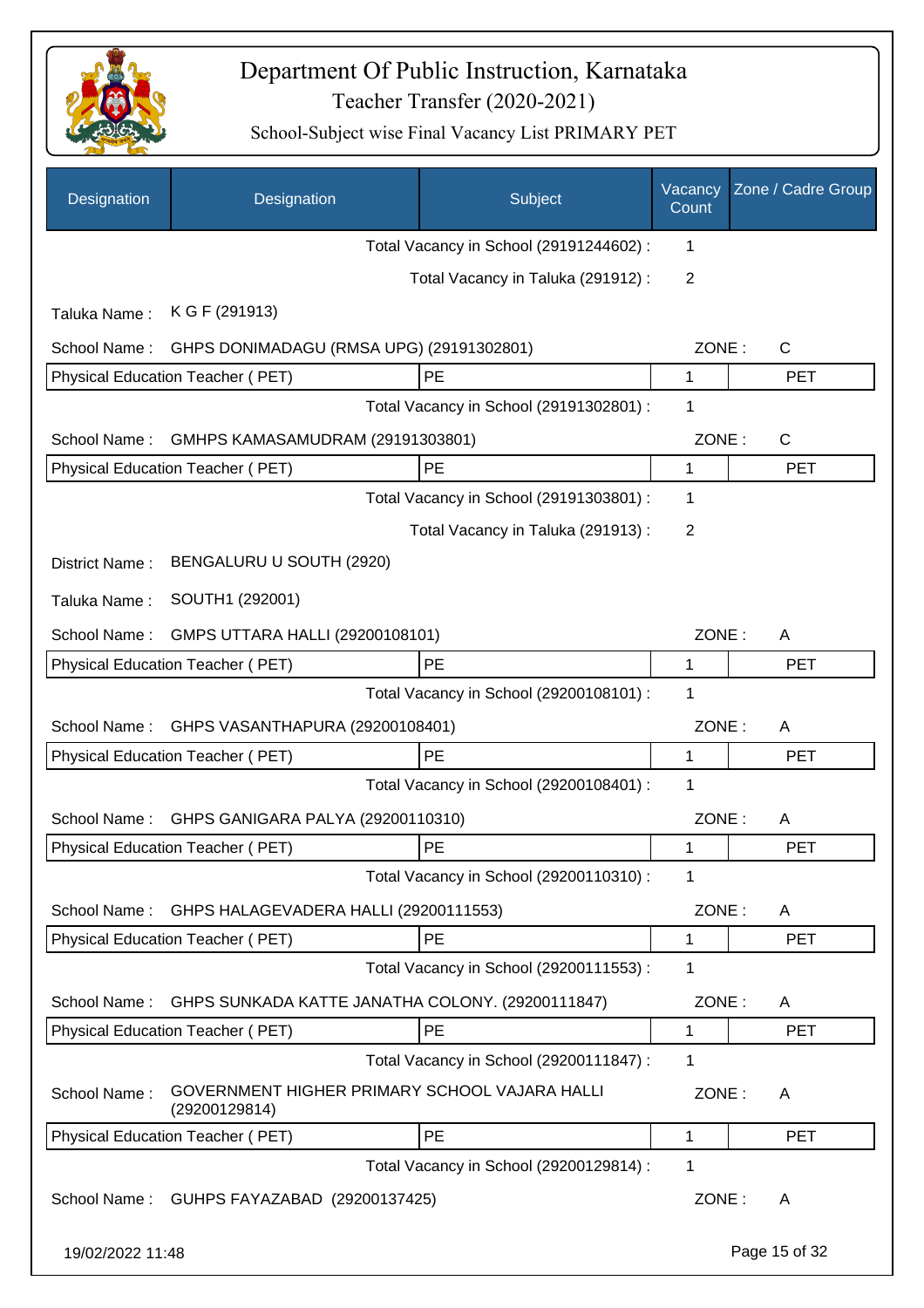

| Designation      | Designation                                                    | Subject                                 | Vacancy<br>Count | Zone / Cadre Group |
|------------------|----------------------------------------------------------------|-----------------------------------------|------------------|--------------------|
|                  |                                                                | Total Vacancy in School (29191244602) : | 1                |                    |
|                  |                                                                | Total Vacancy in Taluka (291912):       | $\overline{2}$   |                    |
| Taluka Name:     | K G F (291913)                                                 |                                         |                  |                    |
| School Name:     | GHPS DONIMADAGU (RMSA UPG) (29191302801)                       |                                         | ZONE:            | $\mathsf{C}$       |
|                  | Physical Education Teacher (PET)                               | PE                                      | 1                | <b>PET</b>         |
|                  |                                                                | Total Vacancy in School (29191302801) : | 1                |                    |
| School Name:     | GMHPS KAMASAMUDRAM (29191303801)                               |                                         | ZONE:            | $\mathsf{C}$       |
|                  | Physical Education Teacher (PET)                               | PE                                      | 1                | <b>PET</b>         |
|                  |                                                                | Total Vacancy in School (29191303801) : | 1                |                    |
|                  |                                                                | Total Vacancy in Taluka (291913):       | 2                |                    |
| District Name:   | BENGALURU U SOUTH (2920)                                       |                                         |                  |                    |
| Taluka Name:     | SOUTH1 (292001)                                                |                                         |                  |                    |
| School Name:     | GMPS UTTARA HALLI (29200108101)                                |                                         | ZONE:            | A                  |
|                  | Physical Education Teacher (PET)                               | PE                                      | 1                | <b>PET</b>         |
|                  |                                                                | Total Vacancy in School (29200108101) : | 1                |                    |
| School Name:     | GHPS VASANTHAPURA (29200108401)                                |                                         | ZONE:            | A                  |
|                  | Physical Education Teacher (PET)                               | PE                                      | 1                | <b>PET</b>         |
|                  |                                                                | Total Vacancy in School (29200108401) : | 1                |                    |
| School Name:     | GHPS GANIGARA PALYA (29200110310)                              |                                         | ZONE:            | A                  |
|                  | Physical Education Teacher (PET)                               | <b>PE</b>                               | 1                | <b>PET</b>         |
|                  |                                                                | Total Vacancy in School (29200110310) : | 1                |                    |
| School Name:     | GHPS HALAGEVADERA HALLI (29200111553)                          |                                         | ZONE:            | A                  |
|                  | Physical Education Teacher (PET)                               | PE                                      | 1                | <b>PET</b>         |
|                  |                                                                | Total Vacancy in School (29200111553) : | 1                |                    |
| School Name:     | GHPS SUNKADA KATTE JANATHA COLONY. (29200111847)               |                                         | ZONE:            | A                  |
|                  | <b>Physical Education Teacher (PET)</b>                        | PE                                      | 1                | <b>PET</b>         |
|                  |                                                                | Total Vacancy in School (29200111847) : | 1                |                    |
| School Name:     | GOVERNMENT HIGHER PRIMARY SCHOOL VAJARA HALLI<br>(29200129814) |                                         | ZONE:            | A                  |
|                  | Physical Education Teacher (PET)                               | PE                                      | 1                | <b>PET</b>         |
|                  |                                                                | Total Vacancy in School (29200129814) : | 1                |                    |
| School Name:     | GUHPS FAYAZABAD (29200137425)                                  |                                         | ZONE:            | A                  |
| 19/02/2022 11:48 |                                                                |                                         |                  | Page 15 of 32      |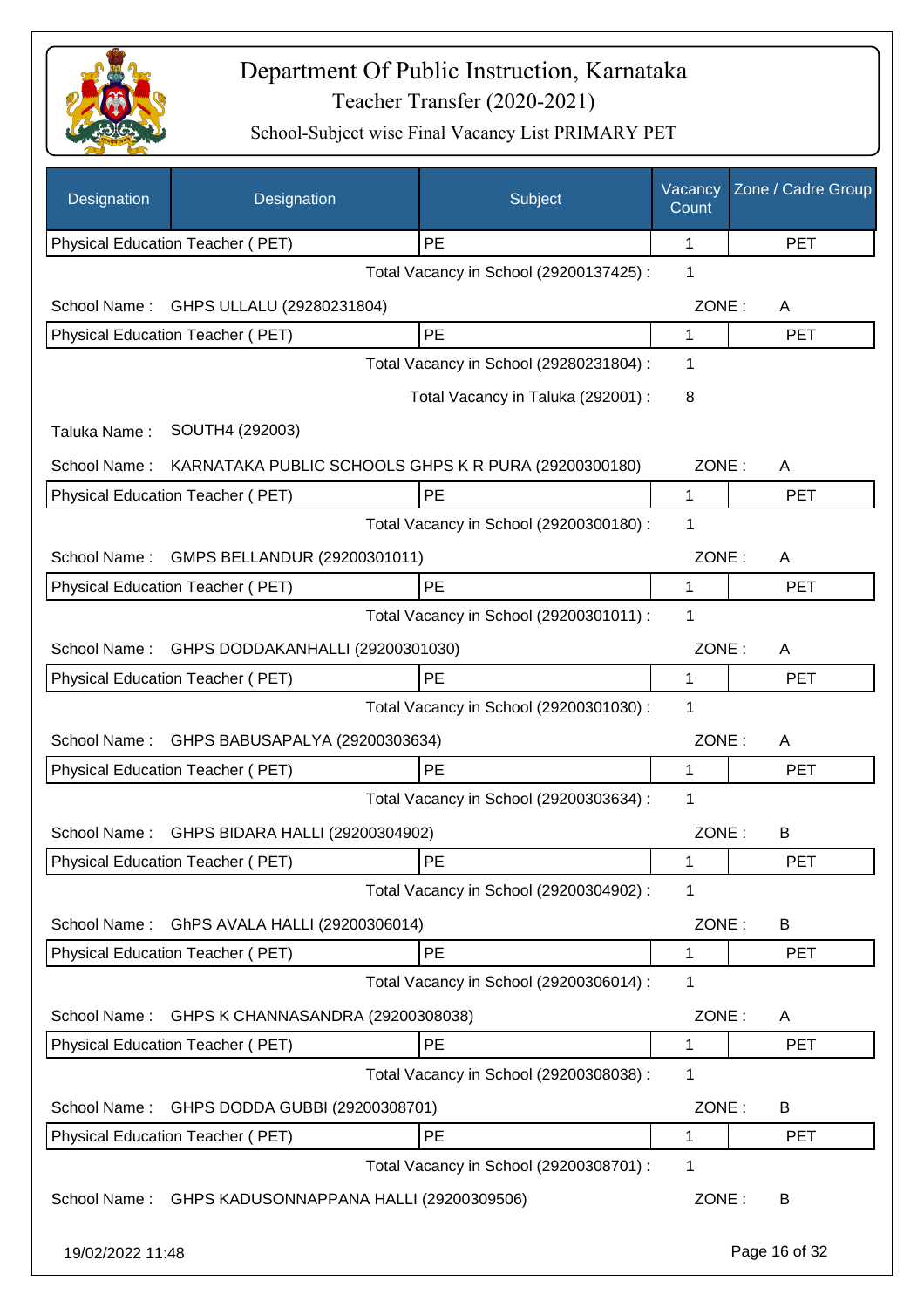

| Designation      | Designation                                          | Subject                                 | Vacancy<br>Count | Zone / Cadre Group |
|------------------|------------------------------------------------------|-----------------------------------------|------------------|--------------------|
|                  | Physical Education Teacher (PET)                     | PE                                      | 1                | <b>PET</b>         |
|                  |                                                      | Total Vacancy in School (29200137425) : | 1                |                    |
| School Name:     | GHPS ULLALU (29280231804)                            |                                         | ZONE:            | A                  |
|                  | Physical Education Teacher (PET)                     | PE                                      | 1                | <b>PET</b>         |
|                  |                                                      | Total Vacancy in School (29280231804) : | 1                |                    |
|                  |                                                      | Total Vacancy in Taluka (292001) :      | 8                |                    |
| Taluka Name:     | SOUTH4 (292003)                                      |                                         |                  |                    |
| School Name:     | KARNATAKA PUBLIC SCHOOLS GHPS K R PURA (29200300180) |                                         | ZONE:            | A                  |
|                  | Physical Education Teacher (PET)                     | PE                                      | 1                | <b>PET</b>         |
|                  |                                                      | Total Vacancy in School (29200300180) : | 1                |                    |
| School Name:     | GMPS BELLANDUR (29200301011)                         |                                         | ZONE:            | A                  |
|                  | Physical Education Teacher (PET)                     | PE                                      | 1                | <b>PET</b>         |
|                  |                                                      | Total Vacancy in School (29200301011) : | 1                |                    |
| School Name:     | GHPS DODDAKANHALLI (29200301030)                     |                                         | ZONE:            | A                  |
|                  | Physical Education Teacher (PET)                     | PE                                      | 1                | <b>PET</b>         |
|                  |                                                      | Total Vacancy in School (29200301030) : | 1                |                    |
| School Name:     | GHPS BABUSAPALYA (29200303634)                       |                                         | ZONE:            | A                  |
|                  | <b>Physical Education Teacher (PET)</b>              | PE                                      | 1                | <b>PET</b>         |
|                  |                                                      | Total Vacancy in School (29200303634) : | 1                |                    |
|                  | School Name: GHPS BIDARA HALLI (29200304902)         |                                         | ZONE:            | B                  |
|                  | Physical Education Teacher (PET)                     | PE                                      | 1                | PET                |
|                  |                                                      | Total Vacancy in School (29200304902) : | 1                |                    |
| School Name:     | GhPS AVALA HALLI (29200306014)                       |                                         | ZONE:            | B                  |
|                  | Physical Education Teacher (PET)                     | PE                                      | 1                | <b>PET</b>         |
|                  |                                                      | Total Vacancy in School (29200306014) : | 1                |                    |
| School Name:     | GHPS K CHANNASANDRA (29200308038)                    |                                         | ZONE:            | A                  |
|                  | Physical Education Teacher (PET)                     | <b>PE</b>                               | 1                | <b>PET</b>         |
|                  |                                                      | Total Vacancy in School (29200308038) : | 1                |                    |
| School Name:     | GHPS DODDA GUBBI (29200308701)                       |                                         | ZONE:            | B                  |
|                  | Physical Education Teacher (PET)                     | PE                                      | 1                | <b>PET</b>         |
|                  |                                                      | Total Vacancy in School (29200308701) : | 1                |                    |
| School Name:     | GHPS KADUSONNAPPANA HALLI (29200309506)              |                                         | ZONE:            | B                  |
| 19/02/2022 11:48 |                                                      |                                         |                  | Page 16 of 32      |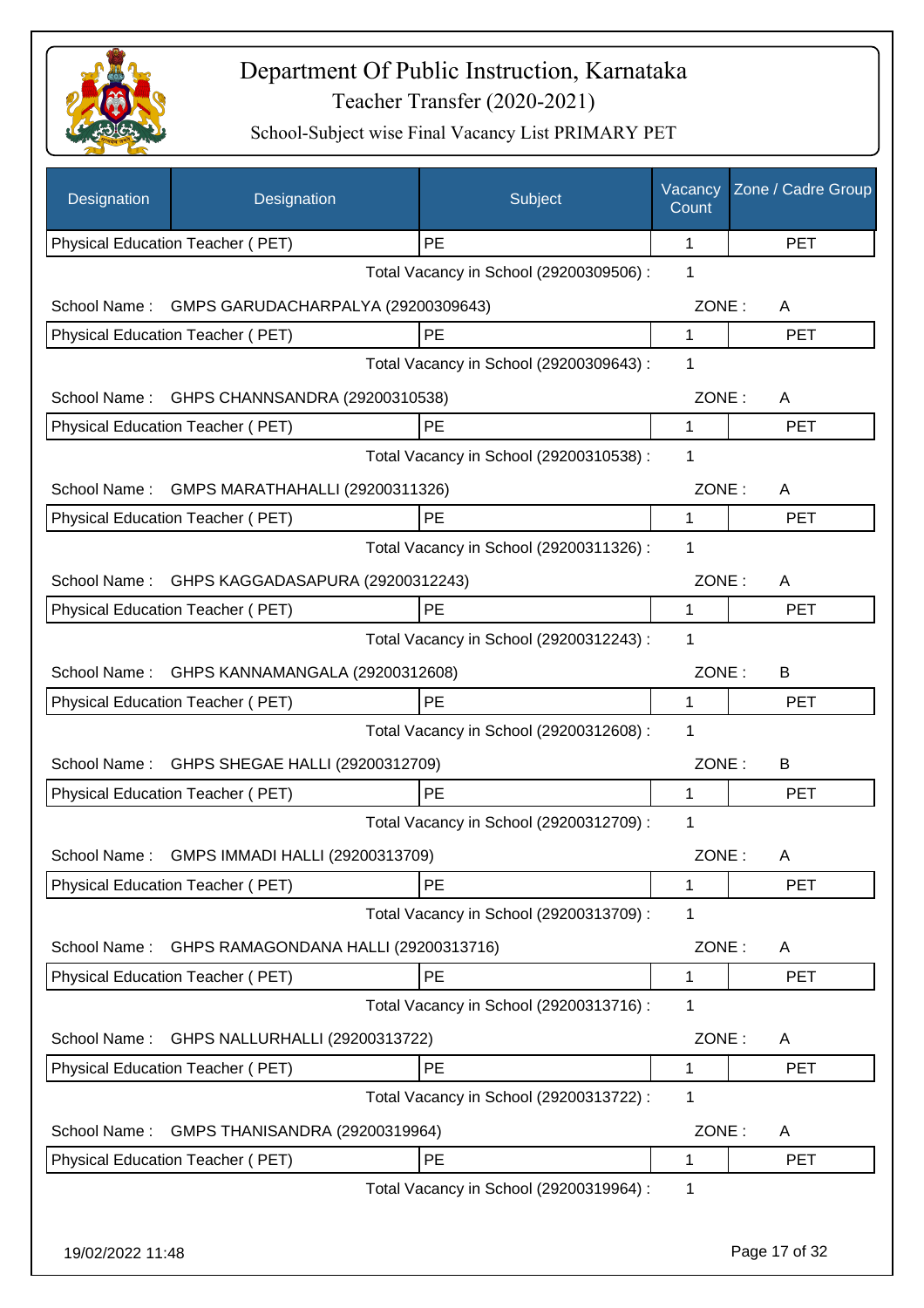

| Designation      | Designation                                                              | Subject                                 | Vacancy<br>Count | Zone / Cadre Group |
|------------------|--------------------------------------------------------------------------|-----------------------------------------|------------------|--------------------|
|                  | Physical Education Teacher (PET)                                         | <b>PE</b>                               | 1                | <b>PET</b>         |
|                  |                                                                          | Total Vacancy in School (29200309506) : | 1                |                    |
| School Name:     | GMPS GARUDACHARPALYA (29200309643)                                       |                                         | ZONE:            | A                  |
|                  | Physical Education Teacher (PET)                                         | PE                                      | 1                | <b>PET</b>         |
|                  |                                                                          | Total Vacancy in School (29200309643) : | 1                |                    |
| School Name:     | GHPS CHANNSANDRA (29200310538)                                           |                                         | ZONE:            | A                  |
|                  | Physical Education Teacher (PET)                                         | PE                                      | 1                | <b>PET</b>         |
|                  |                                                                          | Total Vacancy in School (29200310538) : | 1                |                    |
| School Name:     | GMPS MARATHAHALLI (29200311326)                                          |                                         | ZONE:            | A                  |
|                  | Physical Education Teacher (PET)                                         | PE                                      | 1                | <b>PET</b>         |
|                  |                                                                          | Total Vacancy in School (29200311326) : | 1                |                    |
| School Name:     | GHPS KAGGADASAPURA (29200312243)                                         |                                         | ZONE:            | A                  |
|                  | <b>Physical Education Teacher (PET)</b>                                  | PE                                      | 1                | <b>PET</b>         |
|                  |                                                                          | Total Vacancy in School (29200312243) : | 1                |                    |
| School Name:     | GHPS KANNAMANGALA (29200312608)                                          |                                         | ZONE:            | B                  |
|                  | Physical Education Teacher (PET)                                         | PE                                      | 1                | <b>PET</b>         |
|                  |                                                                          | Total Vacancy in School (29200312608) : | 1                |                    |
| School Name:     | GHPS SHEGAE HALLI (29200312709)                                          |                                         | ZONE:            | B                  |
|                  | Physical Education Teacher (PET)                                         | PE                                      | 1                | <b>PET</b>         |
|                  |                                                                          | Total Vacancy in School (29200312709) : | 1                |                    |
| School Name :    | GMPS IMMADI HALLI (29200313709)                                          |                                         | ZONE:            |                    |
|                  | Physical Education Teacher (PET)                                         | PE                                      | 1                | A<br><b>PET</b>    |
|                  |                                                                          | Total Vacancy in School (29200313709) : | 1                |                    |
|                  |                                                                          |                                         |                  |                    |
| School Name:     | GHPS RAMAGONDANA HALLI (29200313716)<br>Physical Education Teacher (PET) | PE                                      | ZONE:<br>1       | A<br><b>PET</b>    |
|                  |                                                                          | Total Vacancy in School (29200313716) : | 1                |                    |
|                  |                                                                          |                                         |                  |                    |
| School Name:     | GHPS NALLURHALLI (29200313722)                                           |                                         | ZONE:            | A                  |
|                  | Physical Education Teacher (PET)                                         | PE                                      | 1                | <b>PET</b>         |
|                  |                                                                          | Total Vacancy in School (29200313722) : | 1                |                    |
| School Name:     | GMPS THANISANDRA (29200319964)                                           |                                         | ZONE:            | A                  |
|                  | Physical Education Teacher (PET)                                         | PE                                      | 1                | <b>PET</b>         |
|                  |                                                                          | Total Vacancy in School (29200319964) : | 1                |                    |
| 19/02/2022 11:48 |                                                                          |                                         |                  | Page 17 of 32      |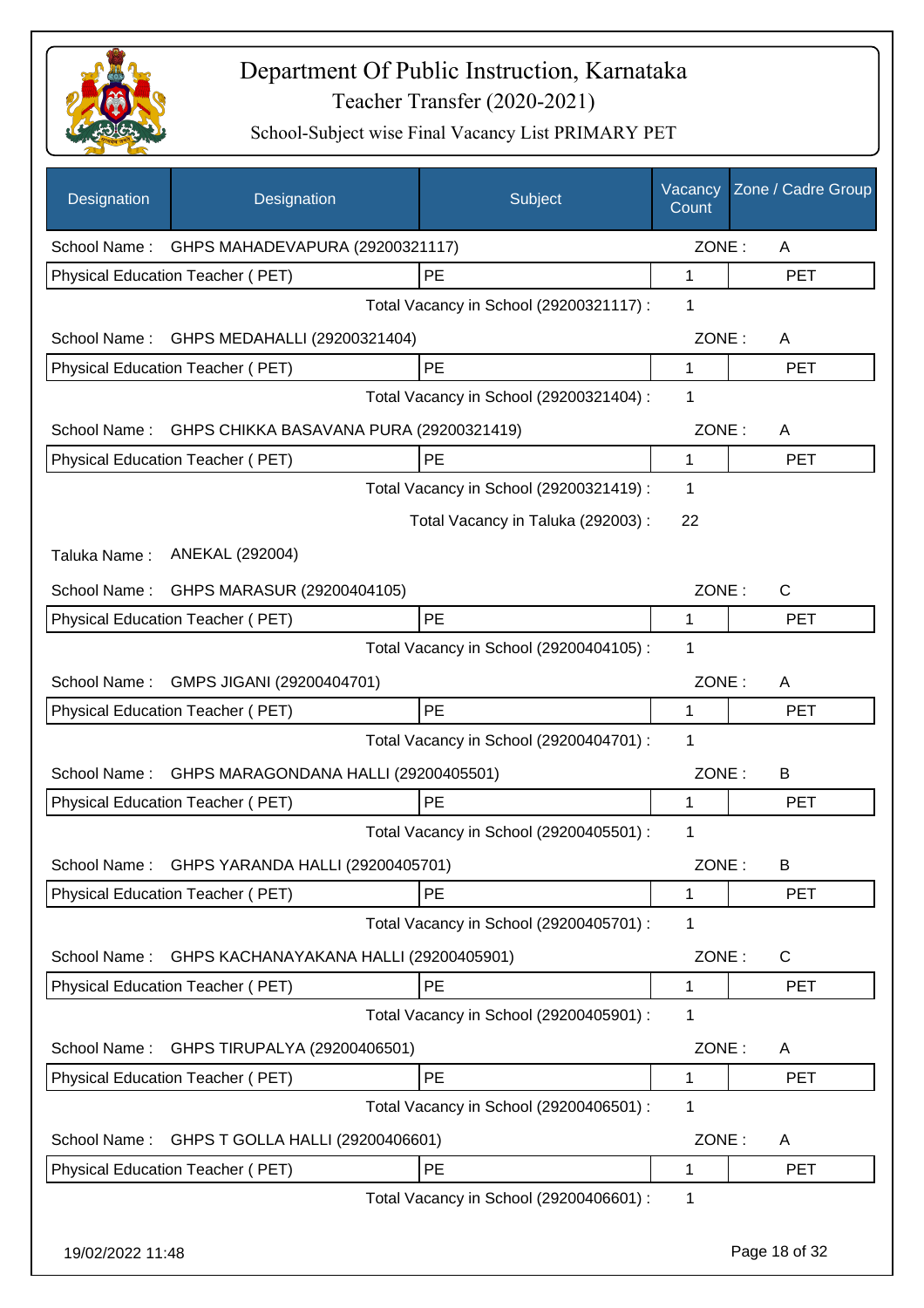

| Designation      | Designation                                          | Subject                                 | Vacancy<br>Count | Zone / Cadre Group |
|------------------|------------------------------------------------------|-----------------------------------------|------------------|--------------------|
|                  | School Name: GHPS MAHADEVAPURA (29200321117)         |                                         | ZONE:            | A                  |
|                  | Physical Education Teacher (PET)                     | PE                                      | 1                | <b>PET</b>         |
|                  |                                                      | Total Vacancy in School (29200321117) : | 1                |                    |
| School Name:     | GHPS MEDAHALLI (29200321404)                         |                                         | ZONE:            | A                  |
|                  | Physical Education Teacher (PET)                     | PE                                      | $\mathbf{1}$     | <b>PET</b>         |
|                  |                                                      | Total Vacancy in School (29200321404) : | 1                |                    |
|                  | School Name: GHPS CHIKKA BASAVANA PURA (29200321419) |                                         | ZONE:            | A                  |
|                  | Physical Education Teacher (PET)                     | PE                                      | $\mathbf 1$      | <b>PET</b>         |
|                  |                                                      | Total Vacancy in School (29200321419) : | 1                |                    |
|                  |                                                      | Total Vacancy in Taluka (292003) :      | 22               |                    |
| Taluka Name:     | ANEKAL (292004)                                      |                                         |                  |                    |
| School Name:     | GHPS MARASUR (29200404105)                           |                                         | ZONE:            | C                  |
|                  | Physical Education Teacher (PET)                     | PE                                      | 1                | <b>PET</b>         |
|                  |                                                      | Total Vacancy in School (29200404105) : | 1                |                    |
| School Name:     | GMPS JIGANI (29200404701)                            |                                         | ZONE:            | A                  |
|                  | Physical Education Teacher (PET)                     | PE                                      | 1                | <b>PET</b>         |
|                  |                                                      | Total Vacancy in School (29200404701) : | 1                |                    |
| School Name:     | GHPS MARAGONDANA HALLI (29200405501)                 |                                         | ZONE:            | B                  |
|                  | Physical Education Teacher (PET)                     | PE                                      | 1                | <b>PET</b>         |
|                  |                                                      | Total Vacancy in School (29200405501) : | 1                |                    |
|                  | School Name: GHPS YARANDA HALLI (29200405701)        |                                         | ZONE:            | B                  |
|                  | Physical Education Teacher (PET)                     | PE                                      | 1                | <b>PET</b>         |
|                  |                                                      | Total Vacancy in School (29200405701) : | 1                |                    |
| School Name:     | GHPS KACHANAYAKANA HALLI (29200405901)               |                                         | ZONE:            | C                  |
|                  | Physical Education Teacher (PET)                     | <b>PE</b>                               | 1                | <b>PET</b>         |
|                  |                                                      | Total Vacancy in School (29200405901) : | 1                |                    |
| School Name:     | GHPS TIRUPALYA (29200406501)                         |                                         | ZONE:            | A                  |
|                  | Physical Education Teacher (PET)                     | PE                                      | 1                | <b>PET</b>         |
|                  |                                                      | Total Vacancy in School (29200406501) : | 1                |                    |
| School Name:     | GHPS T GOLLA HALLI (29200406601)                     |                                         | ZONE:            | Α                  |
|                  | Physical Education Teacher (PET)                     | PE                                      | 1                | <b>PET</b>         |
|                  |                                                      | Total Vacancy in School (29200406601) : | 1                |                    |
| 19/02/2022 11:48 |                                                      |                                         |                  | Page 18 of 32      |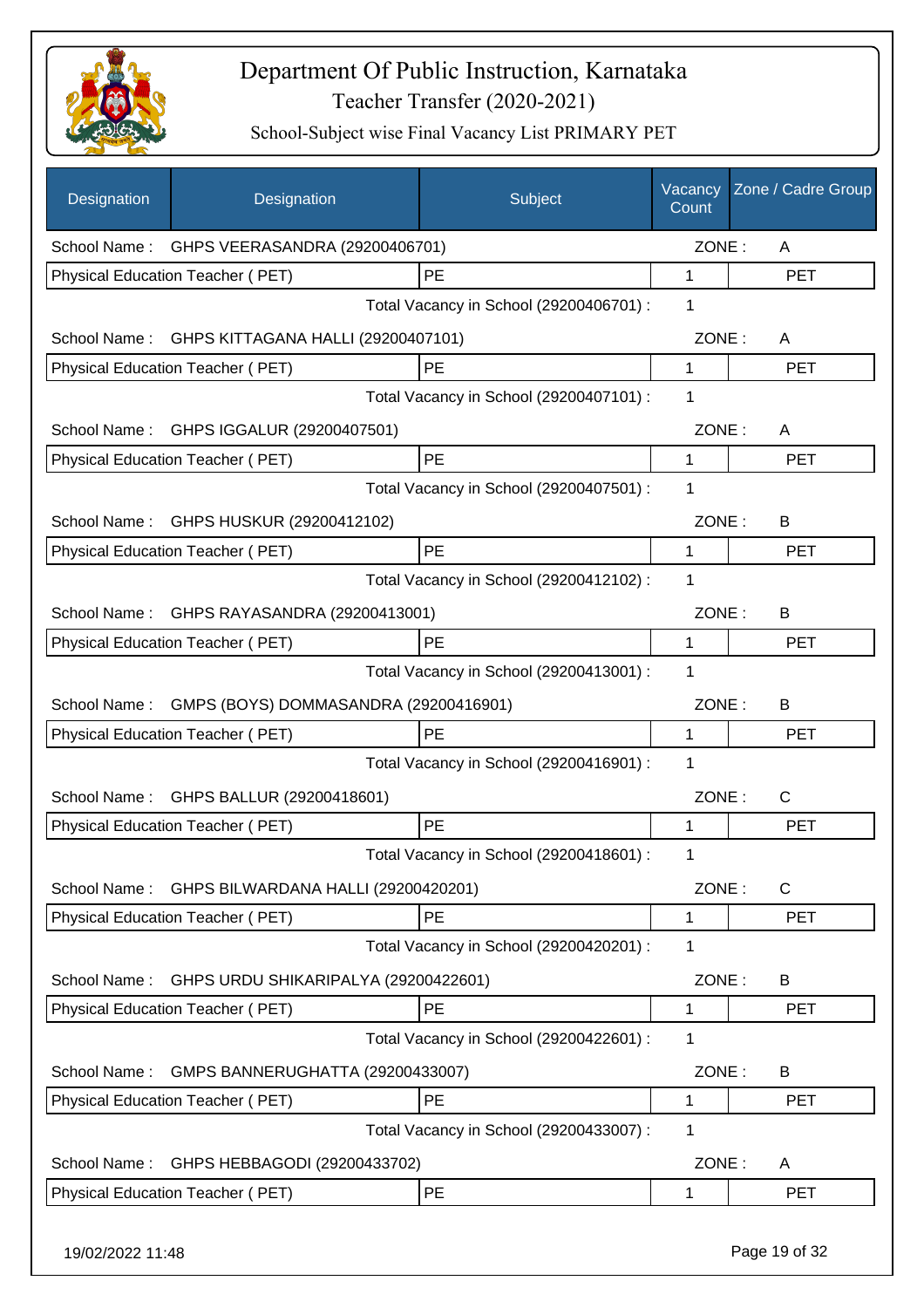

| Designation      | Designation                                 | Subject                                 | Vacancy<br>Count | Zone / Cadre Group |
|------------------|---------------------------------------------|-----------------------------------------|------------------|--------------------|
|                  | School Name: GHPS VEERASANDRA (29200406701) |                                         | ZONE:            | A                  |
|                  | Physical Education Teacher (PET)            | PE                                      | 1                | <b>PET</b>         |
|                  |                                             | Total Vacancy in School (29200406701) : | 1                |                    |
| School Name:     | GHPS KITTAGANA HALLI (29200407101)          |                                         | ZONE:            | A                  |
|                  | Physical Education Teacher (PET)            | PE                                      | $\mathbf{1}$     | <b>PET</b>         |
|                  |                                             | Total Vacancy in School (29200407101) : | 1                |                    |
|                  | School Name: GHPS IGGALUR (29200407501)     |                                         | ZONE:            | A                  |
|                  | Physical Education Teacher (PET)            | PE                                      | 1                | <b>PET</b>         |
|                  |                                             | Total Vacancy in School (29200407501) : | $\mathbf 1$      |                    |
|                  | School Name: GHPS HUSKUR (29200412102)      |                                         | ZONE:            | B                  |
|                  | Physical Education Teacher (PET)            | <b>PE</b>                               | 1                | PET                |
|                  |                                             | Total Vacancy in School (29200412102) : | 1                |                    |
| School Name:     | GHPS RAYASANDRA (29200413001)               |                                         | ZONE:            | B                  |
|                  | Physical Education Teacher (PET)            | PE                                      | 1                | <b>PET</b>         |
|                  |                                             | Total Vacancy in School (29200413001) : | 1                |                    |
| School Name:     | GMPS (BOYS) DOMMASANDRA (29200416901)       |                                         | ZONE:            | B                  |
|                  | Physical Education Teacher (PET)            | PE                                      | 1                | <b>PET</b>         |
|                  |                                             | Total Vacancy in School (29200416901) : | 1                |                    |
| School Name:     | GHPS BALLUR (29200418601)                   |                                         | ZONE:            | C                  |
|                  | Physical Education Teacher (PET)            | PE                                      | 1                | <b>PET</b>         |
|                  |                                             | Total Vacancy in School (29200418601) : | 1                |                    |
| School Name:     | GHPS BILWARDANA HALLI (29200420201)         |                                         | ZONE:            | $\mathsf{C}$       |
|                  | Physical Education Teacher (PET)            | PE                                      | 1                | <b>PET</b>         |
|                  |                                             | Total Vacancy in School (29200420201) : | 1                |                    |
| School Name:     | GHPS URDU SHIKARIPALYA (29200422601)        |                                         | ZONE:            | B                  |
|                  | Physical Education Teacher (PET)            | PE                                      | 1                | <b>PET</b>         |
|                  |                                             | Total Vacancy in School (29200422601) : | 1                |                    |
| School Name:     | GMPS BANNERUGHATTA (29200433007)            |                                         | ZONE:            | B                  |
|                  | Physical Education Teacher (PET)            | PE                                      | 1                | <b>PET</b>         |
|                  |                                             | Total Vacancy in School (29200433007) : | 1                |                    |
| School Name:     | GHPS HEBBAGODI (29200433702)                |                                         | ZONE:            | A                  |
|                  | Physical Education Teacher (PET)            | PE                                      | 1                | <b>PET</b>         |
| 19/02/2022 11:48 |                                             |                                         |                  | Page 19 of 32      |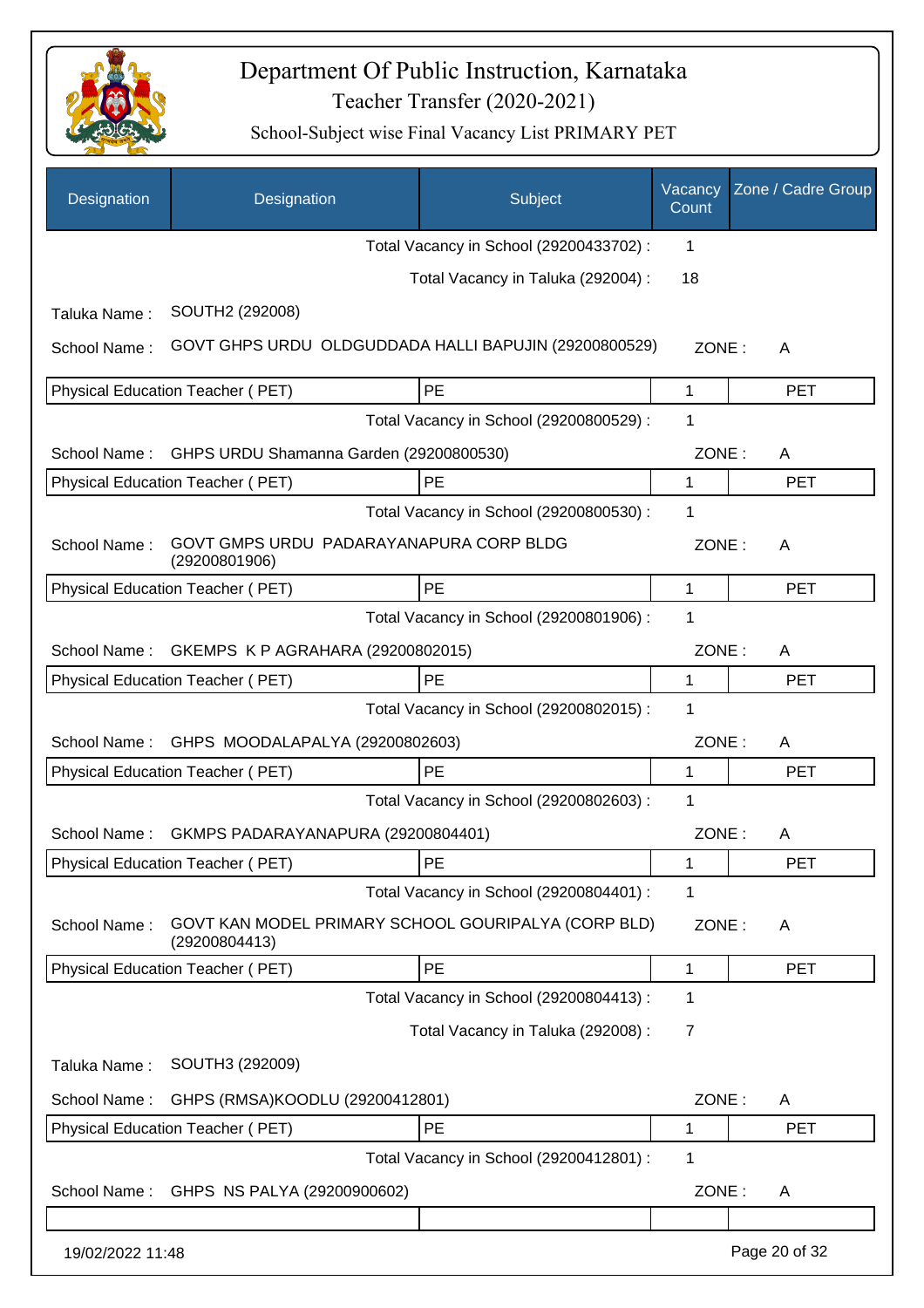

| <b>Designation</b> | Designation                                                          | Subject                                 | Vacancy<br>Count | Zone / Cadre Group |
|--------------------|----------------------------------------------------------------------|-----------------------------------------|------------------|--------------------|
|                    |                                                                      | Total Vacancy in School (29200433702) : | 1                |                    |
|                    |                                                                      | Total Vacancy in Taluka (292004) :      | 18               |                    |
| Taluka Name:       | SOUTH2 (292008)                                                      |                                         |                  |                    |
| School Name:       | GOVT GHPS URDU OLDGUDDADA HALLI BAPUJIN (29200800529)                |                                         | ZONE:            | A                  |
|                    | <b>Physical Education Teacher (PET)</b>                              | PE                                      | 1                | <b>PET</b>         |
|                    |                                                                      | Total Vacancy in School (29200800529) : | 1                |                    |
| School Name:       | GHPS URDU Shamanna Garden (29200800530)                              |                                         | ZONE:            | A                  |
|                    | Physical Education Teacher (PET)                                     | PE                                      | 1                | <b>PET</b>         |
|                    |                                                                      | Total Vacancy in School (29200800530) : | 1                |                    |
| School Name:       | GOVT GMPS URDU PADARAYANAPURA CORP BLDG<br>(29200801906)             |                                         | ZONE:            | A                  |
|                    | Physical Education Teacher (PET)                                     | PE                                      | 1                | <b>PET</b>         |
|                    |                                                                      | Total Vacancy in School (29200801906) : | 1                |                    |
| School Name:       | GKEMPS K P AGRAHARA (29200802015)                                    |                                         | ZONE:            | A                  |
|                    | Physical Education Teacher (PET)                                     | PE                                      | 1                | <b>PET</b>         |
|                    |                                                                      | Total Vacancy in School (29200802015) : | 1                |                    |
| School Name:       | GHPS MOODALAPALYA (29200802603)                                      |                                         | ZONE:            | A                  |
|                    | Physical Education Teacher (PET)                                     | <b>PE</b>                               | 1                | <b>PET</b>         |
|                    |                                                                      | Total Vacancy in School (29200802603) : | 1                |                    |
| School Name:       | GKMPS PADARAYANAPURA (29200804401)                                   |                                         | ZONE:            | A                  |
|                    | Physical Education Teacher (PET)                                     | PE.                                     | 1                | <b>PET</b>         |
|                    |                                                                      | Total Vacancy in School (29200804401) : | 1                |                    |
| School Name:       | GOVT KAN MODEL PRIMARY SCHOOL GOURIPALYA (CORP BLD)<br>(29200804413) |                                         | ZONE:            | A                  |
|                    | Physical Education Teacher (PET)                                     | PE                                      | 1                | <b>PET</b>         |
|                    |                                                                      | Total Vacancy in School (29200804413) : | 1                |                    |
|                    |                                                                      | Total Vacancy in Taluka (292008) :      | $\overline{7}$   |                    |
| Taluka Name:       | SOUTH3 (292009)                                                      |                                         |                  |                    |
| School Name:       | GHPS (RMSA)KOODLU (29200412801)                                      |                                         | ZONE:            | A                  |
|                    | Physical Education Teacher (PET)                                     | PE                                      | 1                | <b>PET</b>         |
|                    |                                                                      | Total Vacancy in School (29200412801) : | $\mathbf 1$      |                    |
| School Name:       | GHPS NS PALYA (29200900602)                                          |                                         | ZONE:            | A                  |
| 19/02/2022 11:48   |                                                                      |                                         |                  | Page 20 of 32      |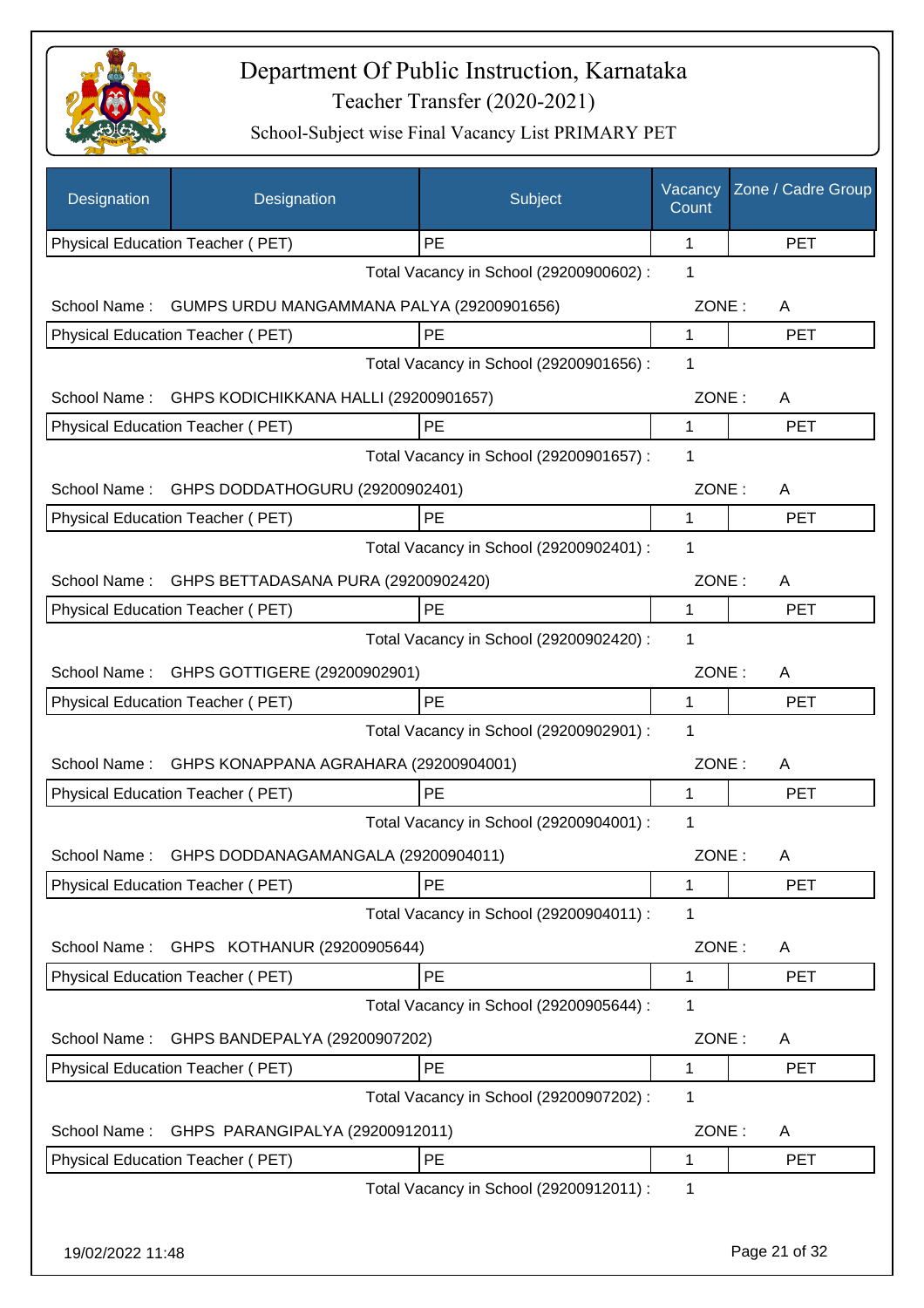

| Designation      | Designation                               | Subject                                 | Vacancy<br>Count | Zone / Cadre Group |
|------------------|-------------------------------------------|-----------------------------------------|------------------|--------------------|
|                  | Physical Education Teacher (PET)          | PE                                      | 1                | <b>PET</b>         |
|                  |                                           | Total Vacancy in School (29200900602) : | 1                |                    |
| School Name:     | GUMPS URDU MANGAMMANA PALYA (29200901656) |                                         | ZONE:            | A                  |
|                  | Physical Education Teacher (PET)          | PE                                      | 1                | <b>PET</b>         |
|                  |                                           | Total Vacancy in School (29200901656) : | 1                |                    |
| School Name:     | GHPS KODICHIKKANA HALLI (29200901657)     |                                         | ZONE:            | A                  |
|                  | Physical Education Teacher (PET)          | PE                                      | 1                | <b>PET</b>         |
|                  |                                           | Total Vacancy in School (29200901657) : | 1                |                    |
| School Name:     | GHPS DODDATHOGURU (29200902401)           |                                         | ZONE:            | A                  |
|                  | Physical Education Teacher (PET)          | PE                                      | 1                | <b>PET</b>         |
|                  |                                           | Total Vacancy in School (29200902401) : | 1                |                    |
| School Name:     | GHPS BETTADASANA PURA (29200902420)       |                                         | ZONE:            | A                  |
|                  | Physical Education Teacher (PET)          | PE                                      | 1                | <b>PET</b>         |
|                  |                                           | Total Vacancy in School (29200902420) : | 1                |                    |
|                  | School Name: GHPS GOTTIGERE (29200902901) |                                         | ZONE:            | A                  |
|                  | Physical Education Teacher (PET)          | PE                                      | 1                | <b>PET</b>         |
|                  |                                           | Total Vacancy in School (29200902901) : | 1                |                    |
| School Name:     | GHPS KONAPPANA AGRAHARA (29200904001)     |                                         | ZONE:            | A                  |
|                  | <b>Physical Education Teacher (PET)</b>   | PE                                      | 1                | <b>PET</b>         |
|                  |                                           | Total Vacancy in School (29200904001) : | 1                |                    |
| School Name:     | GHPS DODDANAGAMANGALA (29200904011)       |                                         | ZONE:            | A                  |
|                  | Physical Education Teacher (PET)          | PE                                      | 1                | <b>PET</b>         |
|                  |                                           | Total Vacancy in School (29200904011) : | 1                |                    |
| School Name:     | GHPS KOTHANUR (29200905644)               |                                         | ZONE:            | A                  |
|                  | Physical Education Teacher (PET)          | PE                                      | 1                | <b>PET</b>         |
|                  |                                           | Total Vacancy in School (29200905644) : | 1                |                    |
| School Name:     | GHPS BANDEPALYA (29200907202)             |                                         | ZONE:            | A                  |
|                  | Physical Education Teacher (PET)          | PE                                      | 1                | <b>PET</b>         |
|                  |                                           | Total Vacancy in School (29200907202) : | 1                |                    |
| School Name:     | GHPS PARANGIPALYA (29200912011)           |                                         | ZONE:            | A                  |
|                  | Physical Education Teacher (PET)          | PE                                      | 1                | <b>PET</b>         |
|                  |                                           | Total Vacancy in School (29200912011) : | 1                |                    |
|                  |                                           |                                         |                  |                    |
| 19/02/2022 11:48 |                                           |                                         |                  | Page 21 of 32      |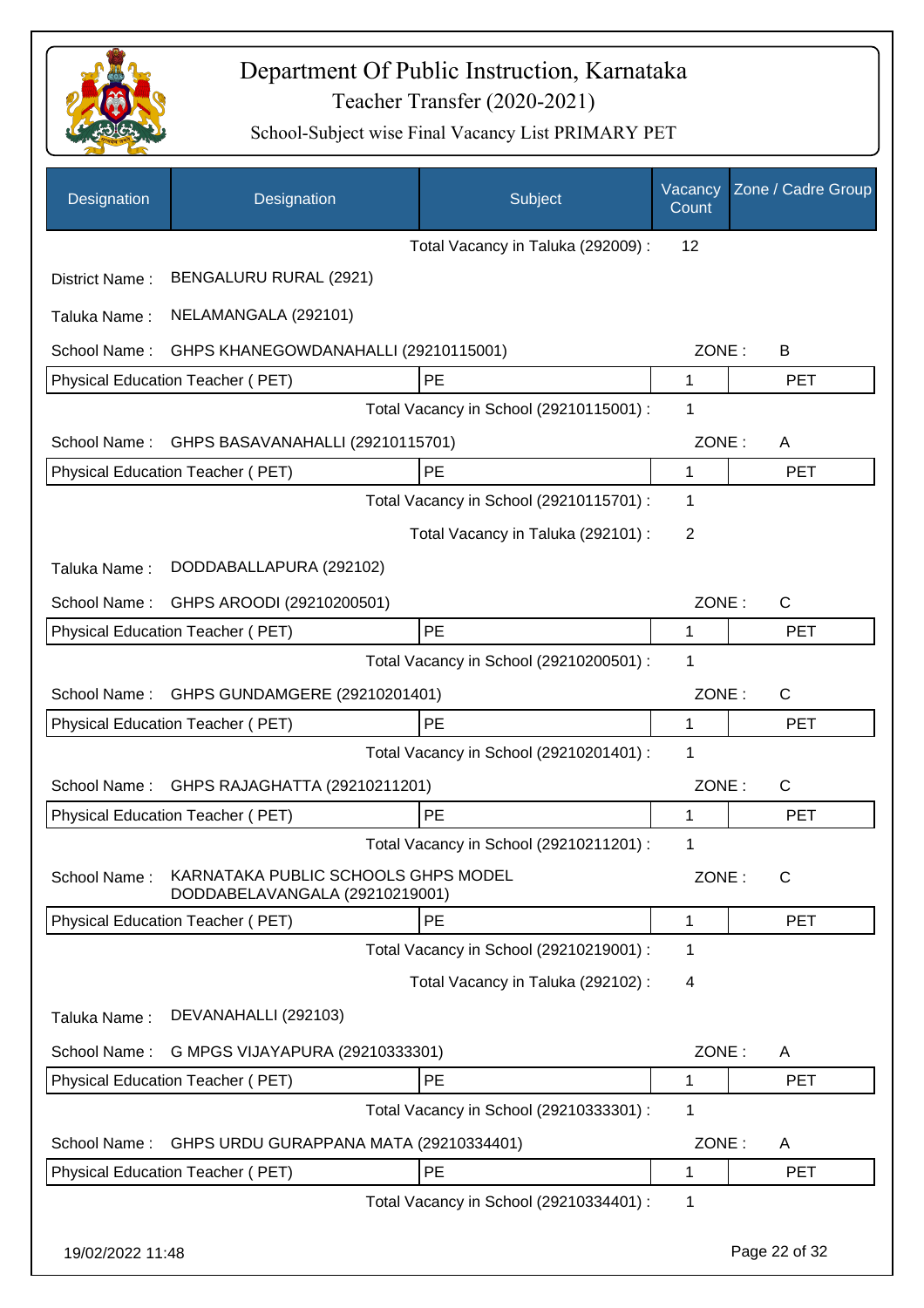

| Designation      | Designation                                                           | Subject                                 | Vacancy<br>Count | Zone / Cadre Group |
|------------------|-----------------------------------------------------------------------|-----------------------------------------|------------------|--------------------|
|                  |                                                                       | Total Vacancy in Taluka (292009):       | 12               |                    |
| District Name:   | BENGALURU RURAL (2921)                                                |                                         |                  |                    |
| Taluka Name:     | NELAMANGALA (292101)                                                  |                                         |                  |                    |
| School Name:     | GHPS KHANEGOWDANAHALLI (29210115001)                                  |                                         | ZONE:            | B                  |
|                  | Physical Education Teacher (PET)                                      | PE                                      | 1                | <b>PET</b>         |
|                  |                                                                       | Total Vacancy in School (29210115001) : | 1                |                    |
| School Name:     | GHPS BASAVANAHALLI (29210115701)                                      |                                         | ZONE:            | A                  |
|                  | Physical Education Teacher (PET)                                      | PE                                      | 1                | <b>PET</b>         |
|                  |                                                                       | Total Vacancy in School (29210115701) : | 1                |                    |
|                  |                                                                       | Total Vacancy in Taluka (292101) :      | 2                |                    |
| Taluka Name:     | DODDABALLAPURA (292102)                                               |                                         |                  |                    |
| School Name:     | GHPS AROODI (29210200501)                                             |                                         | ZONE:            | $\mathsf{C}$       |
|                  | Physical Education Teacher (PET)                                      | PE                                      | 1                | <b>PET</b>         |
|                  |                                                                       | Total Vacancy in School (29210200501) : | 1                |                    |
| School Name:     | GHPS GUNDAMGERE (29210201401)                                         |                                         | ZONE:            | $\mathsf{C}$       |
|                  | Physical Education Teacher (PET)                                      | PE                                      | 1                | <b>PET</b>         |
|                  |                                                                       | Total Vacancy in School (29210201401) : | 1                |                    |
| School Name:     | GHPS RAJAGHATTA (29210211201)                                         |                                         | ZONE:            | C                  |
|                  | Physical Education Teacher (PET)                                      | PE                                      | 1                | <b>PET</b>         |
|                  |                                                                       | Total Vacancy in School (29210211201) : | 1                |                    |
| School Name:     | KARNATAKA PUBLIC SCHOOLS GHPS MODEL<br>DODDABELAVANGALA (29210219001) |                                         | ZONE:            | C                  |
|                  | Physical Education Teacher (PET)                                      | PE                                      | 1                | <b>PET</b>         |
|                  |                                                                       | Total Vacancy in School (29210219001) : | 1                |                    |
|                  |                                                                       | Total Vacancy in Taluka (292102):       | 4                |                    |
| Taluka Name:     | DEVANAHALLI (292103)                                                  |                                         |                  |                    |
| School Name:     | G MPGS VIJAYAPURA (29210333301)                                       |                                         | ZONE:            | A                  |
|                  | Physical Education Teacher (PET)                                      | PE                                      | 1                | <b>PET</b>         |
|                  |                                                                       | Total Vacancy in School (29210333301) : | 1                |                    |
| School Name:     | GHPS URDU GURAPPANA MATA (29210334401)                                |                                         | ZONE:            | A                  |
|                  | Physical Education Teacher (PET)                                      | PE                                      | 1                | <b>PET</b>         |
|                  |                                                                       | Total Vacancy in School (29210334401) : | 1                |                    |
| 19/02/2022 11:48 |                                                                       |                                         |                  | Page 22 of 32      |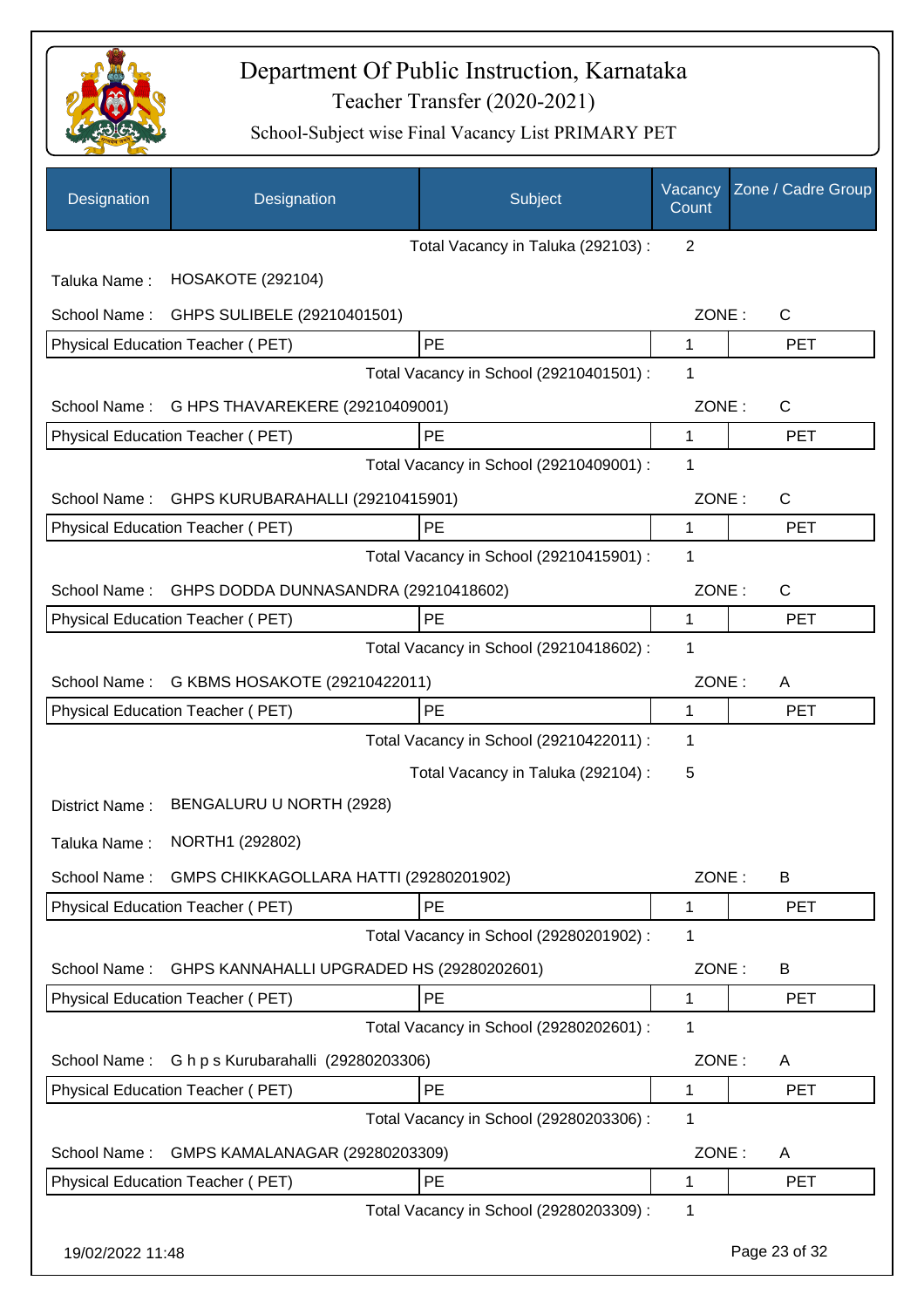

| Designation      | Designation                               | Subject                                 | Vacancy<br>Count | Zone / Cadre Group |
|------------------|-------------------------------------------|-----------------------------------------|------------------|--------------------|
|                  |                                           | Total Vacancy in Taluka (292103):       | 2                |                    |
| Taluka Name:     | <b>HOSAKOTE (292104)</b>                  |                                         |                  |                    |
| School Name:     | GHPS SULIBELE (29210401501)               |                                         | ZONE:            | C                  |
|                  | Physical Education Teacher (PET)          | PE                                      | 1                | <b>PET</b>         |
|                  |                                           | Total Vacancy in School (29210401501) : | 1                |                    |
| School Name:     | G HPS THAVAREKERE (29210409001)           |                                         | ZONE:            | C                  |
|                  | Physical Education Teacher (PET)          | PE                                      | 1                | <b>PET</b>         |
|                  |                                           | Total Vacancy in School (29210409001) : | 1                |                    |
| School Name:     | GHPS KURUBARAHALLI (29210415901)          |                                         | ZONE:            | C                  |
|                  | <b>Physical Education Teacher (PET)</b>   | <b>PE</b>                               | 1                | <b>PET</b>         |
|                  |                                           | Total Vacancy in School (29210415901) : | 1                |                    |
| School Name:     | GHPS DODDA DUNNASANDRA (29210418602)      |                                         | ZONE:            | C                  |
|                  | Physical Education Teacher (PET)          | PE                                      | 1                | <b>PET</b>         |
|                  |                                           | Total Vacancy in School (29210418602) : | 1                |                    |
| School Name:     | G KBMS HOSAKOTE (29210422011)             |                                         | ZONE:            | A                  |
|                  | Physical Education Teacher (PET)          | PE                                      | 1                | <b>PET</b>         |
|                  |                                           | Total Vacancy in School (29210422011) : | 1                |                    |
|                  |                                           | Total Vacancy in Taluka (292104) :      | 5                |                    |
| District Name:   | BENGALURU U NORTH (2928)                  |                                         |                  |                    |
| Taluka Name:     | NORTH1 (292802)                           |                                         |                  |                    |
| School Name:     | GMPS CHIKKAGOLLARA HATTI (29280201902)    |                                         | ZONE:            | B                  |
|                  | Physical Education Teacher (PET)          | PE                                      | 1                | <b>PET</b>         |
|                  |                                           | Total Vacancy in School (29280201902) : | 1                |                    |
| School Name:     | GHPS KANNAHALLI UPGRADED HS (29280202601) |                                         | ZONE:            | B                  |
|                  | Physical Education Teacher (PET)          | PE                                      | 1                | <b>PET</b>         |
|                  |                                           | Total Vacancy in School (29280202601) : | 1                |                    |
| School Name:     | G h p s Kurubarahalli (29280203306)       |                                         | ZONE:            | A                  |
|                  | Physical Education Teacher (PET)          | PE                                      | 1                | <b>PET</b>         |
|                  |                                           | Total Vacancy in School (29280203306) : | 1                |                    |
| School Name:     | GMPS KAMALANAGAR (29280203309)            |                                         | ZONE:            | A                  |
|                  | Physical Education Teacher (PET)          | PE                                      | 1                | <b>PET</b>         |
|                  |                                           | Total Vacancy in School (29280203309) : | 1                |                    |
| 19/02/2022 11:48 |                                           |                                         |                  | Page 23 of 32      |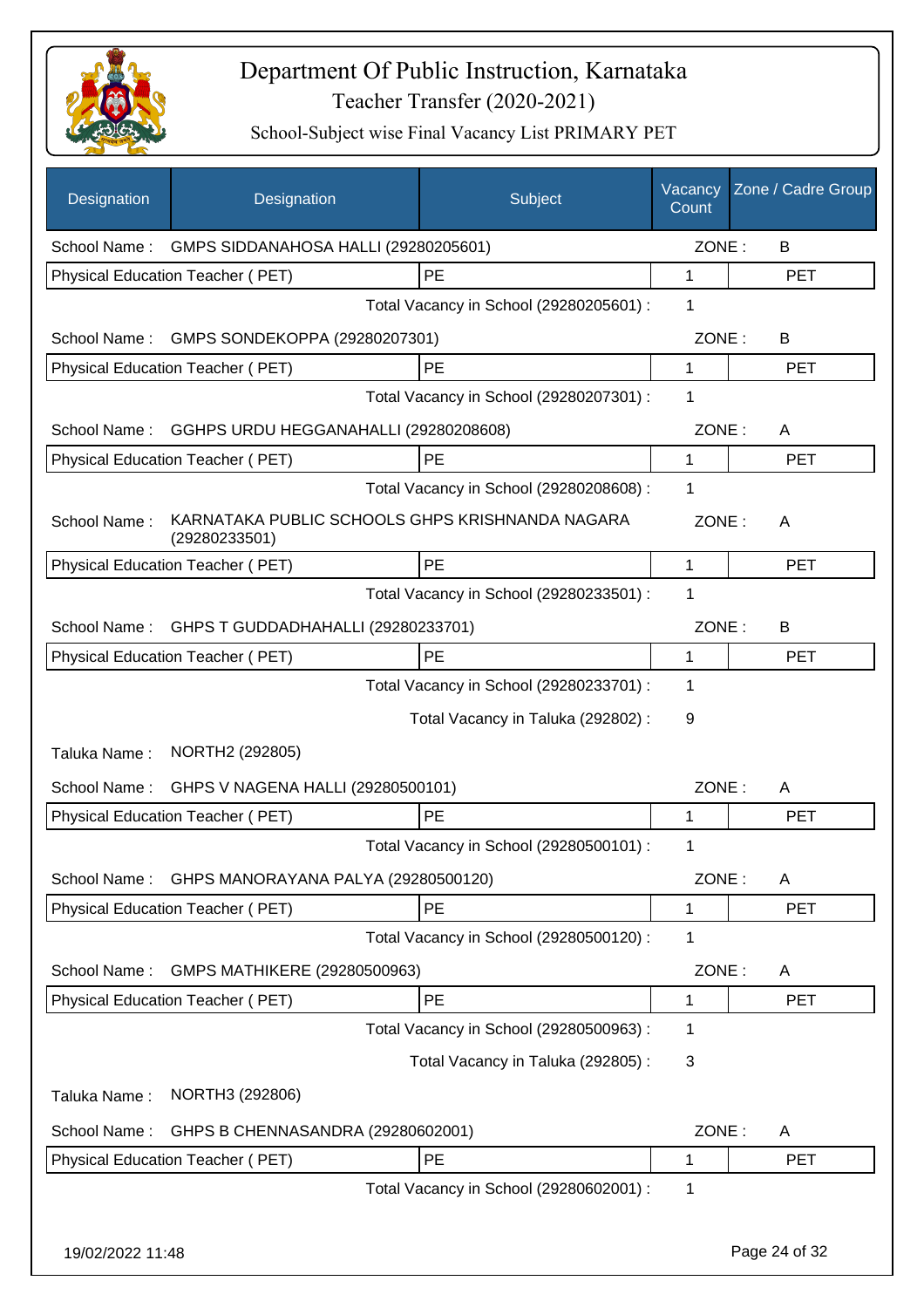

| Designation      | Designation                                                      | Subject                                 | Vacancy<br>Count | Zone / Cadre Group |
|------------------|------------------------------------------------------------------|-----------------------------------------|------------------|--------------------|
|                  | School Name: GMPS SIDDANAHOSA HALLI (29280205601)                |                                         | ZONE:            | B                  |
|                  | Physical Education Teacher (PET)                                 | PE                                      | 1                | <b>PET</b>         |
|                  |                                                                  | Total Vacancy in School (29280205601) : | 1                |                    |
|                  | School Name: GMPS SONDEKOPPA (29280207301)                       |                                         | ZONE:            | B                  |
|                  | Physical Education Teacher (PET)                                 | PE                                      | 1                | <b>PET</b>         |
|                  |                                                                  | Total Vacancy in School (29280207301) : | 1                |                    |
| School Name:     | GGHPS URDU HEGGANAHALLI (29280208608)                            |                                         | ZONE:            | A                  |
|                  | Physical Education Teacher (PET)                                 | PE                                      | 1                | <b>PET</b>         |
|                  |                                                                  | Total Vacancy in School (29280208608) : | 1                |                    |
| School Name:     | KARNATAKA PUBLIC SCHOOLS GHPS KRISHNANDA NAGARA<br>(29280233501) |                                         | ZONE:            | A                  |
|                  | Physical Education Teacher (PET)                                 | PE                                      | 1                | <b>PET</b>         |
|                  |                                                                  | Total Vacancy in School (29280233501) : | 1                |                    |
| School Name:     | GHPS T GUDDADHAHALLI (29280233701)                               |                                         | ZONE:            | B                  |
|                  | Physical Education Teacher (PET)                                 | PE                                      | 1                | <b>PET</b>         |
|                  |                                                                  | Total Vacancy in School (29280233701) : | 1                |                    |
|                  |                                                                  | Total Vacancy in Taluka (292802) :      | 9                |                    |
| Taluka Name:     | NORTH2 (292805)                                                  |                                         |                  |                    |
| School Name:     | GHPS V NAGENA HALLI (29280500101)                                |                                         | ZONE:            | A                  |
|                  | Physical Education Teacher (PET)                                 | PE                                      | 1                | <b>PET</b>         |
|                  |                                                                  | Total Vacancy in School (29280500101) : | 1                |                    |
| School Name:     | GHPS MANORAYANA PALYA (29280500120)                              |                                         | ZONE:            | A                  |
|                  | Physical Education Teacher (PET)                                 | PE                                      | 1                | <b>PET</b>         |
|                  |                                                                  | Total Vacancy in School (29280500120) : | 1                |                    |
| School Name:     | GMPS MATHIKERE (29280500963)                                     |                                         | ZONE:            | A                  |
|                  | Physical Education Teacher (PET)                                 | PE                                      | 1                | <b>PET</b>         |
|                  |                                                                  | Total Vacancy in School (29280500963) : | 1                |                    |
|                  |                                                                  | Total Vacancy in Taluka (292805):       | 3                |                    |
| Taluka Name:     | NORTH3 (292806)                                                  |                                         |                  |                    |
| School Name:     | GHPS B CHENNASANDRA (29280602001)                                |                                         | ZONE:            | A                  |
|                  | Physical Education Teacher (PET)                                 | PE                                      | 1                | <b>PET</b>         |
|                  |                                                                  | Total Vacancy in School (29280602001) : | 1                |                    |
| 19/02/2022 11:48 |                                                                  |                                         |                  | Page 24 of 32      |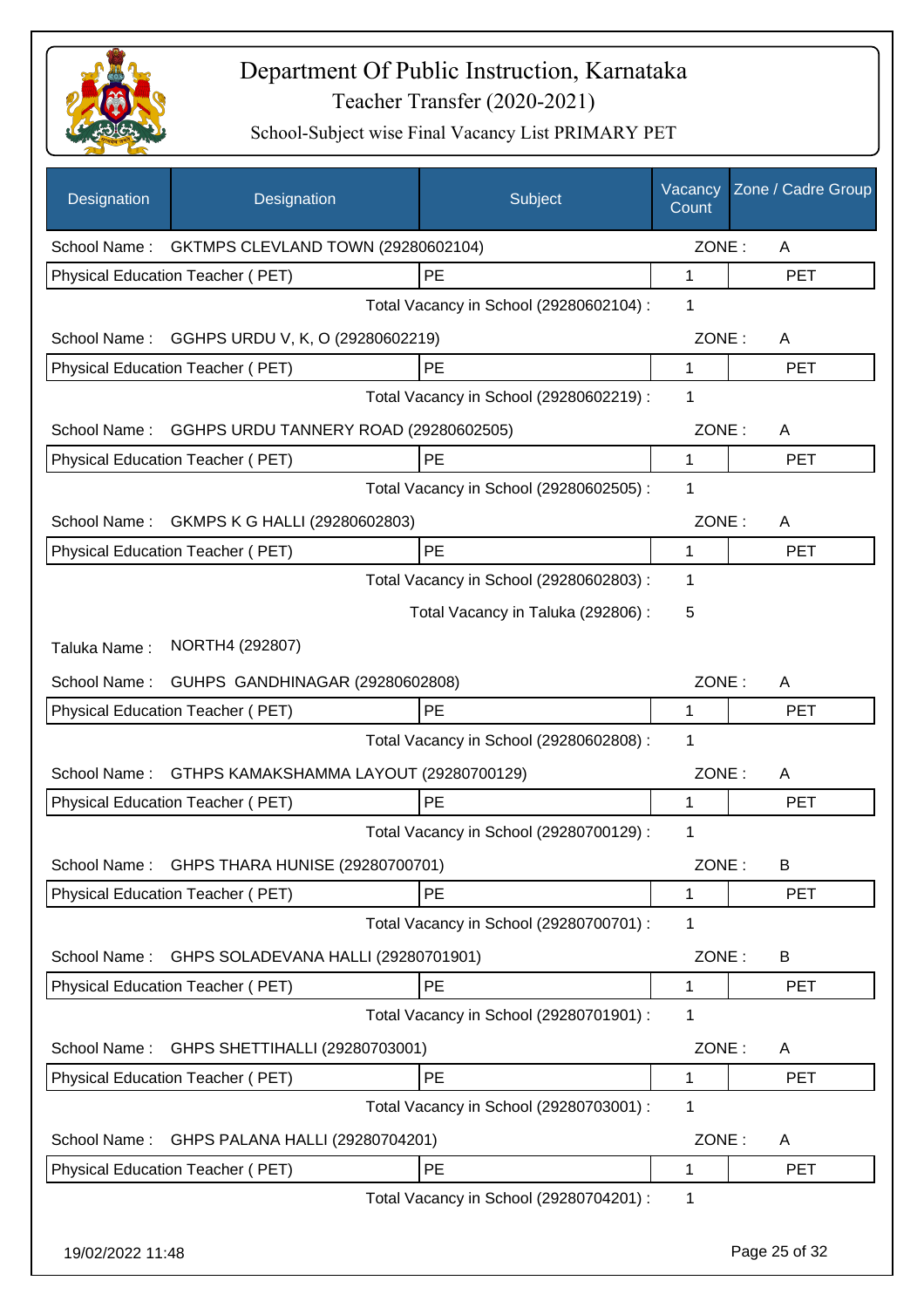

| Designation      | Designation                                        | Subject                                 | Vacancy<br>Count | Zone / Cadre Group |
|------------------|----------------------------------------------------|-----------------------------------------|------------------|--------------------|
|                  | School Name: GKTMPS CLEVLAND TOWN (29280602104)    |                                         | ZONE:            | A                  |
|                  | Physical Education Teacher (PET)                   | PE                                      | 1                | <b>PET</b>         |
|                  |                                                    | Total Vacancy in School (29280602104) : | 1                |                    |
|                  | School Name: GGHPS URDU V, K, O (29280602219)      |                                         | ZONE:            | A                  |
|                  | Physical Education Teacher (PET)                   | PE                                      | 1                | <b>PET</b>         |
|                  |                                                    | Total Vacancy in School (29280602219) : | 1                |                    |
|                  | School Name: GGHPS URDU TANNERY ROAD (29280602505) |                                         | ZONE:            | A                  |
|                  | Physical Education Teacher (PET)                   | PE                                      | 1                | <b>PET</b>         |
|                  |                                                    | Total Vacancy in School (29280602505) : | 1                |                    |
|                  | School Name: GKMPS K G HALLI (29280602803)         |                                         | ZONE:            | A                  |
|                  | Physical Education Teacher (PET)                   | PE                                      | 1                | <b>PET</b>         |
|                  |                                                    | Total Vacancy in School (29280602803) : | 1                |                    |
|                  |                                                    | Total Vacancy in Taluka (292806) :      | 5                |                    |
| Taluka Name:     | NORTH4 (292807)                                    |                                         |                  |                    |
| School Name:     | GUHPS GANDHINAGAR (29280602808)                    |                                         | ZONE:            | A                  |
|                  | Physical Education Teacher (PET)                   | PE                                      | 1                | <b>PET</b>         |
|                  |                                                    | Total Vacancy in School (29280602808) : | 1                |                    |
| School Name:     | GTHPS KAMAKSHAMMA LAYOUT (29280700129)             |                                         | ZONE:            | A                  |
|                  | Physical Education Teacher (PET)                   | PE                                      | 1                | <b>PET</b>         |
|                  |                                                    | Total Vacancy in School (29280700129) : | 1                |                    |
|                  | School Name: GHPS THARA HUNISE (29280700701)       |                                         | ZONE:            | B                  |
|                  | Physical Education Teacher (PET)                   | PE                                      | 1                | PET                |
|                  |                                                    | Total Vacancy in School (29280700701) : | 1                |                    |
| School Name:     | GHPS SOLADEVANA HALLI (29280701901)                |                                         | ZONE:            | B                  |
|                  | Physical Education Teacher (PET)                   | PE                                      | 1                | <b>PET</b>         |
|                  |                                                    | Total Vacancy in School (29280701901) : | 1                |                    |
| School Name:     | GHPS SHETTIHALLI (29280703001)                     |                                         | ZONE:            | A                  |
|                  | Physical Education Teacher (PET)                   | PE                                      | 1                | <b>PET</b>         |
|                  |                                                    | Total Vacancy in School (29280703001) : | 1                |                    |
| School Name:     | GHPS PALANA HALLI (29280704201)                    |                                         | ZONE:            | A                  |
|                  | Physical Education Teacher (PET)                   | PE                                      | 1                | <b>PET</b>         |
|                  |                                                    | Total Vacancy in School (29280704201) : | 1                |                    |
| 19/02/2022 11:48 |                                                    |                                         |                  | Page 25 of 32      |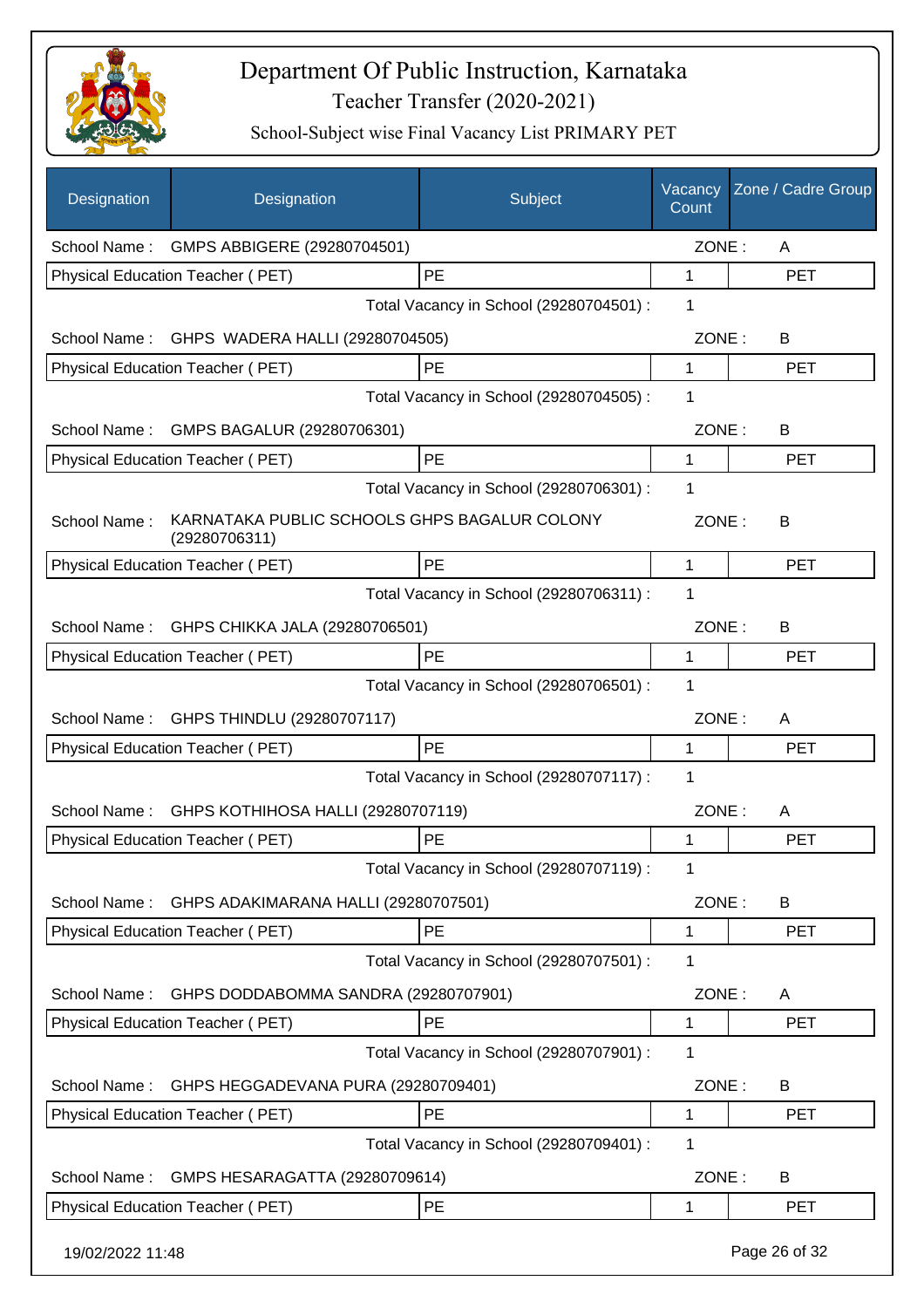

| <b>Designation</b> | Designation                                                   | Subject                                 | Vacancy<br>Count | Zone / Cadre Group |
|--------------------|---------------------------------------------------------------|-----------------------------------------|------------------|--------------------|
| School Name:       | GMPS ABBIGERE (29280704501)                                   |                                         | ZONE:            | A                  |
|                    | Physical Education Teacher (PET)                              | PE                                      | 1                | <b>PET</b>         |
|                    |                                                               | Total Vacancy in School (29280704501) : | 1                |                    |
|                    | School Name: GHPS WADERA HALLI (29280704505)                  |                                         | ZONE:            | B                  |
|                    | Physical Education Teacher (PET)                              | PE                                      | 1                | <b>PET</b>         |
|                    |                                                               | Total Vacancy in School (29280704505) : | 1                |                    |
| School Name:       | GMPS BAGALUR (29280706301)                                    |                                         | ZONE:            | B                  |
|                    | Physical Education Teacher (PET)                              | <b>PE</b>                               | 1                | <b>PET</b>         |
|                    |                                                               | Total Vacancy in School (29280706301) : | 1                |                    |
| School Name:       | KARNATAKA PUBLIC SCHOOLS GHPS BAGALUR COLONY<br>(29280706311) |                                         | ZONE:            | B                  |
|                    | Physical Education Teacher (PET)                              | PE                                      | 1                | <b>PET</b>         |
|                    |                                                               | Total Vacancy in School (29280706311) : | 1                |                    |
| School Name:       | GHPS CHIKKA JALA (29280706501)                                |                                         | ZONE:            | B                  |
|                    | Physical Education Teacher (PET)                              | PE                                      | 1                | <b>PET</b>         |
|                    |                                                               | Total Vacancy in School (29280706501) : | 1                |                    |
| School Name:       | GHPS THINDLU (29280707117)                                    |                                         | ZONE:            | A                  |
|                    | Physical Education Teacher (PET)                              | <b>PE</b>                               | 1                | <b>PET</b>         |
|                    |                                                               | Total Vacancy in School (29280707117) : | 1                |                    |
| School Name:       | GHPS KOTHIHOSA HALLI (29280707119)                            |                                         | ZONE:            | A                  |
|                    | Physical Education Teacher (PET)                              | PE                                      | 1                | <b>PET</b>         |
|                    |                                                               | Total Vacancy in School (29280707119) : | 1                |                    |
| School Name:       | GHPS ADAKIMARANA HALLI (29280707501)                          |                                         | ZONE:            | B                  |
|                    | Physical Education Teacher (PET)                              | PE                                      | 1                | <b>PET</b>         |
|                    |                                                               | Total Vacancy in School (29280707501) : | 1                |                    |
| School Name:       | GHPS DODDABOMMA SANDRA (29280707901)                          |                                         | ZONE:            | A                  |
|                    | Physical Education Teacher (PET)                              | PE                                      | 1                | <b>PET</b>         |
|                    |                                                               | Total Vacancy in School (29280707901) : | 1                |                    |
| School Name:       | GHPS HEGGADEVANA PURA (29280709401)                           |                                         | ZONE:            | B                  |
|                    | Physical Education Teacher (PET)                              | PE                                      | 1                | <b>PET</b>         |
|                    |                                                               | Total Vacancy in School (29280709401) : | 1                |                    |
| School Name:       | GMPS HESARAGATTA (29280709614)                                |                                         | ZONE:            | B                  |
|                    | Physical Education Teacher (PET)                              | PE                                      | 1                | <b>PET</b>         |
| 19/02/2022 11:48   |                                                               |                                         |                  | Page 26 of 32      |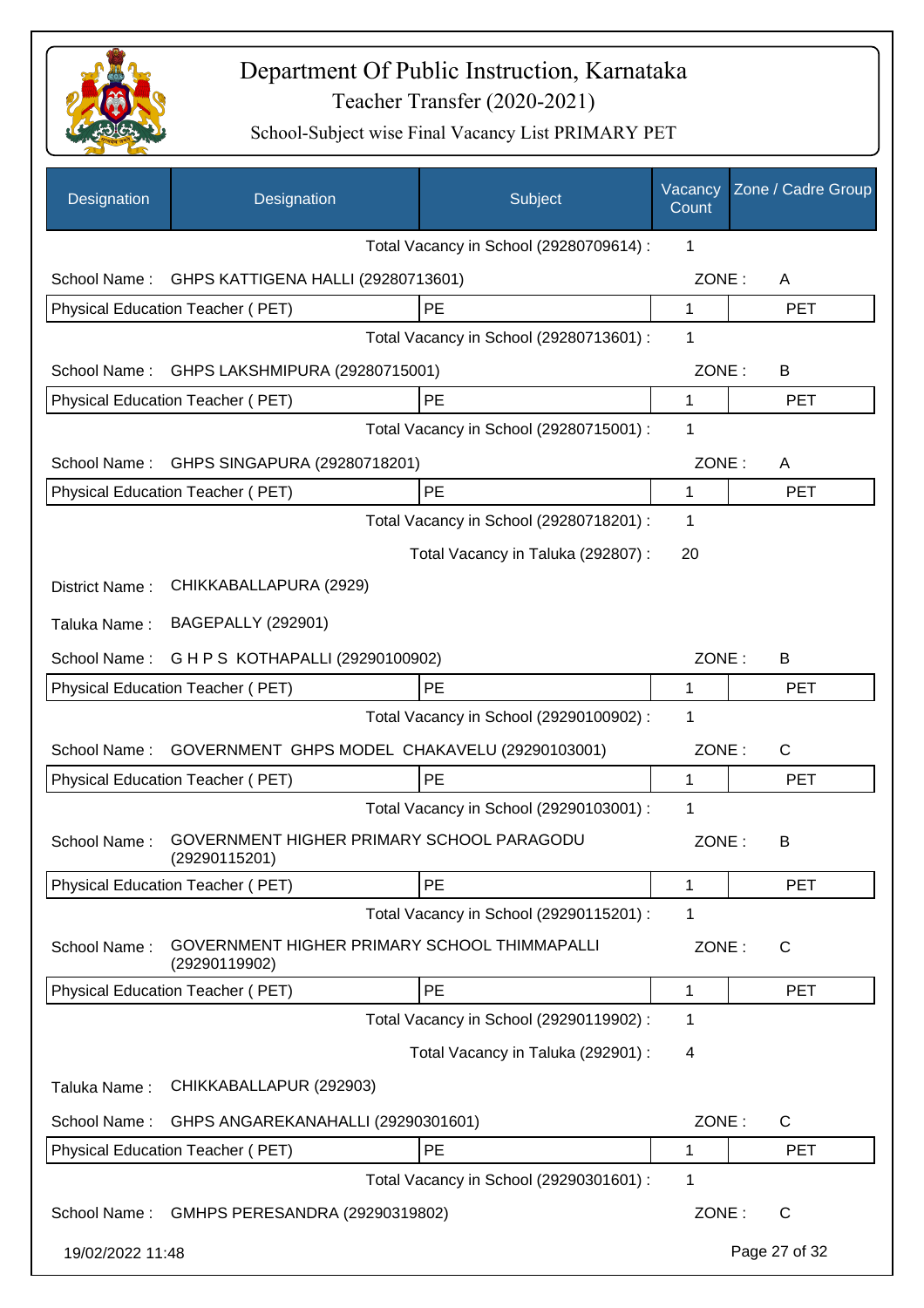

| Designation                            | Designation                                                   | Subject                                 | Vacancy<br>Count | Zone / Cadre Group |
|----------------------------------------|---------------------------------------------------------------|-----------------------------------------|------------------|--------------------|
|                                        |                                                               | Total Vacancy in School (29280709614) : | 1                |                    |
| School Name:                           | GHPS KATTIGENA HALLI (29280713601)                            |                                         | ZONE:            | A                  |
|                                        | Physical Education Teacher (PET)                              | PE                                      | 1                | <b>PET</b>         |
|                                        |                                                               | Total Vacancy in School (29280713601) : | 1                |                    |
| School Name:                           | GHPS LAKSHMIPURA (29280715001)                                |                                         | ZONE:            | B                  |
|                                        | Physical Education Teacher (PET)                              | PE                                      | 1                | <b>PET</b>         |
|                                        |                                                               | Total Vacancy in School (29280715001) : | 1                |                    |
| School Name:                           | GHPS SINGAPURA (29280718201)                                  |                                         | ZONE:            | A                  |
|                                        | Physical Education Teacher (PET)                              | PE                                      | 1                | <b>PET</b>         |
|                                        |                                                               | Total Vacancy in School (29280718201) : | 1                |                    |
|                                        |                                                               | Total Vacancy in Taluka (292807) :      | 20               |                    |
| District Name:                         | CHIKKABALLAPURA (2929)                                        |                                         |                  |                    |
| Taluka Name:                           | <b>BAGEPALLY (292901)</b>                                     |                                         |                  |                    |
| School Name:                           | G H P S KOTHAPALLI (29290100902)                              |                                         | ZONE:            | B                  |
| Physical Education Teacher (PET)<br>PE |                                                               |                                         |                  | <b>PET</b>         |
|                                        |                                                               | Total Vacancy in School (29290100902) : | 1                |                    |
| School Name:                           | GOVERNMENT GHPS MODEL CHAKAVELU (29290103001)                 |                                         | ZONE:            | C                  |
|                                        | Physical Education Teacher (PET)                              | PE                                      | 1                | <b>PET</b>         |
|                                        |                                                               | Total Vacancy in School (29290103001) : | 1                |                    |
| School Name:                           | GOVERNMENT HIGHER PRIMARY SCHOOL PARAGODU<br>(29290115201)    |                                         | ZONE:            | В                  |
|                                        | Physical Education Teacher (PET)                              | PE                                      | 1                | <b>PET</b>         |
|                                        |                                                               | Total Vacancy in School (29290115201) : | 1                |                    |
| School Name:                           | GOVERNMENT HIGHER PRIMARY SCHOOL THIMMAPALLI<br>(29290119902) |                                         | ZONE:            | C                  |
|                                        | Physical Education Teacher (PET)                              | PE                                      | 1                | <b>PET</b>         |
|                                        |                                                               | Total Vacancy in School (29290119902) : | 1                |                    |
|                                        |                                                               | Total Vacancy in Taluka (292901) :      | 4                |                    |
| Taluka Name:                           | CHIKKABALLAPUR (292903)                                       |                                         |                  |                    |
| School Name:                           | GHPS ANGAREKANAHALLI (29290301601)                            |                                         | ZONE:            | C                  |
|                                        | Physical Education Teacher (PET)                              | PE                                      | 1                | <b>PET</b>         |
|                                        |                                                               | Total Vacancy in School (29290301601) : | 1                |                    |
| School Name:                           | GMHPS PERESANDRA (29290319802)                                |                                         | ZONE:            | $\mathsf{C}$       |
| 19/02/2022 11:48                       |                                                               |                                         |                  | Page 27 of 32      |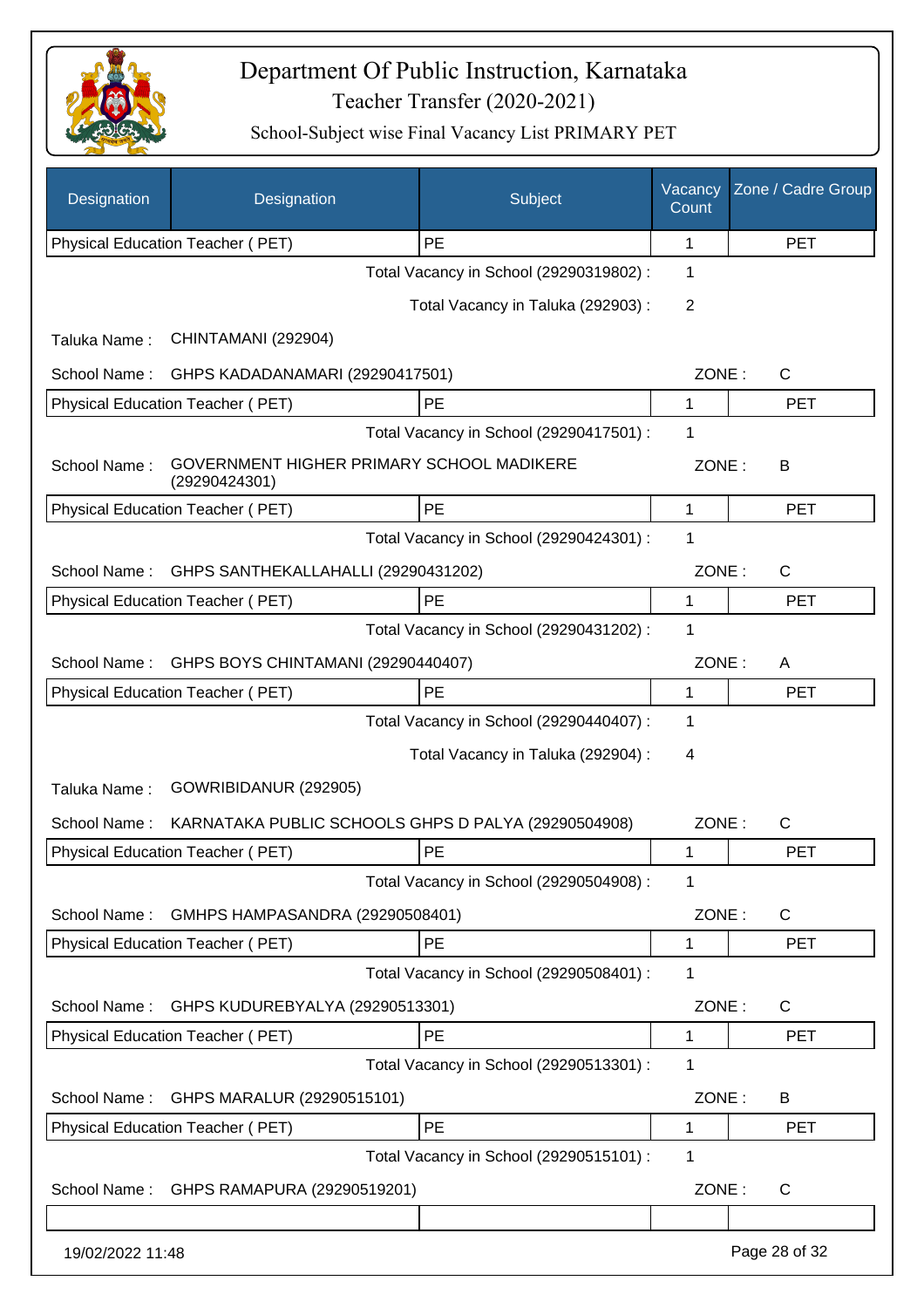

| Designation      | Designation                                                | Subject                                 | Vacancy<br>Count | Zone / Cadre Group |
|------------------|------------------------------------------------------------|-----------------------------------------|------------------|--------------------|
|                  | Physical Education Teacher (PET)                           | PE                                      | 1                | <b>PET</b>         |
|                  |                                                            | Total Vacancy in School (29290319802) : | 1                |                    |
|                  |                                                            | Total Vacancy in Taluka (292903) :      | 2                |                    |
| Taluka Name:     | CHINTAMANI (292904)                                        |                                         |                  |                    |
| School Name:     | GHPS KADADANAMARI (29290417501)                            |                                         | ZONE:            | C                  |
|                  | Physical Education Teacher (PET)                           | PE                                      | 1                | <b>PET</b>         |
|                  |                                                            | Total Vacancy in School (29290417501) : | 1                |                    |
| School Name:     | GOVERNMENT HIGHER PRIMARY SCHOOL MADIKERE<br>(29290424301) |                                         | ZONE:            | B                  |
|                  | Physical Education Teacher (PET)                           | PE                                      | 1                | <b>PET</b>         |
|                  |                                                            | Total Vacancy in School (29290424301) : | 1                |                    |
| School Name:     | GHPS SANTHEKALLAHALLI (29290431202)                        |                                         | ZONE:            | $\mathsf{C}$       |
|                  | <b>Physical Education Teacher (PET)</b>                    | PE                                      | 1                | <b>PET</b>         |
|                  |                                                            | Total Vacancy in School (29290431202) : | 1                |                    |
| School Name:     | GHPS BOYS CHINTAMANI (29290440407)                         |                                         | ZONE:            | A                  |
|                  | Physical Education Teacher (PET)                           | PE                                      | 1                | <b>PET</b>         |
|                  |                                                            | Total Vacancy in School (29290440407) : | 1                |                    |
|                  |                                                            | Total Vacancy in Taluka (292904) :      | 4                |                    |
| Taluka Name:     | GOWRIBIDANUR (292905)                                      |                                         |                  |                    |
| School Name:     | KARNATAKA PUBLIC SCHOOLS GHPS D PALYA (29290504908)        |                                         | ZONE:            | С                  |
|                  | <b>Physical Education Teacher (PET)</b>                    | PE                                      | 1                | <b>PET</b>         |
|                  |                                                            | Total Vacancy in School (29290504908) : | 1                |                    |
| School Name:     | GMHPS HAMPASANDRA (29290508401)                            |                                         | ZONE:            | C                  |
|                  | <b>Physical Education Teacher (PET)</b>                    | PE                                      | 1                | <b>PET</b>         |
|                  |                                                            | Total Vacancy in School (29290508401) : | 1                |                    |
| School Name:     | GHPS KUDUREBYALYA (29290513301)                            |                                         | ZONE:            | $\mathsf{C}$       |
|                  | Physical Education Teacher (PET)                           | PE                                      | 1                | <b>PET</b>         |
|                  |                                                            | Total Vacancy in School (29290513301) : | 1                |                    |
| School Name:     | GHPS MARALUR (29290515101)                                 |                                         | ZONE:            | B                  |
|                  | Physical Education Teacher (PET)                           | PE                                      | 1                | <b>PET</b>         |
|                  |                                                            | Total Vacancy in School (29290515101) : | 1                |                    |
| School Name:     | GHPS RAMAPURA (29290519201)                                |                                         | ZONE:            | C                  |
|                  |                                                            |                                         |                  |                    |
| 19/02/2022 11:48 |                                                            |                                         |                  | Page 28 of 32      |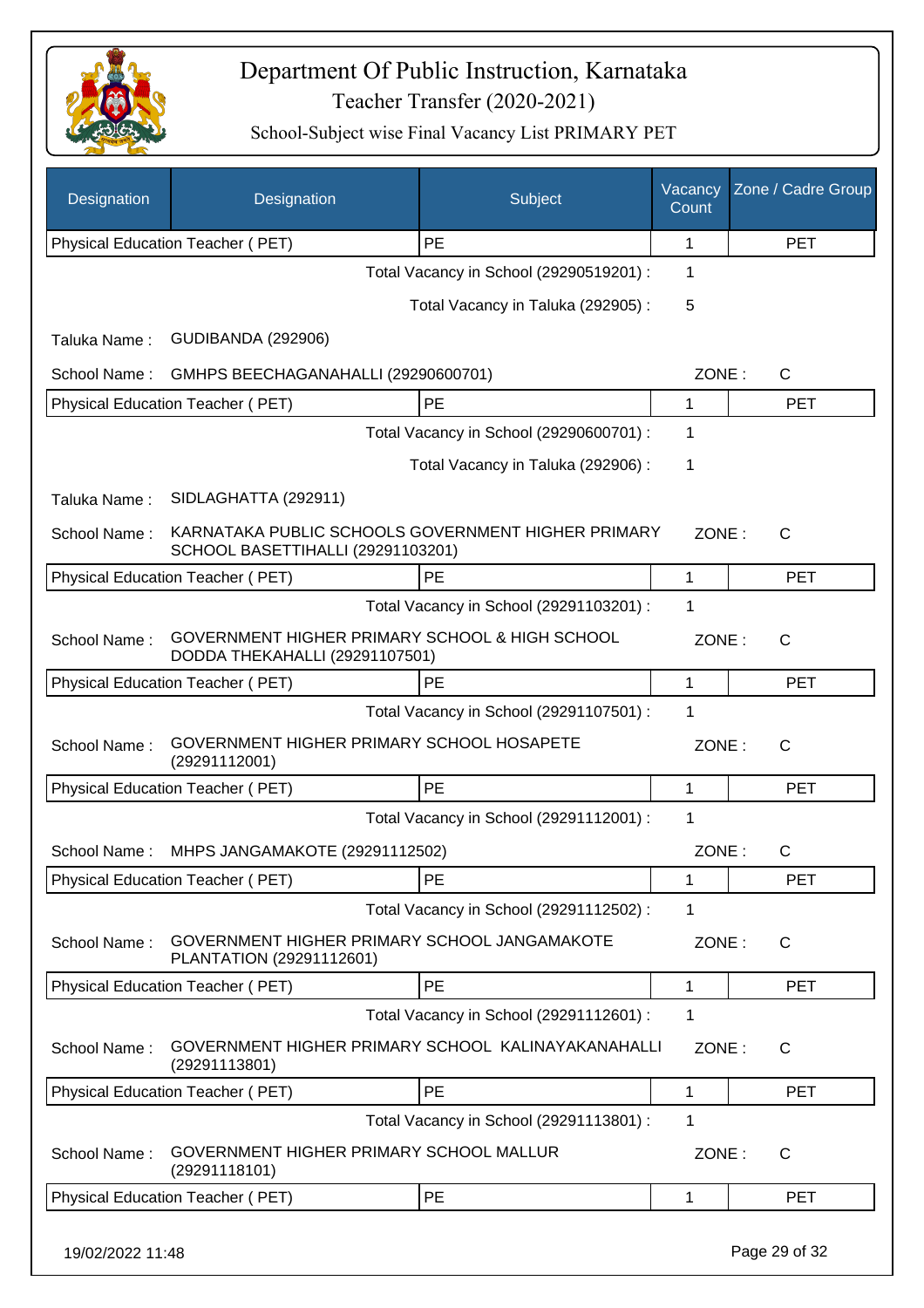

| Designation  | Designation                                                                             | Subject                                 | Vacancy<br>Count | Zone / Cadre Group |  |
|--------------|-----------------------------------------------------------------------------------------|-----------------------------------------|------------------|--------------------|--|
|              | Physical Education Teacher (PET)                                                        | PE                                      | 1                | <b>PET</b>         |  |
|              |                                                                                         | Total Vacancy in School (29290519201) : | 1                |                    |  |
|              |                                                                                         | Total Vacancy in Taluka (292905):       | 5                |                    |  |
| Taluka Name: | <b>GUDIBANDA (292906)</b>                                                               |                                         |                  |                    |  |
| School Name: | GMHPS BEECHAGANAHALLI (29290600701)                                                     |                                         | ZONE:            | $\mathsf{C}$       |  |
|              | Physical Education Teacher (PET)                                                        | PE                                      | 1                | <b>PET</b>         |  |
|              |                                                                                         | Total Vacancy in School (29290600701) : | 1                |                    |  |
|              |                                                                                         | Total Vacancy in Taluka (292906):       | 1                |                    |  |
| Taluka Name: | SIDLAGHATTA (292911)                                                                    |                                         |                  |                    |  |
| School Name: | KARNATAKA PUBLIC SCHOOLS GOVERNMENT HIGHER PRIMARY<br>SCHOOL BASETTIHALLI (29291103201) |                                         | ZONE:            | $\mathsf{C}$       |  |
|              | Physical Education Teacher (PET)                                                        | <b>PE</b>                               | 1                | <b>PET</b>         |  |
|              |                                                                                         | Total Vacancy in School (29291103201) : | 1                |                    |  |
| School Name: | GOVERNMENT HIGHER PRIMARY SCHOOL & HIGH SCHOOL<br>DODDA THEKAHALLI (29291107501)        |                                         | ZONE:            | $\mathsf{C}$       |  |
|              | Physical Education Teacher (PET)                                                        | PE                                      | 1                | <b>PET</b>         |  |
|              |                                                                                         | Total Vacancy in School (29291107501) : | 1                |                    |  |
| School Name: | GOVERNMENT HIGHER PRIMARY SCHOOL HOSAPETE<br>(29291112001)                              |                                         | ZONE:            | $\mathsf{C}$       |  |
|              | Physical Education Teacher (PET)                                                        | PE                                      | 1                | <b>PET</b>         |  |
|              |                                                                                         | Total Vacancy in School (29291112001) : | 1                |                    |  |
| School Name: | MHPS JANGAMAKOTE (29291112502)                                                          |                                         | ZONE:            | C                  |  |
|              | Physical Education Teacher (PET)                                                        | PE                                      | 1                | <b>PET</b>         |  |
|              |                                                                                         | Total Vacancy in School (29291112502) : | 1                |                    |  |
| School Name: | GOVERNMENT HIGHER PRIMARY SCHOOL JANGAMAKOTE<br>PLANTATION (29291112601)                |                                         | ZONE:            | $\mathsf{C}$       |  |
|              | Physical Education Teacher (PET)                                                        | PE                                      | 1                | <b>PET</b>         |  |
|              |                                                                                         | Total Vacancy in School (29291112601) : | 1                |                    |  |
| School Name: | GOVERNMENT HIGHER PRIMARY SCHOOL KALINAYAKANAHALLI<br>(29291113801)                     |                                         | ZONE:            | C                  |  |
|              | Physical Education Teacher (PET)                                                        | PE                                      | 1                | <b>PET</b>         |  |
|              |                                                                                         | Total Vacancy in School (29291113801) : | 1                |                    |  |
| School Name: | GOVERNMENT HIGHER PRIMARY SCHOOL MALLUR<br>(29291118101)                                |                                         | ZONE:            | C                  |  |
|              | Physical Education Teacher (PET)                                                        | <b>PE</b>                               | 1                | <b>PET</b>         |  |
|              | Page 29 of 32<br>19/02/2022 11:48                                                       |                                         |                  |                    |  |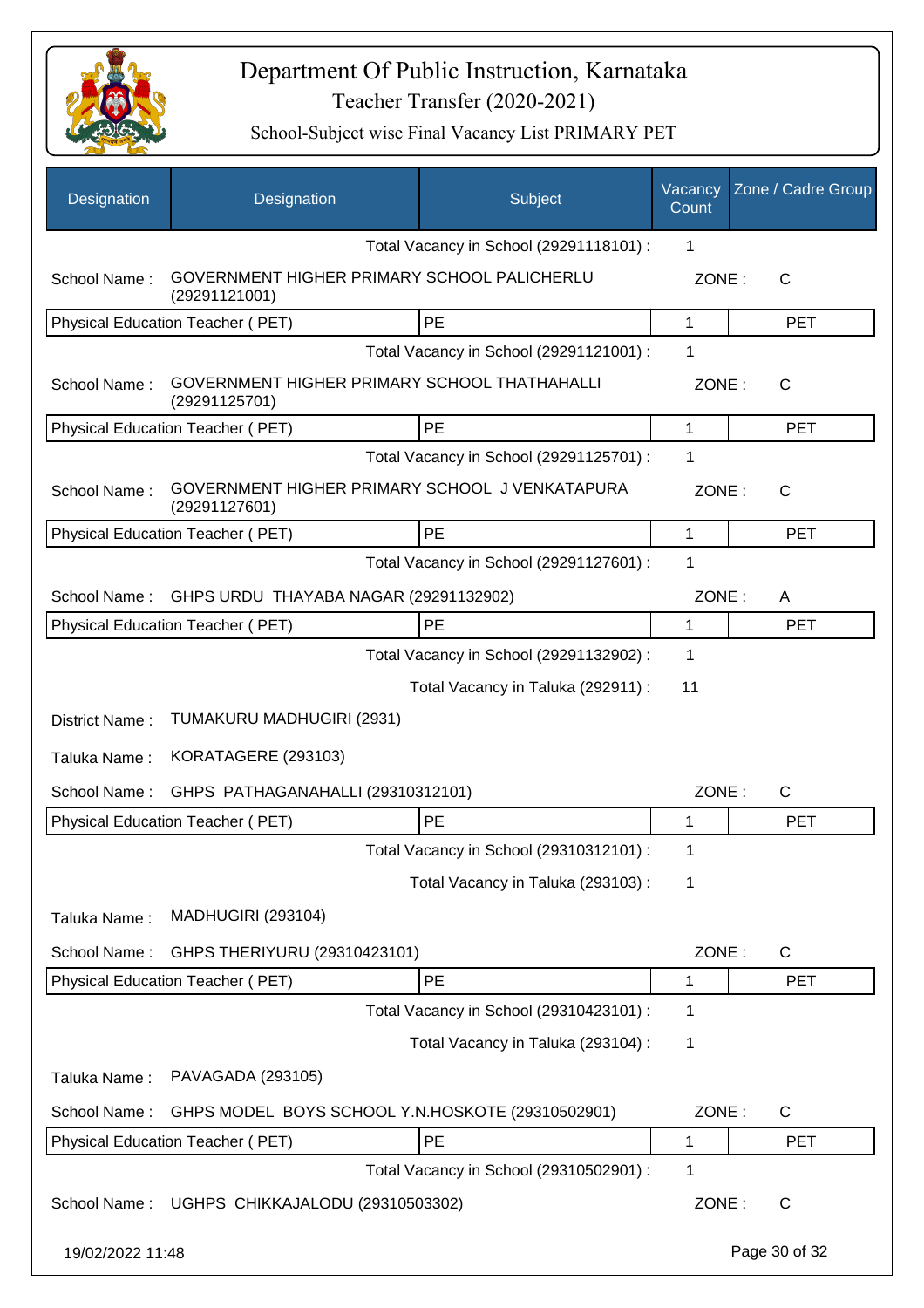

| Designation      | Designation                                                     | Subject                                 | Vacancy<br>Count | Zone / Cadre Group |
|------------------|-----------------------------------------------------------------|-----------------------------------------|------------------|--------------------|
|                  |                                                                 | Total Vacancy in School (29291118101) : | 1                |                    |
| School Name:     | GOVERNMENT HIGHER PRIMARY SCHOOL PALICHERLU<br>(29291121001)    |                                         | ZONE:            | $\mathsf{C}$       |
|                  | Physical Education Teacher (PET)                                | PE                                      | 1                | <b>PET</b>         |
|                  |                                                                 | Total Vacancy in School (29291121001) : | 1                |                    |
| School Name:     | GOVERNMENT HIGHER PRIMARY SCHOOL THATHAHALLI<br>(29291125701)   |                                         | ZONE:            | C                  |
|                  | Physical Education Teacher (PET)                                | <b>PE</b>                               | 1                | <b>PET</b>         |
|                  |                                                                 | Total Vacancy in School (29291125701) : | 1                |                    |
| School Name:     | GOVERNMENT HIGHER PRIMARY SCHOOL J VENKATAPURA<br>(29291127601) |                                         | ZONE:            | C                  |
|                  | Physical Education Teacher (PET)                                | <b>PE</b>                               | 1                | <b>PET</b>         |
|                  |                                                                 | Total Vacancy in School (29291127601) : | 1                |                    |
| School Name:     | GHPS URDU THAYABA NAGAR (29291132902)                           |                                         | ZONE:            | A                  |
|                  | Physical Education Teacher (PET)                                | PE                                      | 1                | <b>PET</b>         |
|                  |                                                                 | Total Vacancy in School (29291132902) : | 1                |                    |
|                  |                                                                 | Total Vacancy in Taluka (292911) :      | 11               |                    |
| District Name:   | TUMAKURU MADHUGIRI (2931)                                       |                                         |                  |                    |
| Taluka Name:     | KORATAGERE (293103)                                             |                                         |                  |                    |
| School Name:     | GHPS PATHAGANAHALLI (29310312101)                               |                                         | ZONE:            | $\mathsf{C}$       |
|                  | Physical Education Teacher (PET)                                | PE                                      | 1                | <b>PET</b>         |
|                  |                                                                 | Total Vacancy in School (29310312101) : | 1                |                    |
|                  |                                                                 | Total Vacancy in Taluka (293103) :      | 1                |                    |
| Taluka Name:     | <b>MADHUGIRI (293104)</b>                                       |                                         |                  |                    |
| School Name:     | GHPS THERIYURU (29310423101)                                    |                                         | ZONE:            | $\mathsf{C}$       |
|                  | Physical Education Teacher (PET)                                | PE                                      | 1                | <b>PET</b>         |
|                  |                                                                 | Total Vacancy in School (29310423101) : | 1                |                    |
|                  |                                                                 | Total Vacancy in Taluka (293104) :      | 1                |                    |
| Taluka Name:     | PAVAGADA (293105)                                               |                                         |                  |                    |
| School Name:     | GHPS MODEL BOYS SCHOOL Y.N.HOSKOTE (29310502901)                |                                         | ZONE:            | C                  |
|                  | Physical Education Teacher (PET)                                | PE                                      | 1                | <b>PET</b>         |
|                  |                                                                 | Total Vacancy in School (29310502901) : | 1                |                    |
| School Name:     | UGHPS CHIKKAJALODU (29310503302)                                |                                         | ZONE:            | $\mathsf{C}$       |
| 19/02/2022 11:48 |                                                                 |                                         |                  | Page 30 of 32      |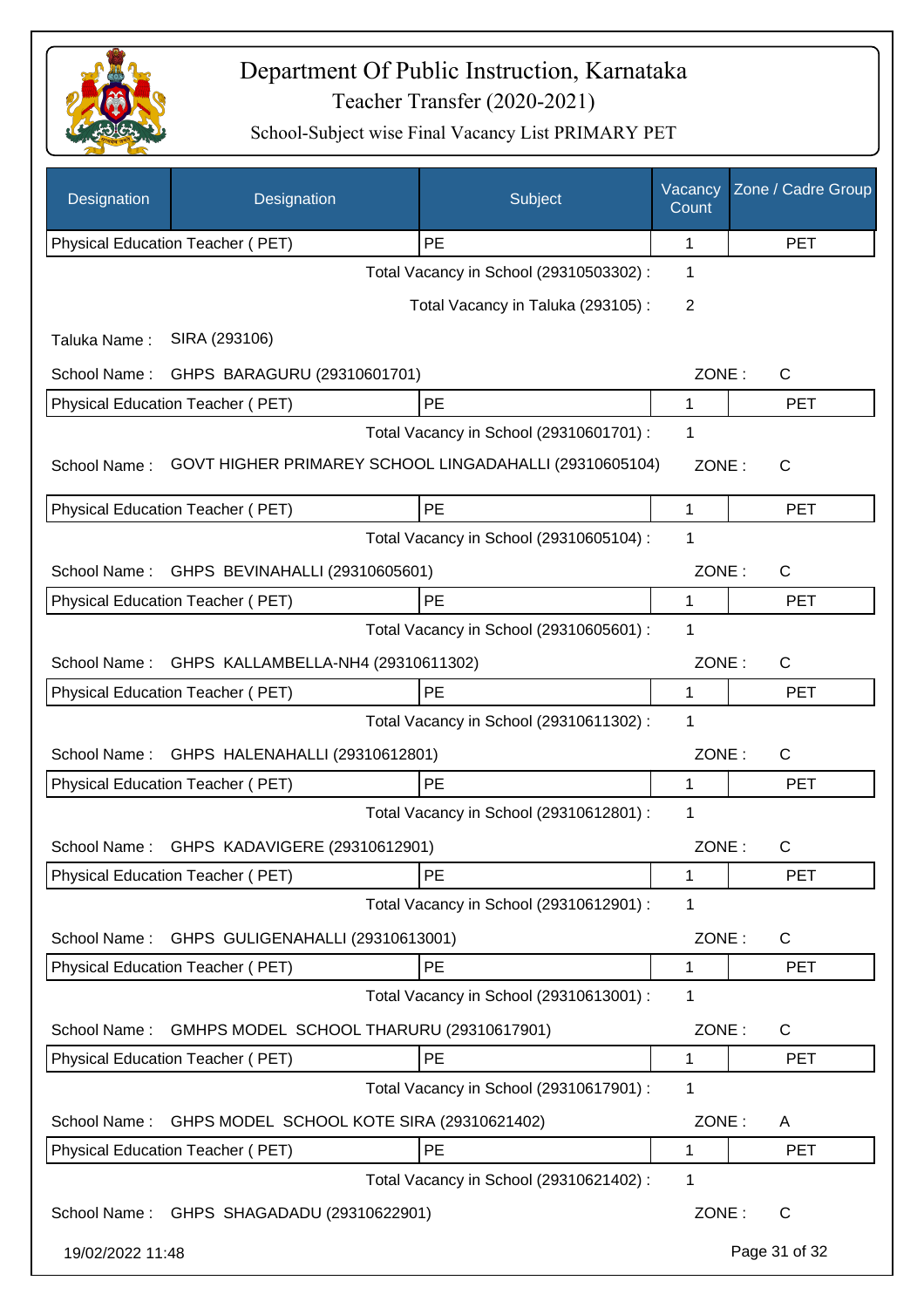

| Designation      | Designation                                | Subject                                                | Vacancy<br>Count | Zone / Cadre Group |
|------------------|--------------------------------------------|--------------------------------------------------------|------------------|--------------------|
|                  | Physical Education Teacher (PET)           | PE                                                     | 1                | <b>PET</b>         |
|                  |                                            | Total Vacancy in School (29310503302) :                | 1                |                    |
|                  |                                            | Total Vacancy in Taluka (293105):                      | 2                |                    |
| Taluka Name:     | SIRA (293106)                              |                                                        |                  |                    |
| School Name:     | GHPS BARAGURU (29310601701)                |                                                        | ZONE:            | $\mathsf{C}$       |
|                  | Physical Education Teacher (PET)           | PE                                                     | 1                | <b>PET</b>         |
|                  |                                            | Total Vacancy in School (29310601701) :                | 1                |                    |
| School Name:     |                                            | GOVT HIGHER PRIMAREY SCHOOL LINGADAHALLI (29310605104) | ZONE:            | $\mathsf{C}$       |
|                  | Physical Education Teacher (PET)           | PE                                                     | 1                | <b>PET</b>         |
|                  |                                            | Total Vacancy in School (29310605104) :                | 1                |                    |
| School Name:     | GHPS BEVINAHALLI (29310605601)             |                                                        | ZONE:            | C                  |
|                  | Physical Education Teacher (PET)           | PE                                                     | 1                | <b>PET</b>         |
|                  |                                            | Total Vacancy in School (29310605601) :                | 1                |                    |
| School Name:     | GHPS KALLAMBELLA-NH4 (29310611302)         |                                                        | ZONE:            | $\mathsf{C}$       |
|                  | Physical Education Teacher (PET)           | PE                                                     | 1                | <b>PET</b>         |
|                  |                                            | Total Vacancy in School (29310611302) :                | 1                |                    |
| School Name:     | GHPS HALENAHALLI (29310612801)             |                                                        | ZONE:            | C                  |
|                  | Physical Education Teacher (PET)           | PE                                                     | 1                | <b>PET</b>         |
|                  |                                            | Total Vacancy in School (29310612801) :                | 1                |                    |
|                  | School Name: GHPS KADAVIGERE (29310612901) |                                                        | ZONE:            | C                  |
|                  | Physical Education Teacher (PET)           | PE                                                     | 1                | <b>PET</b>         |
|                  |                                            | Total Vacancy in School (29310612901) :                | 1                |                    |
| School Name:     | GHPS GULIGENAHALLI (29310613001)           |                                                        | ZONE:            | C                  |
|                  | Physical Education Teacher (PET)           | PE                                                     | 1                | <b>PET</b>         |
|                  |                                            | Total Vacancy in School (29310613001) :                | 1                |                    |
| School Name:     | GMHPS MODEL SCHOOL THARURU (29310617901)   |                                                        | ZONE:            | C                  |
|                  | Physical Education Teacher (PET)           | PE                                                     | 1                | <b>PET</b>         |
|                  |                                            | Total Vacancy in School (29310617901) :                | 1                |                    |
| School Name:     | GHPS MODEL SCHOOL KOTE SIRA (29310621402)  |                                                        | ZONE:            | A                  |
|                  | Physical Education Teacher (PET)           | PE                                                     | 1                | <b>PET</b>         |
|                  |                                            | Total Vacancy in School (29310621402) :                | 1                |                    |
|                  | School Name: GHPS SHAGADADU (29310622901)  |                                                        | ZONE:            | $\mathsf{C}$       |
| 19/02/2022 11:48 |                                            |                                                        |                  | Page 31 of 32      |